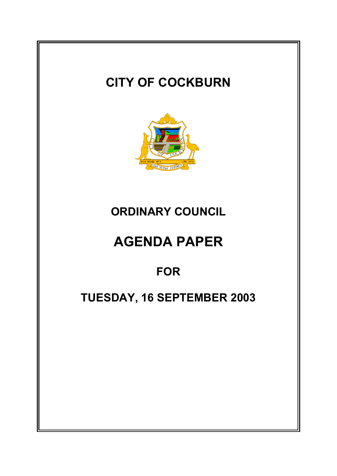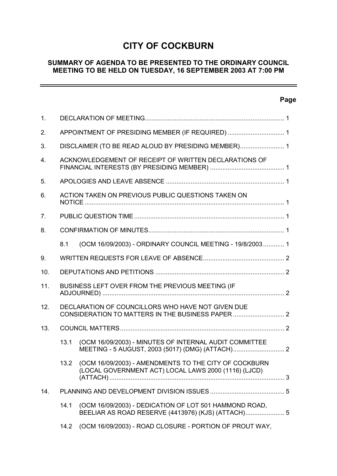# **CITY OF COCKBURN**

#### **SUMMARY OF AGENDA TO BE PRESENTED TO THE ORDINARY COUNCIL MEETING TO BE HELD ON TUESDAY, 16 SEPTEMBER 2003 AT 7:00 PM**

#### **Page**

÷,

| 1.             |                                                     |                                                                                                               |  |  |  |  |
|----------------|-----------------------------------------------------|---------------------------------------------------------------------------------------------------------------|--|--|--|--|
| 2.             | APPOINTMENT OF PRESIDING MEMBER (IF REQUIRED)  1    |                                                                                                               |  |  |  |  |
| 3.             | DISCLAIMER (TO BE READ ALOUD BY PRESIDING MEMBER) 1 |                                                                                                               |  |  |  |  |
| 4.             |                                                     | ACKNOWLEDGEMENT OF RECEIPT OF WRITTEN DECLARATIONS OF                                                         |  |  |  |  |
| 5.             |                                                     |                                                                                                               |  |  |  |  |
| 6.             |                                                     | ACTION TAKEN ON PREVIOUS PUBLIC QUESTIONS TAKEN ON                                                            |  |  |  |  |
| 7 <sub>1</sub> |                                                     |                                                                                                               |  |  |  |  |
| 8.             |                                                     |                                                                                                               |  |  |  |  |
|                | 8.1                                                 | (OCM 16/09/2003) - ORDINARY COUNCIL MEETING - 19/8/2003 1                                                     |  |  |  |  |
| 9.             |                                                     |                                                                                                               |  |  |  |  |
| 10.            |                                                     |                                                                                                               |  |  |  |  |
| 11.            | BUSINESS LEFT OVER FROM THE PREVIOUS MEETING (IF    |                                                                                                               |  |  |  |  |
| 12.            | DECLARATION OF COUNCILLORS WHO HAVE NOT GIVEN DUE   |                                                                                                               |  |  |  |  |
| 13.            |                                                     |                                                                                                               |  |  |  |  |
|                | 13.1                                                | (OCM 16/09/2003) - MINUTES OF INTERNAL AUDIT COMMITTEE                                                        |  |  |  |  |
|                | 13.2                                                | (OCM 16/09/2003) - AMENDMENTS TO THE CITY OF COCKBURN<br>(LOCAL GOVERNMENT ACT) LOCAL LAWS 2000 (1116) (LJCD) |  |  |  |  |
| 14.            |                                                     |                                                                                                               |  |  |  |  |
|                | 14.1                                                | (OCM 16/09/2003) - DEDICATION OF LOT 501 HAMMOND ROAD,<br>BEELIAR AS ROAD RESERVE (4413976) (KJS) (ATTACH) 5  |  |  |  |  |
|                | 14.2                                                | (OCM 16/09/2003) - ROAD CLOSURE - PORTION OF PROUT WAY,                                                       |  |  |  |  |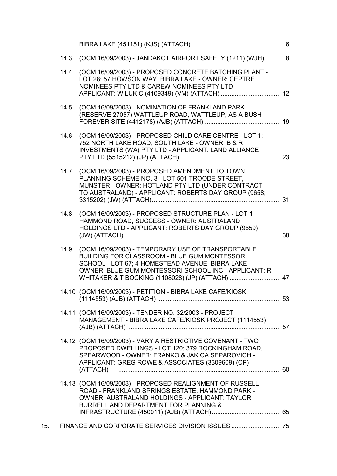|     | 14.3 | (OCM 16/09/2003) - JANDAKOT AIRPORT SAFETY (1211) (WJH) 8                                                                                                                                                                                                          |  |
|-----|------|--------------------------------------------------------------------------------------------------------------------------------------------------------------------------------------------------------------------------------------------------------------------|--|
|     | 14.4 | (OCM 16/09/2003) - PROPOSED CONCRETE BATCHING PLANT -<br>LOT 28; 57 HOWSON WAY, BIBRA LAKE - OWNER: CEPTRE<br>NOMINEES PTY LTD & CAREW NOMINEES PTY LTD -                                                                                                          |  |
|     | 14.5 | (OCM 16/09/2003) - NOMINATION OF FRANKLAND PARK<br>(RESERVE 27057) WATTLEUP ROAD, WATTLEUP, AS A BUSH                                                                                                                                                              |  |
|     | 14.6 | (OCM 16/09/2003) - PROPOSED CHILD CARE CENTRE - LOT 1;<br>752 NORTH LAKE ROAD, SOUTH LAKE - OWNER: B & R<br>INVESTMENTS (WA) PTY LTD - APPLICANT: LAND ALLIANCE                                                                                                    |  |
|     | 14.7 | (OCM 16/09/2003) - PROPOSED AMENDMENT TO TOWN<br>PLANNING SCHEME NO. 3 - LOT 501 TROODE STREET,<br>MUNSTER - OWNER: HOTLAND PTY LTD (UNDER CONTRACT<br>TO AUSTRALAND) - APPLICANT: ROBERTS DAY GROUP (9658;                                                        |  |
|     | 14.8 | (OCM 16/09/2003) - PROPOSED STRUCTURE PLAN - LOT 1<br>HAMMOND ROAD, SUCCESS - OWNER: AUSTRALAND<br>HOLDINGS LTD - APPLICANT: ROBERTS DAY GROUP (9659)                                                                                                              |  |
|     | 14.9 | (OCM 16/09/2003) - TEMPORARY USE OF TRANSPORTABLE<br>BUILDING FOR CLASSROOM - BLUE GUM MONTESSORI<br>SCHOOL - LOT 67; 4 HOMESTEAD AVENUE, BIBRA LAKE -<br>OWNER: BLUE GUM MONTESSORI SCHOOL INC - APPLICANT: R<br>WHITAKER & T BOCKING (1108028) (JP) (ATTACH)  47 |  |
|     |      | 14.10 (OCM 16/09/2003) - PETITION - BIBRA LAKE CAFE/KIOSK                                                                                                                                                                                                          |  |
|     |      | 14.11 (OCM 16/09/2003) - TENDER NO. 32/2003 - PROJECT<br>MANAGEMENT - BIBRA LAKE CAFE/KIOSK PROJECT (1114553)                                                                                                                                                      |  |
|     |      | 14.12 (OCM 16/09/2003) - VARY A RESTRICTIVE COVENANT - TWO<br>PROPOSED DWELLINGS - LOT 120; 379 ROCKINGHAM ROAD,<br>SPEARWOOD - OWNER: FRANKO & JAKICA SEPAROVICH -<br>APPLICANT: GREG ROWE & ASSOCIATES (3309609) (CP)<br>(ATTACH)                                |  |
|     |      | 14.13 (OCM 16/09/2003) - PROPOSED REALIGNMENT OF RUSSELL<br>ROAD - FRANKLAND SPRINGS ESTATE, HAMMOND PARK -<br>OWNER: AUSTRALAND HOLDINGS - APPLICANT: TAYLOR<br>BURRELL AND DEPARTMENT FOR PLANNING &                                                             |  |
|     |      |                                                                                                                                                                                                                                                                    |  |
| 15. |      | FINANCE AND CORPORATE SERVICES DIVISION ISSUES  75                                                                                                                                                                                                                 |  |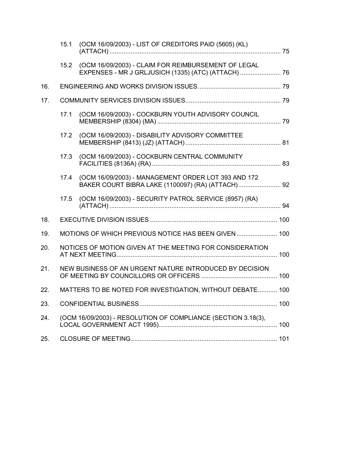|     | 15.1 | (OCM 16/09/2003) - LIST OF CREDITORS PAID (5605) (KL)                                                           |  |
|-----|------|-----------------------------------------------------------------------------------------------------------------|--|
|     |      | 15.2 (OCM 16/09/2003) - CLAIM FOR REIMBURSEMENT OF LEGAL<br>EXPENSES - MR J GRLJUSICH (1335) (ATC) (ATTACH)  76 |  |
| 16. |      |                                                                                                                 |  |
| 17. |      |                                                                                                                 |  |
|     | 17.1 | (OCM 16/09/2003) - COCKBURN YOUTH ADVISORY COUNCIL                                                              |  |
|     | 17.2 | (OCM 16/09/2003) - DISABILITY ADVISORY COMMITTEE                                                                |  |
|     | 17.3 | (OCM 16/09/2003) - COCKBURN CENTRAL COMMUNITY                                                                   |  |
|     | 17.4 | (OCM 16/09/2003) - MANAGEMENT ORDER LOT 393 AND 172<br>BAKER COURT BIBRA LAKE (1100097) (RA) (ATTACH) 92        |  |
|     | 17.5 | (OCM 16/09/2003) - SECURITY PATROL SERVICE (8957) (RA)                                                          |  |
| 18. |      |                                                                                                                 |  |
| 19. |      | MOTIONS OF WHICH PREVIOUS NOTICE HAS BEEN GIVEN  100                                                            |  |
| 20. |      | NOTICES OF MOTION GIVEN AT THE MEETING FOR CONSIDERATION                                                        |  |
| 21. |      | NEW BUSINESS OF AN URGENT NATURE INTRODUCED BY DECISION                                                         |  |
| 22. |      | MATTERS TO BE NOTED FOR INVESTIGATION, WITHOUT DEBATE 100                                                       |  |
| 23. |      |                                                                                                                 |  |
| 24. |      | (OCM 16/09/2003) - RESOLUTION OF COMPLIANCE (SECTION 3.18(3),                                                   |  |
| 25. |      |                                                                                                                 |  |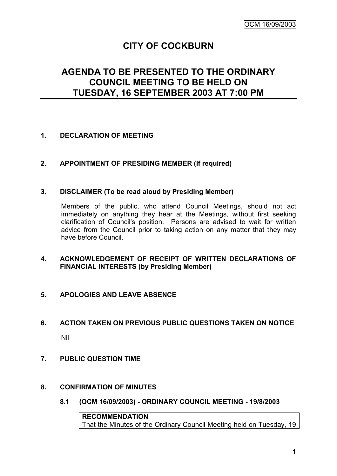# **CITY OF COCKBURN**

# **AGENDA TO BE PRESENTED TO THE ORDINARY COUNCIL MEETING TO BE HELD ON TUESDAY, 16 SEPTEMBER 2003 AT 7:00 PM**

#### **1. DECLARATION OF MEETING**

#### **2. APPOINTMENT OF PRESIDING MEMBER (If required)**

#### **3. DISCLAIMER (To be read aloud by Presiding Member)**

Members of the public, who attend Council Meetings, should not act immediately on anything they hear at the Meetings, without first seeking clarification of Council's position. Persons are advised to wait for written advice from the Council prior to taking action on any matter that they may have before Council.

#### **4. ACKNOWLEDGEMENT OF RECEIPT OF WRITTEN DECLARATIONS OF FINANCIAL INTERESTS (by Presiding Member)**

#### **5. APOLOGIES AND LEAVE ABSENCE**

# **6. ACTION TAKEN ON PREVIOUS PUBLIC QUESTIONS TAKEN ON NOTICE** Nil

- 
- **7. PUBLIC QUESTION TIME**
- **8. CONFIRMATION OF MINUTES**
	- **8.1 (OCM 16/09/2003) - ORDINARY COUNCIL MEETING - 19/8/2003**

**RECOMMENDATION** That the Minutes of the Ordinary Council Meeting held on Tuesday, 19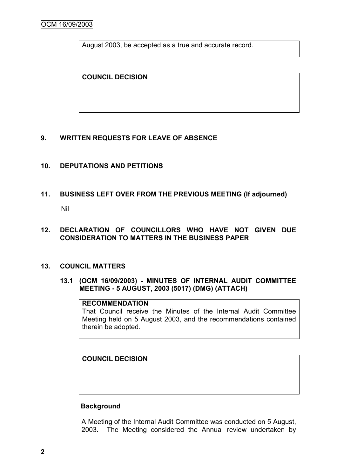August 2003, be accepted as a true and accurate record.

**COUNCIL DECISION**

#### **9. WRITTEN REQUESTS FOR LEAVE OF ABSENCE**

- **10. DEPUTATIONS AND PETITIONS**
- **11. BUSINESS LEFT OVER FROM THE PREVIOUS MEETING (If adjourned)**

Nil

**12. DECLARATION OF COUNCILLORS WHO HAVE NOT GIVEN DUE CONSIDERATION TO MATTERS IN THE BUSINESS PAPER**

#### **13. COUNCIL MATTERS**

**13.1 (OCM 16/09/2003) - MINUTES OF INTERNAL AUDIT COMMITTEE MEETING - 5 AUGUST, 2003 (5017) (DMG) (ATTACH)**

#### **RECOMMENDATION**

That Council receive the Minutes of the Internal Audit Committee Meeting held on 5 August 2003, and the recommendations contained therein be adopted.

**COUNCIL DECISION**

#### **Background**

A Meeting of the Internal Audit Committee was conducted on 5 August, 2003. The Meeting considered the Annual review undertaken by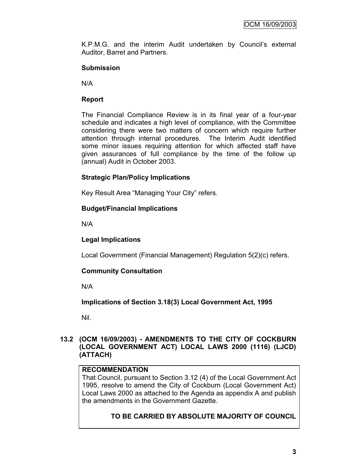K.P.M.G. and the interim Audit undertaken by Council"s external Auditor, Barret and Partners.

#### **Submission**

N/A

#### **Report**

The Financial Compliance Review is in its final year of a four-year schedule and indicates a high level of compliance, with the Committee considering there were two matters of concern which require further attention through internal procedures. The Interim Audit identified some minor issues requiring attention for which affected staff have given assurances of full compliance by the time of the follow up (annual) Audit in October 2003.

#### **Strategic Plan/Policy Implications**

Key Result Area "Managing Your City" refers.

#### **Budget/Financial Implications**

N/A

#### **Legal Implications**

Local Government (Financial Management) Regulation 5(2)(c) refers.

#### **Community Consultation**

N/A

**Implications of Section 3.18(3) Local Government Act, 1995**

Nil.

#### **13.2 (OCM 16/09/2003) - AMENDMENTS TO THE CITY OF COCKBURN (LOCAL GOVERNMENT ACT) LOCAL LAWS 2000 (1116) (LJCD) (ATTACH)**

#### **RECOMMENDATION**

That Council, pursuant to Section 3.12 (4) of the Local Government Act 1995, resolve to amend the City of Cockburn (Local Government Act) Local Laws 2000 as attached to the Agenda as appendix A and publish the amendments in the Government Gazette.

#### **TO BE CARRIED BY ABSOLUTE MAJORITY OF COUNCIL**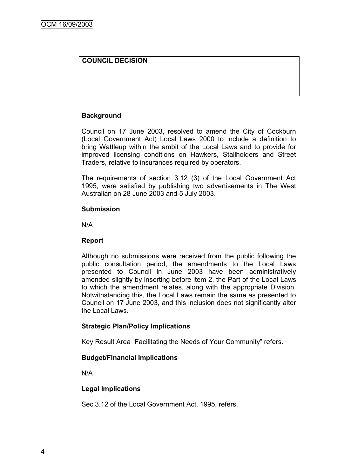#### **COUNCIL DECISION**

#### **Background**

Council on 17 June 2003, resolved to amend the City of Cockburn (Local Government Act) Local Laws 2000 to include a definition to bring Wattleup within the ambit of the Local Laws and to provide for improved licensing conditions on Hawkers, Stallholders and Street Traders, relative to insurances required by operators.

The requirements of section 3.12 (3) of the Local Government Act 1995, were satisfied by publishing two advertisements in The West Australian on 28 June 2003 and 5 July 2003.

#### **Submission**

N/A

#### **Report**

Although no submissions were received from the public following the public consultation period, the amendments to the Local Laws presented to Council in June 2003 have been administratively amended slightly by inserting before item 2, the Part of the Local Laws to which the amendment relates, along with the appropriate Division. Notwithstanding this, the Local Laws remain the same as presented to Council on 17 June 2003, and this inclusion does not significantly alter the Local Laws.

#### **Strategic Plan/Policy Implications**

Key Result Area "Facilitating the Needs of Your Community" refers.

#### **Budget/Financial Implications**

N/A

#### **Legal Implications**

Sec 3.12 of the Local Government Act, 1995, refers.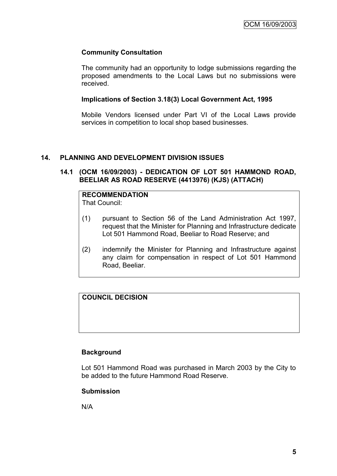#### **Community Consultation**

The community had an opportunity to lodge submissions regarding the proposed amendments to the Local Laws but no submissions were received.

#### **Implications of Section 3.18(3) Local Government Act, 1995**

Mobile Vendors licensed under Part VI of the Local Laws provide services in competition to local shop based businesses.

#### **14. PLANNING AND DEVELOPMENT DIVISION ISSUES**

#### **14.1 (OCM 16/09/2003) - DEDICATION OF LOT 501 HAMMOND ROAD, BEELIAR AS ROAD RESERVE (4413976) (KJS) (ATTACH)**

# **RECOMMENDATION**

That Council:

- (1) pursuant to Section 56 of the Land Administration Act 1997, request that the Minister for Planning and Infrastructure dedicate Lot 501 Hammond Road, Beeliar to Road Reserve; and
- (2) indemnify the Minister for Planning and Infrastructure against any claim for compensation in respect of Lot 501 Hammond Road, Beeliar.

#### **COUNCIL DECISION**

#### **Background**

Lot 501 Hammond Road was purchased in March 2003 by the City to be added to the future Hammond Road Reserve.

#### **Submission**

N/A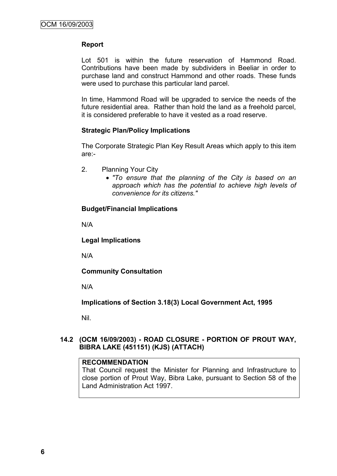#### **Report**

Lot 501 is within the future reservation of Hammond Road. Contributions have been made by subdividers in Beeliar in order to purchase land and construct Hammond and other roads. These funds were used to purchase this particular land parcel.

In time, Hammond Road will be upgraded to service the needs of the future residential area. Rather than hold the land as a freehold parcel, it is considered preferable to have it vested as a road reserve.

#### **Strategic Plan/Policy Implications**

The Corporate Strategic Plan Key Result Areas which apply to this item are:-

- 2. Planning Your City
	- *"To ensure that the planning of the City is based on an approach which has the potential to achieve high levels of convenience for its citizens."*

#### **Budget/Financial Implications**

N/A

**Legal Implications**

N/A

**Community Consultation**

N/A

**Implications of Section 3.18(3) Local Government Act, 1995**

Nil.

#### **14.2 (OCM 16/09/2003) - ROAD CLOSURE - PORTION OF PROUT WAY, BIBRA LAKE (451151) (KJS) (ATTACH)**

#### **RECOMMENDATION**

That Council request the Minister for Planning and Infrastructure to close portion of Prout Way, Bibra Lake, pursuant to Section 58 of the Land Administration Act 1997.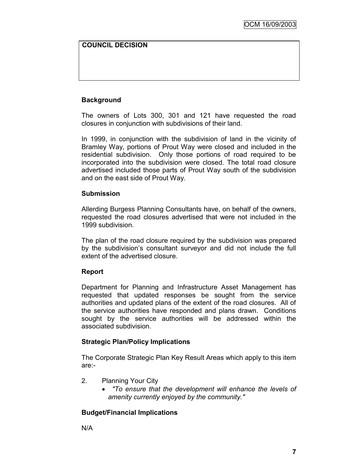#### **COUNCIL DECISION**

#### **Background**

The owners of Lots 300, 301 and 121 have requested the road closures in conjunction with subdivisions of their land.

In 1999, in conjunction with the subdivision of land in the vicinity of Bramley Way, portions of Prout Way were closed and included in the residential subdivision. Only those portions of road required to be incorporated into the subdivision were closed. The total road closure advertised included those parts of Prout Way south of the subdivision and on the east side of Prout Way.

#### **Submission**

Allerding Burgess Planning Consultants have, on behalf of the owners, requested the road closures advertised that were not included in the 1999 subdivision.

The plan of the road closure required by the subdivision was prepared by the subdivision"s consultant surveyor and did not include the full extent of the advertised closure.

#### **Report**

Department for Planning and Infrastructure Asset Management has requested that updated responses be sought from the service authorities and updated plans of the extent of the road closures. All of the service authorities have responded and plans drawn. Conditions sought by the service authorities will be addressed within the associated subdivision.

#### **Strategic Plan/Policy Implications**

The Corporate Strategic Plan Key Result Areas which apply to this item are:-

- 2. Planning Your City
	- *"To ensure that the development will enhance the levels of amenity currently enjoyed by the community."*

#### **Budget/Financial Implications**

N/A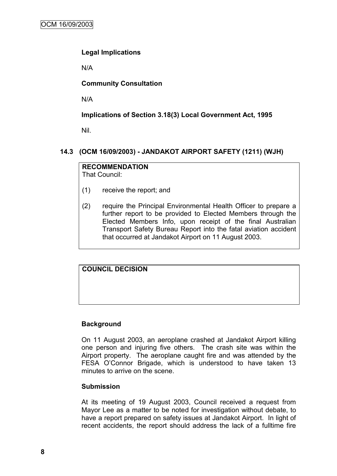#### **Legal Implications**

N/A

#### **Community Consultation**

N/A

#### **Implications of Section 3.18(3) Local Government Act, 1995**

Nil.

#### **14.3 (OCM 16/09/2003) - JANDAKOT AIRPORT SAFETY (1211) (WJH)**

#### **RECOMMENDATION** That Council:

- (1) receive the report; and
- (2) require the Principal Environmental Health Officer to prepare a further report to be provided to Elected Members through the Elected Members Info, upon receipt of the final Australian Transport Safety Bureau Report into the fatal aviation accident that occurred at Jandakot Airport on 11 August 2003.

#### **COUNCIL DECISION**

#### **Background**

On 11 August 2003, an aeroplane crashed at Jandakot Airport killing one person and injuring five others. The crash site was within the Airport property. The aeroplane caught fire and was attended by the FESA O"Connor Brigade, which is understood to have taken 13 minutes to arrive on the scene.

#### **Submission**

At its meeting of 19 August 2003, Council received a request from Mayor Lee as a matter to be noted for investigation without debate, to have a report prepared on safety issues at Jandakot Airport. In light of recent accidents, the report should address the lack of a fulltime fire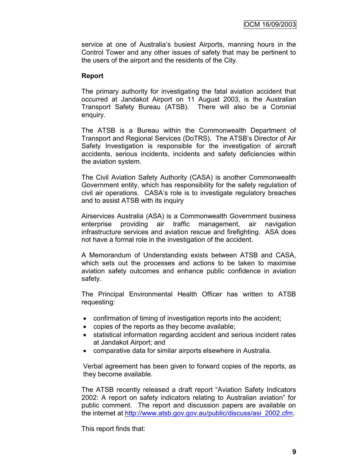service at one of Australia's busiest Airports, manning hours in the Control Tower and any other issues of safety that may be pertinent to the users of the airport and the residents of the City.

#### **Report**

The primary authority for investigating the fatal aviation accident that occurred at Jandakot Airport on 11 August 2003, is the Australian Transport Safety Bureau (ATSB). There will also be a Coronial enquiry.

The ATSB is a Bureau within the Commonwealth Department of Transport and Regional Services (DoTRS). The ATSB"s Director of Air Safety Investigation is responsible for the investigation of aircraft accidents, serious incidents, incidents and safety deficiencies within the aviation system.

The Civil Aviation Safety Authority (CASA) is another Commonwealth Government entity, which has responsibility for the safety regulation of civil air operations. CASA"s role is to investigate regulatory breaches and to assist ATSB with its inquiry

Airservices Australia (ASA) is a Commonwealth Government business enterprise providing air traffic management, air navigation infrastructure services and aviation rescue and firefighting. ASA does not have a formal role in the investigation of the accident.

A Memorandum of Understanding exists between ATSB and CASA, which sets out the processes and actions to be taken to maximise aviation safety outcomes and enhance public confidence in aviation safety.

The Principal Environmental Health Officer has written to ATSB requesting:

- confirmation of timing of investigation reports into the accident;
- copies of the reports as they become available;
- statistical information regarding accident and serious incident rates at Jandakot Airport; and
- comparative data for similar airports elsewhere in Australia.

Verbal agreement has been given to forward copies of the reports, as they become available.

The ATSB recently released a draft report "Aviation Safety Indicators 2002: A report on safety indicators relating to Australian aviation" for public comment. The report and discussion papers are available on the internet at [http://www.atsb.gov.gov.au/public/discuss/asi\\_2002.cfm.](http://www.atsb.gov.gov.au/public/discuss/asi_2002.cfm)

This report finds that: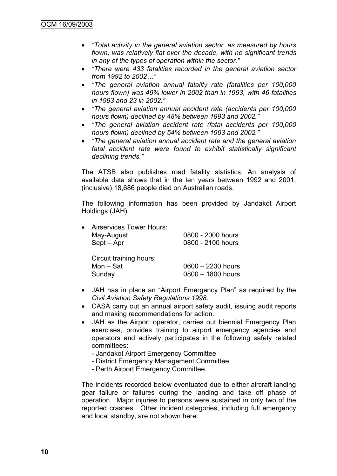- *"Total activity in the general aviation sector, as measured by hours flown, was relatively flat over the decade, with no significant trends in any of the types of operation within the sector."*
- *"There were 433 fatalities recorded in the general aviation sector from 1992 to 2002…"*
- *"The general aviation annual fatality rate (fatalities per 100,000 hours flown) was 49% lower in 2002 than in 1993, with 46 fatalities in 1993 and 23 in 2002."*
- *"The general aviation annual accident rate (accidents per 100,000 hours flown) declined by 48% between 1993 and 2002."*
- *"The general aviation accident rate (fatal accidents per 100,000 hours flown) declined by 54% between 1993 and 2002."*
- *"The general aviation annual accident rate and the general aviation fatal accident rate were found to exhibit statistically significant declining trends."*

The ATSB also publishes road fatality statistics. An analysis of available data shows that in the ten years between 1992 and 2001, (inclusive) 18,686 people died on Australian roads.

The following information has been provided by Jandakot Airport Holdings (JAH):

| • Airservices Tower Hours: |                   |
|----------------------------|-------------------|
| May-August                 | 0800 - 2000 hours |
| Sept – Apr                 | 0800 - 2100 hours |
|                            |                   |

| Circuit training hours: |                     |
|-------------------------|---------------------|
| Mon – Sat               | $0600 - 2230$ hours |
| Sunday                  | 0800 - 1800 hours   |

- JAH has in place an "Airport Emergency Plan" as required by the *Civil Aviation Safety Regulations 1998*.
- CASA carry out an annual airport safety audit, issuing audit reports and making recommendations for action.
- JAH as the Airport operator, carries out biennial Emergency Plan exercises, provides training to airport emergency agencies and operators and actively participates in the following safety related committees:
	- Jandakot Airport Emergency Committee
	- District Emergency Management Committee
	- Perth Airport Emergency Committee

The incidents recorded below eventuated due to either aircraft landing gear failure or failures during the landing and take off phase of operation. Major injuries to persons were sustained in only two of the reported crashes. Other incident categories, including full emergency and local standby, are not shown here.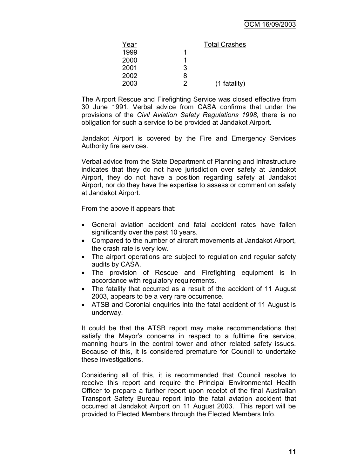| Year |   | <b>Total Crashes</b> |
|------|---|----------------------|
| 1999 |   |                      |
| 2000 |   |                      |
| 2001 | 3 |                      |
| 2002 | 8 |                      |
| 2003 | っ | (1 fatality)         |

The Airport Rescue and Firefighting Service was closed effective from 30 June 1991. Verbal advice from CASA confirms that under the provisions of the *Civil Aviation Safety Regulations 1998,* there is no obligation for such a service to be provided at Jandakot Airport.

Jandakot Airport is covered by the Fire and Emergency Services Authority fire services.

Verbal advice from the State Department of Planning and Infrastructure indicates that they do not have jurisdiction over safety at Jandakot Airport, they do not have a position regarding safety at Jandakot Airport, nor do they have the expertise to assess or comment on safety at Jandakot Airport.

From the above it appears that:

- General aviation accident and fatal accident rates have fallen significantly over the past 10 years.
- Compared to the number of aircraft movements at Jandakot Airport, the crash rate is very low.
- The airport operations are subject to regulation and regular safety audits by CASA.
- The provision of Rescue and Firefighting equipment is in accordance with regulatory requirements.
- The fatality that occurred as a result of the accident of 11 August 2003, appears to be a very rare occurrence.
- ATSB and Coronial enquiries into the fatal accident of 11 August is underway.

It could be that the ATSB report may make recommendations that satisfy the Mayor's concerns in respect to a fulltime fire service, manning hours in the control tower and other related safety issues. Because of this, it is considered premature for Council to undertake these investigations.

Considering all of this, it is recommended that Council resolve to receive this report and require the Principal Environmental Health Officer to prepare a further report upon receipt of the final Australian Transport Safety Bureau report into the fatal aviation accident that occurred at Jandakot Airport on 11 August 2003. This report will be provided to Elected Members through the Elected Members Info.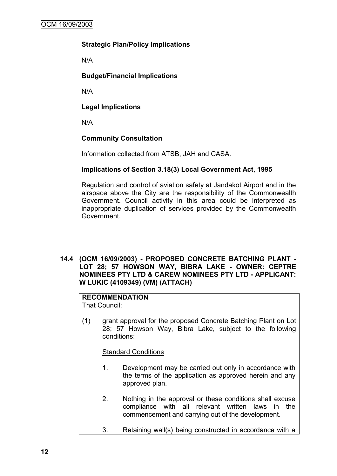#### **Strategic Plan/Policy Implications**

N/A

#### **Budget/Financial Implications**

N/A

#### **Legal Implications**

N/A

#### **Community Consultation**

Information collected from ATSB, JAH and CASA.

#### **Implications of Section 3.18(3) Local Government Act, 1995**

Regulation and control of aviation safety at Jandakot Airport and in the airspace above the City are the responsibility of the Commonwealth Government. Council activity in this area could be interpreted as inappropriate duplication of services provided by the Commonwealth Government.

#### **14.4 (OCM 16/09/2003) - PROPOSED CONCRETE BATCHING PLANT - LOT 28; 57 HOWSON WAY, BIBRA LAKE - OWNER: CEPTRE NOMINEES PTY LTD & CAREW NOMINEES PTY LTD - APPLICANT: W LUKIC (4109349) (VM) (ATTACH)**

## **RECOMMENDATION**

That Council:

(1) grant approval for the proposed Concrete Batching Plant on Lot 28; 57 Howson Way, Bibra Lake, subject to the following conditions:

Standard Conditions

- 1. Development may be carried out only in accordance with the terms of the application as approved herein and any approved plan.
- 2. Nothing in the approval or these conditions shall excuse compliance with all relevant written laws in the commencement and carrying out of the development.
- 3. Retaining wall(s) being constructed in accordance with a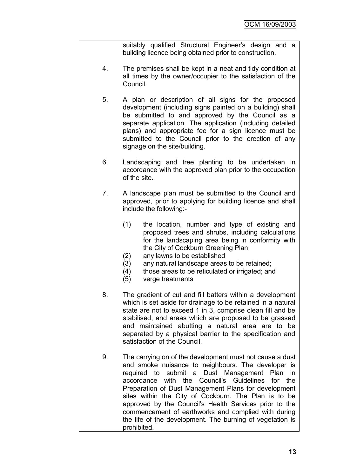suitably qualified Structural Engineer's design and a building licence being obtained prior to construction.

- 4. The premises shall be kept in a neat and tidy condition at all times by the owner/occupier to the satisfaction of the Council.
- 5. A plan or description of all signs for the proposed development (including signs painted on a building) shall be submitted to and approved by the Council as a separate application. The application (including detailed plans) and appropriate fee for a sign licence must be submitted to the Council prior to the erection of any signage on the site/building.
- 6. Landscaping and tree planting to be undertaken in accordance with the approved plan prior to the occupation of the site.
- 7. A landscape plan must be submitted to the Council and approved, prior to applying for building licence and shall include the following:-
	- (1) the location, number and type of existing and proposed trees and shrubs, including calculations for the landscaping area being in conformity with the City of Cockburn Greening Plan
	- (2) any lawns to be established
	- (3) any natural landscape areas to be retained;
	- (4) those areas to be reticulated or irrigated; and
	- (5) verge treatments
- 8. The gradient of cut and fill batters within a development which is set aside for drainage to be retained in a natural state are not to exceed 1 in 3, comprise clean fill and be stabilised, and areas which are proposed to be grassed and maintained abutting a natural area are to be separated by a physical barrier to the specification and satisfaction of the Council.
- 9. The carrying on of the development must not cause a dust and smoke nuisance to neighbours. The developer is required to submit a Dust Management Plan in accordance with the Council"s Guidelines for the Preparation of Dust Management Plans for development sites within the City of Cockburn. The Plan is to be approved by the Council"s Health Services prior to the commencement of earthworks and complied with during the life of the development. The burning of vegetation is prohibited.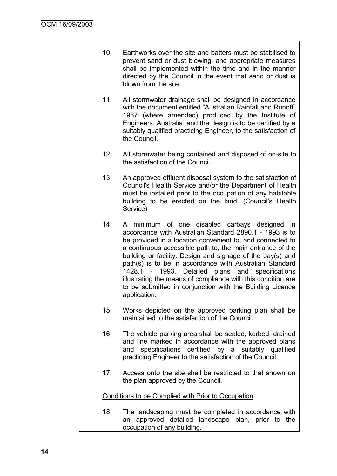- 10. Earthworks over the site and batters must be stabilised to prevent sand or dust blowing, and appropriate measures shall be implemented within the time and in the manner directed by the Council in the event that sand or dust is blown from the site.
- 11. All stormwater drainage shall be designed in accordance with the document entitled "Australian Rainfall and Runoff" 1987 (where amended) produced by the Institute of Engineers, Australia, and the design is to be certified by a suitably qualified practicing Engineer, to the satisfaction of the Council.
- 12. All stormwater being contained and disposed of on-site to the satisfaction of the Council.
- 13. An approved effluent disposal system to the satisfaction of Council's Health Service and/or the Department of Health must be installed prior to the occupation of any habitable building to be erected on the land. (Council"s Health Service)
- 14. A minimum of one disabled carbays designed in accordance with Australian Standard 2890.1 - 1993 is to be provided in a location convenient to, and connected to a continuous accessible path to, the main entrance of the building or facility. Design and signage of the bay(s) and path(s) is to be in accordance with Australian Standard 1428.1 - 1993. Detailed plans and specifications illustrating the means of compliance with this condition are to be submitted in conjunction with the Building Licence application.
- 15. Works depicted on the approved parking plan shall be maintained to the satisfaction of the Council.
- 16. The vehicle parking area shall be sealed, kerbed, drained and line marked in accordance with the approved plans and specifications certified by a suitably qualified practicing Engineer to the satisfaction of the Council.
- 17. Access onto the site shall be restricted to that shown on the plan approved by the Council.

#### Conditions to be Complied with Prior to Occupation

18. The landscaping must be completed in accordance with an approved detailed landscape plan, prior to the occupation of any building.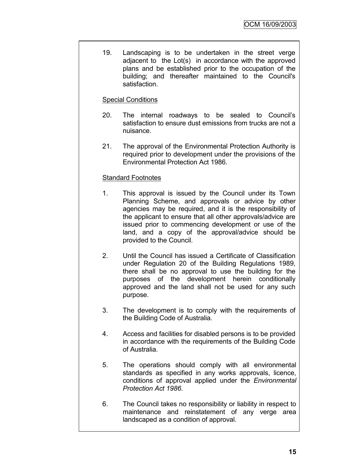19. Landscaping is to be undertaken in the street verge adjacent to the Lot(s) in accordance with the approved plans and be established prior to the occupation of the building; and thereafter maintained to the Council's satisfaction.

#### Special Conditions

- 20. The internal roadways to be sealed to Council"s satisfaction to ensure dust emissions from trucks are not a nuisance.
- 21. The approval of the Environmental Protection Authority is required prior to development under the provisions of the Environmental Protection Act 1986.

#### Standard Footnotes

- 1. This approval is issued by the Council under its Town Planning Scheme, and approvals or advice by other agencies may be required, and it is the responsibility of the applicant to ensure that all other approvals/advice are issued prior to commencing development or use of the land, and a copy of the approval/advice should be provided to the Council.
- 2. Until the Council has issued a Certificate of Classification under Regulation 20 of the Building Regulations 1989, there shall be no approval to use the building for the purposes of the development herein conditionally approved and the land shall not be used for any such purpose.
- 3. The development is to comply with the requirements of the Building Code of Australia.
- 4. Access and facilities for disabled persons is to be provided in accordance with the requirements of the Building Code of Australia.
- 5. The operations should comply with all environmental standards as specified in any works approvals, licence, conditions of approval applied under the *Environmental Protection Act 1986*.
- 6. The Council takes no responsibility or liability in respect to maintenance and reinstatement of any verge area landscaped as a condition of approval.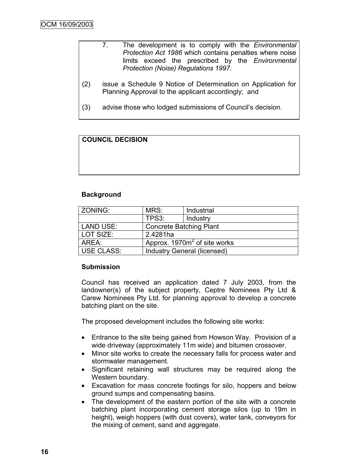|     | The development is to comply with the <i>Environmental</i><br>Protection Act 1986 which contains penalties where noise<br>limits exceed the prescribed by the Environmental<br>Protection (Noise) Regulations 1997. |
|-----|---------------------------------------------------------------------------------------------------------------------------------------------------------------------------------------------------------------------|
| (2) | issue a Schedule 9 Notice of Determination on Application for<br>Planning Approval to the applicant accordingly; and                                                                                                |
| (3) | advise those who lodged submissions of Council's decision.                                                                                                                                                          |

#### **COUNCIL DECISION**

#### **Background**

| ZONING:                                            | MRS:                            | Industrial |  |
|----------------------------------------------------|---------------------------------|------------|--|
|                                                    | TPS3:                           | Industry   |  |
| <b>LAND USE:</b><br><b>Concrete Batching Plant</b> |                                 |            |  |
| LOT SIZE:                                          | 2.4281ha                        |            |  |
| AREA:                                              | Approx. $1970m^2$ of site works |            |  |
| <b>USE CLASS:</b>                                  | Industry General (licensed)     |            |  |

#### **Submission**

Council has received an application dated 7 July 2003, from the landowner(s) of the subject property, Ceptre Nominees Pty Ltd & Carew Nominees Pty Ltd, for planning approval to develop a concrete batching plant on the site.

The proposed development includes the following site works:

- Entrance to the site being gained from Howson Way. Provision of a wide driveway (approximately 11m wide) and bitumen crossover.
- Minor site works to create the necessary falls for process water and stormwater management.
- Significant retaining wall structures may be required along the Western boundary.
- Excavation for mass concrete footings for silo, hoppers and below ground sumps and compensating basins.
- The development of the eastern portion of the site with a concrete batching plant incorporating cement storage silos (up to 19m in height), weigh hoppers (with dust covers), water tank, conveyors for the mixing of cement, sand and aggregate.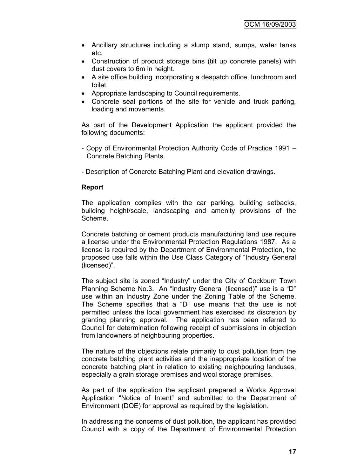- Ancillary structures including a slump stand, sumps, water tanks etc.
- Construction of product storage bins (tilt up concrete panels) with dust covers to 6m in height.
- A site office building incorporating a despatch office, lunchroom and toilet.
- Appropriate landscaping to Council requirements.
- Concrete seal portions of the site for vehicle and truck parking, loading and movements.

As part of the Development Application the applicant provided the following documents:

- Copy of Environmental Protection Authority Code of Practice 1991 Concrete Batching Plants.
- Description of Concrete Batching Plant and elevation drawings.

#### **Report**

The application complies with the car parking, building setbacks, building height/scale, landscaping and amenity provisions of the Scheme.

Concrete batching or cement products manufacturing land use require a license under the Environmental Protection Regulations 1987. As a license is required by the Department of Environmental Protection, the proposed use falls within the Use Class Category of "Industry General (licensed)".

The subject site is zoned "Industry" under the City of Cockburn Town Planning Scheme No.3. An "Industry General (licensed)" use is a "D" use within an Industry Zone under the Zoning Table of the Scheme. The Scheme specifies that a "D" use means that the use is not permitted unless the local government has exercised its discretion by granting planning approval. The application has been referred to Council for determination following receipt of submissions in objection from landowners of neighbouring properties.

The nature of the objections relate primarily to dust pollution from the concrete batching plant activities and the inappropriate location of the concrete batching plant in relation to existing neighbouring landuses, especially a grain storage premises and wool storage premises.

As part of the application the applicant prepared a Works Approval Application "Notice of Intent" and submitted to the Department of Environment (DOE) for approval as required by the legislation.

In addressing the concerns of dust pollution, the applicant has provided Council with a copy of the Department of Environmental Protection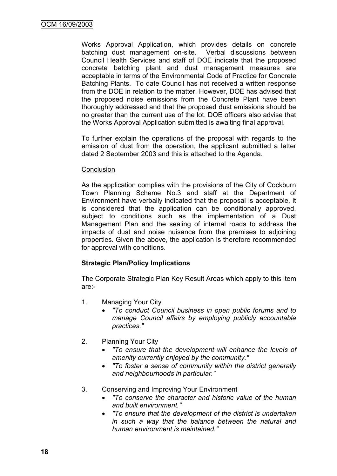Works Approval Application, which provides details on concrete batching dust management on-site. Verbal discussions between Council Health Services and staff of DOE indicate that the proposed concrete batching plant and dust management measures are acceptable in terms of the Environmental Code of Practice for Concrete Batching Plants. To date Council has not received a written response from the DOE in relation to the matter. However, DOE has advised that the proposed noise emissions from the Concrete Plant have been thoroughly addressed and that the proposed dust emissions should be no greater than the current use of the lot. DOE officers also advise that the Works Approval Application submitted is awaiting final approval.

To further explain the operations of the proposal with regards to the emission of dust from the operation, the applicant submitted a letter dated 2 September 2003 and this is attached to the Agenda.

#### **Conclusion**

As the application complies with the provisions of the City of Cockburn Town Planning Scheme No.3 and staff at the Department of Environment have verbally indicated that the proposal is acceptable, it is considered that the application can be conditionally approved, subject to conditions such as the implementation of a Dust Management Plan and the sealing of internal roads to address the impacts of dust and noise nuisance from the premises to adjoining properties. Given the above, the application is therefore recommended for approval with conditions.

#### **Strategic Plan/Policy Implications**

The Corporate Strategic Plan Key Result Areas which apply to this item are:-

- 1. Managing Your City
	- *"To conduct Council business in open public forums and to manage Council affairs by employing publicly accountable practices."*
- 2. Planning Your City
	- *"To ensure that the development will enhance the levels of amenity currently enjoyed by the community."*
	- *"To foster a sense of community within the district generally and neighbourhoods in particular."*
- 3. Conserving and Improving Your Environment
	- *"To conserve the character and historic value of the human and built environment."*
	- *"To ensure that the development of the district is undertaken in such a way that the balance between the natural and human environment is maintained."*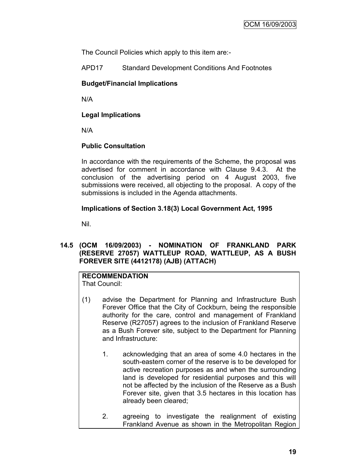The Council Policies which apply to this item are:-

APD17 Standard Development Conditions And Footnotes

#### **Budget/Financial Implications**

N/A

#### **Legal Implications**

N/A

#### **Public Consultation**

In accordance with the requirements of the Scheme, the proposal was advertised for comment in accordance with Clause 9.4.3. At the conclusion of the advertising period on 4 August 2003, five submissions were received, all objecting to the proposal. A copy of the submissions is included in the Agenda attachments.

#### **Implications of Section 3.18(3) Local Government Act, 1995**

Nil.

#### **14.5 (OCM 16/09/2003) - NOMINATION OF FRANKLAND PARK (RESERVE 27057) WATTLEUP ROAD, WATTLEUP, AS A BUSH FOREVER SITE (4412178) (AJB) (ATTACH)**

#### **RECOMMENDATION** That Council:

- 
- (1) advise the Department for Planning and Infrastructure Bush Forever Office that the City of Cockburn, being the responsible authority for the care, control and management of Frankland Reserve (R27057) agrees to the inclusion of Frankland Reserve as a Bush Forever site, subject to the Department for Planning and Infrastructure:
	- 1. acknowledging that an area of some 4.0 hectares in the south-eastern corner of the reserve is to be developed for active recreation purposes as and when the surrounding land is developed for residential purposes and this will not be affected by the inclusion of the Reserve as a Bush Forever site, given that 3.5 hectares in this location has already been cleared;
	- 2. agreeing to investigate the realignment of existing Frankland Avenue as shown in the Metropolitan Region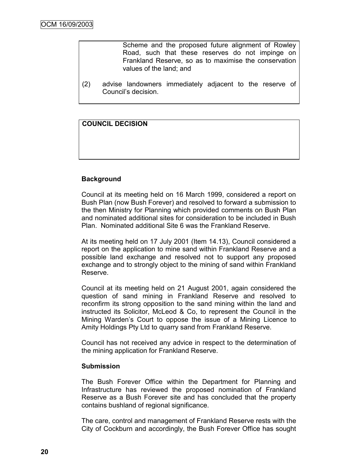Scheme and the proposed future alignment of Rowley Road, such that these reserves do not impinge on Frankland Reserve, so as to maximise the conservation values of the land; and

(2) advise landowners immediately adjacent to the reserve of Council"s decision.

**COUNCIL DECISION**

#### **Background**

Council at its meeting held on 16 March 1999, considered a report on Bush Plan (now Bush Forever) and resolved to forward a submission to the then Ministry for Planning which provided comments on Bush Plan and nominated additional sites for consideration to be included in Bush Plan. Nominated additional Site 6 was the Frankland Reserve.

At its meeting held on 17 July 2001 (Item 14.13), Council considered a report on the application to mine sand within Frankland Reserve and a possible land exchange and resolved not to support any proposed exchange and to strongly object to the mining of sand within Frankland Reserve.

Council at its meeting held on 21 August 2001, again considered the question of sand mining in Frankland Reserve and resolved to reconfirm its strong opposition to the sand mining within the land and instructed its Solicitor, McLeod & Co, to represent the Council in the Mining Warden"s Court to oppose the issue of a Mining Licence to Amity Holdings Pty Ltd to quarry sand from Frankland Reserve.

Council has not received any advice in respect to the determination of the mining application for Frankland Reserve.

#### **Submission**

The Bush Forever Office within the Department for Planning and Infrastructure has reviewed the proposed nomination of Frankland Reserve as a Bush Forever site and has concluded that the property contains bushland of regional significance.

The care, control and management of Frankland Reserve rests with the City of Cockburn and accordingly, the Bush Forever Office has sought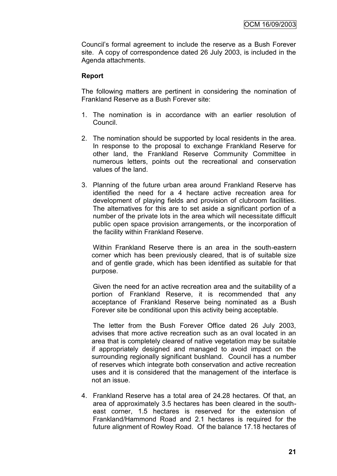Council"s formal agreement to include the reserve as a Bush Forever site. A copy of correspondence dated 26 July 2003, is included in the Agenda attachments.

#### **Report**

The following matters are pertinent in considering the nomination of Frankland Reserve as a Bush Forever site:

- 1. The nomination is in accordance with an earlier resolution of Council.
- 2. The nomination should be supported by local residents in the area. In response to the proposal to exchange Frankland Reserve for other land, the Frankland Reserve Community Committee in numerous letters, points out the recreational and conservation values of the land.
- 3. Planning of the future urban area around Frankland Reserve has identified the need for a 4 hectare active recreation area for development of playing fields and provision of clubroom facilities. The alternatives for this are to set aside a significant portion of a number of the private lots in the area which will necessitate difficult public open space provision arrangements, or the incorporation of the facility within Frankland Reserve.

Within Frankland Reserve there is an area in the south-eastern corner which has been previously cleared, that is of suitable size and of gentle grade, which has been identified as suitable for that purpose.

Given the need for an active recreation area and the suitability of a portion of Frankland Reserve, it is recommended that any acceptance of Frankland Reserve being nominated as a Bush Forever site be conditional upon this activity being acceptable.

The letter from the Bush Forever Office dated 26 July 2003, advises that more active recreation such as an oval located in an area that is completely cleared of native vegetation may be suitable if appropriately designed and managed to avoid impact on the surrounding regionally significant bushland. Council has a number of reserves which integrate both conservation and active recreation uses and it is considered that the management of the interface is not an issue.

4. Frankland Reserve has a total area of 24.28 hectares. Of that, an area of approximately 3.5 hectares has been cleared in the southeast corner, 1.5 hectares is reserved for the extension of Frankland/Hammond Road and 2.1 hectares is required for the future alignment of Rowley Road. Of the balance 17.18 hectares of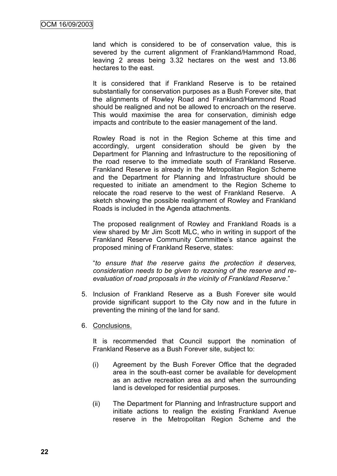land which is considered to be of conservation value, this is severed by the current alignment of Frankland/Hammond Road, leaving 2 areas being 3.32 hectares on the west and 13.86 hectares to the east.

It is considered that if Frankland Reserve is to be retained substantially for conservation purposes as a Bush Forever site, that the alignments of Rowley Road and Frankland/Hammond Road should be realigned and not be allowed to encroach on the reserve. This would maximise the area for conservation, diminish edge impacts and contribute to the easier management of the land.

Rowley Road is not in the Region Scheme at this time and accordingly, urgent consideration should be given by the Department for Planning and Infrastructure to the repositioning of the road reserve to the immediate south of Frankland Reserve. Frankland Reserve is already in the Metropolitan Region Scheme and the Department for Planning and Infrastructure should be requested to initiate an amendment to the Region Scheme to relocate the road reserve to the west of Frankland Reserve. A sketch showing the possible realignment of Rowley and Frankland Roads is included in the Agenda attachments.

The proposed realignment of Rowley and Frankland Roads is a view shared by Mr Jim Scott MLC, who in writing in support of the Frankland Reserve Community Committee"s stance against the proposed mining of Frankland Reserve, states:

"*to ensure that the reserve gains the protection it deserves, consideration needs to be given to rezoning of the reserve and reevaluation of road proposals in the vicinity of Frankland Reserve*."

- 5. Inclusion of Frankland Reserve as a Bush Forever site would provide significant support to the City now and in the future in preventing the mining of the land for sand.
- 6. Conclusions.

It is recommended that Council support the nomination of Frankland Reserve as a Bush Forever site, subject to:

- (i) Agreement by the Bush Forever Office that the degraded area in the south-east corner be available for development as an active recreation area as and when the surrounding land is developed for residential purposes.
- (ii) The Department for Planning and Infrastructure support and initiate actions to realign the existing Frankland Avenue reserve in the Metropolitan Region Scheme and the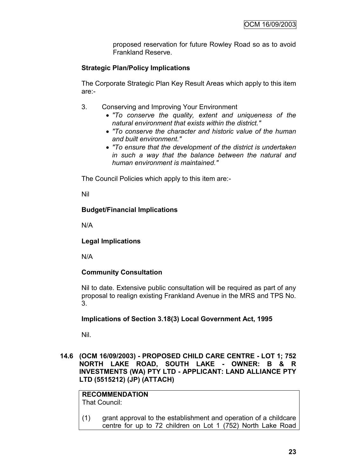proposed reservation for future Rowley Road so as to avoid Frankland Reserve.

#### **Strategic Plan/Policy Implications**

The Corporate Strategic Plan Key Result Areas which apply to this item are:-

- 3. Conserving and Improving Your Environment
	- *"To conserve the quality, extent and uniqueness of the natural environment that exists within the district."*
	- *"To conserve the character and historic value of the human and built environment."*
	- *"To ensure that the development of the district is undertaken in such a way that the balance between the natural and human environment is maintained."*

The Council Policies which apply to this item are:-

Nil

#### **Budget/Financial Implications**

N/A

#### **Legal Implications**

N/A

#### **Community Consultation**

Nil to date. Extensive public consultation will be required as part of any proposal to realign existing Frankland Avenue in the MRS and TPS No. 3.

#### **Implications of Section 3.18(3) Local Government Act, 1995**

Nil.

**14.6 (OCM 16/09/2003) - PROPOSED CHILD CARE CENTRE - LOT 1; 752 NORTH LAKE ROAD, SOUTH LAKE - OWNER: B & R INVESTMENTS (WA) PTY LTD - APPLICANT: LAND ALLIANCE PTY LTD (5515212) (JP) (ATTACH)**

### **RECOMMENDATION**

That Council:

(1) grant approval to the establishment and operation of a childcare centre for up to 72 children on Lot 1 (752) North Lake Road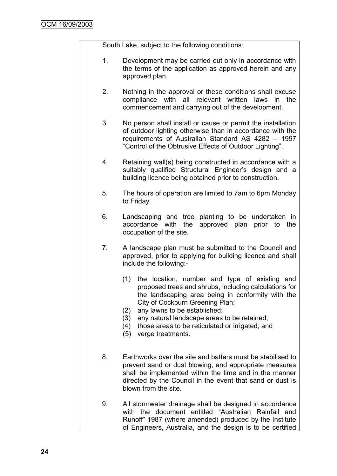South Lake, subject to the following conditions:

- 1. Development may be carried out only in accordance with the terms of the application as approved herein and any approved plan.
- 2. Nothing in the approval or these conditions shall excuse compliance with all relevant written laws in the commencement and carrying out of the development.
- 3. No person shall install or cause or permit the installation of outdoor lighting otherwise than in accordance with the requirements of Australian Standard AS 4282 – 1997 "Control of the Obtrusive Effects of Outdoor Lighting".
- 4. Retaining wall(s) being constructed in accordance with a suitably qualified Structural Engineer's design and a building licence being obtained prior to construction.
- 5. The hours of operation are limited to 7am to 6pm Monday to Friday.
- 6. Landscaping and tree planting to be undertaken in accordance with the approved plan prior to the occupation of the site.
- 7. A landscape plan must be submitted to the Council and approved, prior to applying for building licence and shall include the following:-
	- (1) the location, number and type of existing and proposed trees and shrubs, including calculations for the landscaping area being in conformity with the City of Cockburn Greening Plan;
	- (2) any lawns to be established;
	- (3) any natural landscape areas to be retained;
	- (4) those areas to be reticulated or irrigated; and
	- (5) verge treatments.
- 8. Earthworks over the site and batters must be stabilised to prevent sand or dust blowing, and appropriate measures shall be implemented within the time and in the manner directed by the Council in the event that sand or dust is blown from the site.
- 9. All stormwater drainage shall be designed in accordance with the document entitled "Australian Rainfall and Runoff" 1987 (where amended) produced by the Institute of Engineers, Australia, and the design is to be certified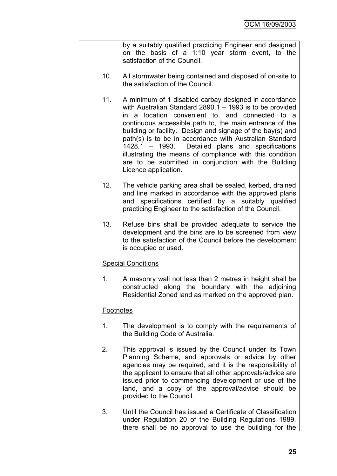by a suitably qualified practicing Engineer and designed on the basis of a 1:10 year storm event, to the satisfaction of the Council.

- 10. All stormwater being contained and disposed of on-site to the satisfaction of the Council.
- 11. A minimum of 1 disabled carbay designed in accordance with Australian Standard 2890.1 – 1993 is to be provided in a location convenient to, and connected to a continuous accessible path to, the main entrance of the building or facility. Design and signage of the bay(s) and path(s) is to be in accordance with Australian Standard 1428.1 – 1993. Detailed plans and specifications illustrating the means of compliance with this condition are to be submitted in conjunction with the Building Licence application.
- 12. The vehicle parking area shall be sealed, kerbed, drained and line marked in accordance with the approved plans and specifications certified by a suitably qualified practicing Engineer to the satisfaction of the Council.
- 13. Refuse bins shall be provided adequate to service the development and the bins are to be screened from view to the satisfaction of the Council before the development is occupied or used.

#### Special Conditions

1. A masonry wall not less than 2 metres in height shall be constructed along the boundary with the adjoining Residential Zoned land as marked on the approved plan.

#### **Footnotes**

- 1. The development is to comply with the requirements of the Building Code of Australia.
- 2. This approval is issued by the Council under its Town Planning Scheme, and approvals or advice by other agencies may be required, and it is the responsibility of the applicant to ensure that all other approvals/advice are issued prior to commencing development or use of the land, and a copy of the approval/advice should be provided to the Council.
- 3. Until the Council has issued a Certificate of Classification under Regulation 20 of the Building Regulations 1989, there shall be no approval to use the building for the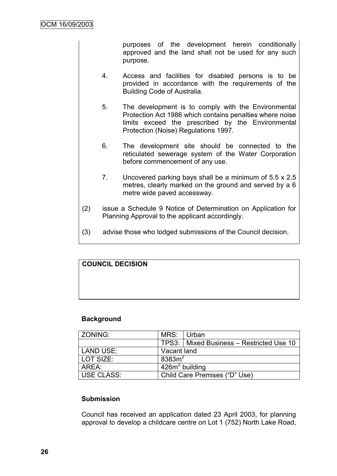purposes of the development herein conditionally approved and the land shall not be used for any such purpose.

- 4. Access and facilities for disabled persons is to be provided in accordance with the requirements of the Building Code of Australia.
- 5. The development is to comply with the Environmental Protection Act 1986 which contains penalties where noise limits exceed the prescribed by the Environmental Protection (Noise) Regulations 1997.
- 6. The development site should be connected to the reticulated sewerage system of the Water Corporation before commencement of any use.
- 7. Uncovered parking bays shall be a minimum of 5.5 x 2.5 metres, clearly marked on the ground and served by a 6 metre wide paved accessway.
- (2) issue a Schedule 9 Notice of Determination on Application for Planning Approval to the applicant accordingly.
- (3) advise those who lodged submissions of the Council decision.

# **COUNCIL DECISION**

#### **Background**

| ZONING:    | MRS: Urban                    |                                            |  |
|------------|-------------------------------|--------------------------------------------|--|
|            |                               | TPS3:   Mixed Business - Restricted Use 10 |  |
| LAND USE:  | Vacant land                   |                                            |  |
| LOT SIZE:  | 8383m <sup>2</sup>            |                                            |  |
| AREA:      | $426m2$ building              |                                            |  |
| USE CLASS: | Child Care Premises ("D" Use) |                                            |  |

#### **Submission**

Council has received an application dated 23 April 2003, for planning approval to develop a childcare centre on Lot 1 (752) North Lake Road,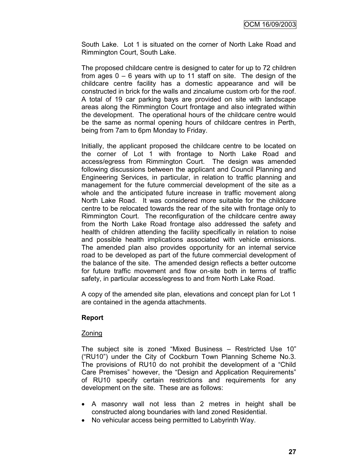South Lake. Lot 1 is situated on the corner of North Lake Road and Rimmington Court, South Lake.

The proposed childcare centre is designed to cater for up to 72 children from ages  $0 - 6$  years with up to 11 staff on site. The design of the childcare centre facility has a domestic appearance and will be constructed in brick for the walls and zincalume custom orb for the roof. A total of 19 car parking bays are provided on site with landscape areas along the Rimmington Court frontage and also integrated within the development. The operational hours of the childcare centre would be the same as normal opening hours of childcare centres in Perth, being from 7am to 6pm Monday to Friday.

Initially, the applicant proposed the childcare centre to be located on the corner of Lot 1 with frontage to North Lake Road and access/egress from Rimmington Court. The design was amended following discussions between the applicant and Council Planning and Engineering Services, in particular, in relation to traffic planning and management for the future commercial development of the site as a whole and the anticipated future increase in traffic movement along North Lake Road. It was considered more suitable for the childcare centre to be relocated towards the rear of the site with frontage only to Rimmington Court. The reconfiguration of the childcare centre away from the North Lake Road frontage also addressed the safety and health of children attending the facility specifically in relation to noise and possible health implications associated with vehicle emissions. The amended plan also provides opportunity for an internal service road to be developed as part of the future commercial development of the balance of the site. The amended design reflects a better outcome for future traffic movement and flow on-site both in terms of traffic safety, in particular access/egress to and from North Lake Road.

A copy of the amended site plan, elevations and concept plan for Lot 1 are contained in the agenda attachments.

#### **Report**

#### Zoning

The subject site is zoned "Mixed Business – Restricted Use 10" ("RU10") under the City of Cockburn Town Planning Scheme No.3. The provisions of RU10 do not prohibit the development of a "Child Care Premises" however, the "Design and Application Requirements" of RU10 specify certain restrictions and requirements for any development on the site. These are as follows:

- A masonry wall not less than 2 metres in height shall be constructed along boundaries with land zoned Residential.
- No vehicular access being permitted to Labyrinth Way.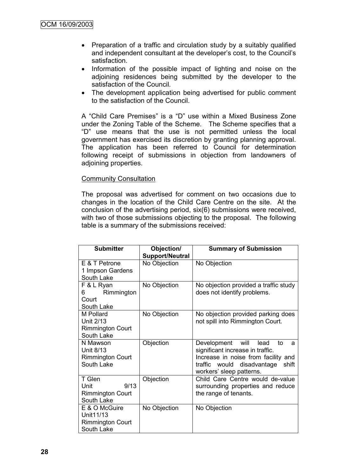- Preparation of a traffic and circulation study by a suitably qualified and independent consultant at the developer's cost, to the Council's satisfaction.
- Information of the possible impact of lighting and noise on the adjoining residences being submitted by the developer to the satisfaction of the Council.
- The development application being advertised for public comment to the satisfaction of the Council.

A "Child Care Premises" is a "D" use within a Mixed Business Zone under the Zoning Table of the Scheme. The Scheme specifies that a "D" use means that the use is not permitted unless the local government has exercised its discretion by granting planning approval. The application has been referred to Council for determination following receipt of submissions in objection from landowners of adjoining properties.

#### Community Consultation

The proposal was advertised for comment on two occasions due to changes in the location of the Child Care Centre on the site. At the conclusion of the advertising period, six(6) submissions were received, with two of those submissions objecting to the proposal. The following table is a summary of the submissions received:

| <b>Submitter</b>        | Objection/             | <b>Summary of Submission</b>          |  |  |
|-------------------------|------------------------|---------------------------------------|--|--|
|                         | <b>Support/Neutral</b> |                                       |  |  |
| E & T Petrone           | No Objection           | No Objection                          |  |  |
| 1 Impson Gardens        |                        |                                       |  |  |
| South Lake              |                        |                                       |  |  |
| F & L Ryan              | No Objection           | No objection provided a traffic study |  |  |
| Rimmington<br>6         |                        | does not identify problems.           |  |  |
| Court                   |                        |                                       |  |  |
| South Lake              |                        |                                       |  |  |
| M Pollard               | No Objection           | No objection provided parking does    |  |  |
| Unit 2/13               |                        | not spill into Rimmington Court.      |  |  |
| <b>Rimmington Court</b> |                        |                                       |  |  |
| South Lake              |                        |                                       |  |  |
| N Mawson                | Objection              | Development will<br>lead<br>to<br>a   |  |  |
| Unit 8/13               |                        | significant increase in traffic.      |  |  |
| <b>Rimmington Court</b> |                        | Increase in noise from facility and   |  |  |
| South Lake              |                        | traffic would disadvantage<br>shift   |  |  |
|                         |                        | workers' sleep patterns.              |  |  |
| T Glen                  | Objection              | Child Care Centre would de-value      |  |  |
| 9/13<br>Unit            |                        | surrounding properties and reduce     |  |  |
| <b>Rimmington Court</b> |                        | the range of tenants.                 |  |  |
| South Lake              |                        |                                       |  |  |
| E & O McGuire           | No Objection           | No Objection                          |  |  |
| Unit11/13               |                        |                                       |  |  |
| <b>Rimmington Court</b> |                        |                                       |  |  |
| South Lake              |                        |                                       |  |  |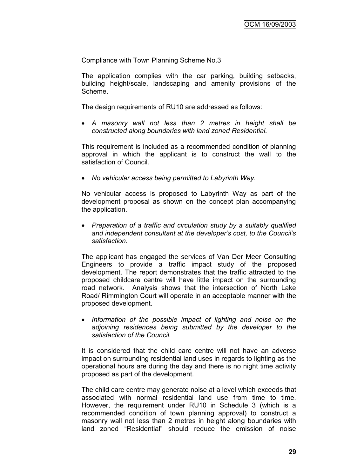Compliance with Town Planning Scheme No.3

The application complies with the car parking, building setbacks, building height/scale, landscaping and amenity provisions of the Scheme.

The design requirements of RU10 are addressed as follows:

 *A masonry wall not less than 2 metres in height shall be constructed along boundaries with land zoned Residential.*

This requirement is included as a recommended condition of planning approval in which the applicant is to construct the wall to the satisfaction of Council.

*No vehicular access being permitted to Labyrinth Way.*

No vehicular access is proposed to Labyrinth Way as part of the development proposal as shown on the concept plan accompanying the application.

 *Preparation of a traffic and circulation study by a suitably qualified and independent consultant at the developer"s cost, to the Council"s satisfaction.*

The applicant has engaged the services of Van Der Meer Consulting Engineers to provide a traffic impact study of the proposed development. The report demonstrates that the traffic attracted to the proposed childcare centre will have little impact on the surrounding road network. Analysis shows that the intersection of North Lake Road/ Rimmington Court will operate in an acceptable manner with the proposed development.

 *Information of the possible impact of lighting and noise on the adjoining residences being submitted by the developer to the satisfaction of the Council.*

It is considered that the child care centre will not have an adverse impact on surrounding residential land uses in regards to lighting as the operational hours are during the day and there is no night time activity proposed as part of the development.

The child care centre may generate noise at a level which exceeds that associated with normal residential land use from time to time. However, the requirement under RU10 in Schedule 3 (which is a recommended condition of town planning approval) to construct a masonry wall not less than 2 metres in height along boundaries with land zoned "Residential" should reduce the emission of noise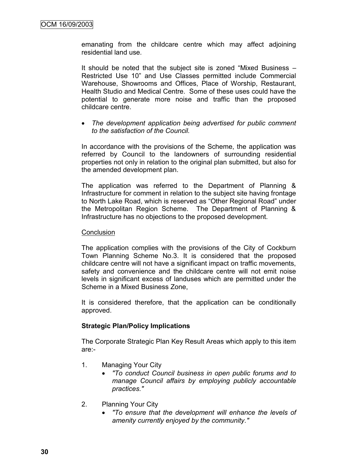emanating from the childcare centre which may affect adjoining residential land use*.* 

It should be noted that the subject site is zoned "Mixed Business – Restricted Use 10" and Use Classes permitted include Commercial Warehouse, Showrooms and Offices, Place of Worship, Restaurant, Health Studio and Medical Centre. Some of these uses could have the potential to generate more noise and traffic than the proposed childcare centre.

 *The development application being advertised for public comment to the satisfaction of the Council.*

In accordance with the provisions of the Scheme, the application was referred by Council to the landowners of surrounding residential properties not only in relation to the original plan submitted, but also for the amended development plan.

The application was referred to the Department of Planning & Infrastructure for comment in relation to the subject site having frontage to North Lake Road, which is reserved as "Other Regional Road" under the Metropolitan Region Scheme. The Department of Planning & Infrastructure has no objections to the proposed development.

#### **Conclusion**

The application complies with the provisions of the City of Cockburn Town Planning Scheme No.3. It is considered that the proposed childcare centre will not have a significant impact on traffic movements, safety and convenience and the childcare centre will not emit noise levels in significant excess of landuses which are permitted under the Scheme in a Mixed Business Zone,

It is considered therefore, that the application can be conditionally approved.

#### **Strategic Plan/Policy Implications**

The Corporate Strategic Plan Key Result Areas which apply to this item are:-

- 1. Managing Your City
	- *"To conduct Council business in open public forums and to manage Council affairs by employing publicly accountable practices."*
- 2. Planning Your City
	- *"To ensure that the development will enhance the levels of amenity currently enjoyed by the community."*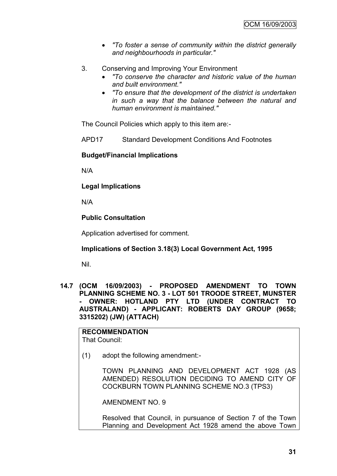- *"To foster a sense of community within the district generally and neighbourhoods in particular."*
- 3. Conserving and Improving Your Environment
	- *"To conserve the character and historic value of the human and built environment."*
	- *"To ensure that the development of the district is undertaken in such a way that the balance between the natural and human environment is maintained."*

The Council Policies which apply to this item are:-

APD17 Standard Development Conditions And Footnotes

#### **Budget/Financial Implications**

N/A

**Legal Implications**

N/A

#### **Public Consultation**

Application advertised for comment.

#### **Implications of Section 3.18(3) Local Government Act, 1995**

Nil.

**14.7 (OCM 16/09/2003) - PROPOSED AMENDMENT TO TOWN PLANNING SCHEME NO. 3 - LOT 501 TROODE STREET, MUNSTER - OWNER: HOTLAND PTY LTD (UNDER CONTRACT TO AUSTRALAND) - APPLICANT: ROBERTS DAY GROUP (9658; 3315202) (JW) (ATTACH)**

**RECOMMENDATION** That Council:

(1) adopt the following amendment:-

TOWN PLANNING AND DEVELOPMENT ACT 1928 (AS AMENDED) RESOLUTION DECIDING TO AMEND CITY OF COCKBURN TOWN PLANNING SCHEME NO.3 (TPS3)

AMENDMENT NO. 9

Resolved that Council, in pursuance of Section 7 of the Town Planning and Development Act 1928 amend the above Town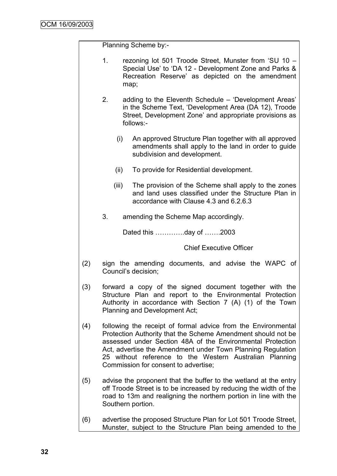Planning Scheme by:-

| rezoning lot 501 Troode Street, Munster from 'SU 10 - |  |  |  |  |
|-------------------------------------------------------|--|--|--|--|
| Special Use' to 'DA 12 - Development Zone and Parks & |  |  |  |  |
| Recreation Reserve' as depicted on the amendment      |  |  |  |  |
| map:                                                  |  |  |  |  |

2. adding to the Eleventh Schedule – "Development Areas" in the Scheme Text, "Development Area (DA 12), Troode Street, Development Zone" and appropriate provisions as follows:-

- (i) An approved Structure Plan together with all approved amendments shall apply to the land in order to guide subdivision and development.
- (ii) To provide for Residential development.
- (iii) The provision of the Scheme shall apply to the zones and land uses classified under the Structure Plan in accordance with Clause 4.3 and 6.2.6.3
- 3. amending the Scheme Map accordingly.

Dated this ………….day of …….2003

Chief Executive Officer

- (2) sign the amending documents, and advise the WAPC of Council"s decision;
- (3) forward a copy of the signed document together with the Structure Plan and report to the Environmental Protection Authority in accordance with Section 7 (A) (1) of the Town Planning and Development Act;
- (4) following the receipt of formal advice from the Environmental Protection Authority that the Scheme Amendment should not be assessed under Section 48A of the Environmental Protection Act, advertise the Amendment under Town Planning Regulation 25 without reference to the Western Australian Planning Commission for consent to advertise;
- (5) advise the proponent that the buffer to the wetland at the entry off Troode Street is to be increased by reducing the width of the road to 13m and realigning the northern portion in line with the Southern portion.
- (6) advertise the proposed Structure Plan for Lot 501 Troode Street, Munster, subject to the Structure Plan being amended to the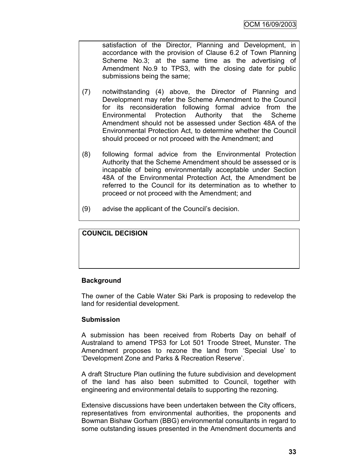satisfaction of the Director, Planning and Development, in accordance with the provision of Clause 6.2 of Town Planning Scheme No.3; at the same time as the advertising of Amendment No.9 to TPS3, with the closing date for public submissions being the same;

- (7) notwithstanding (4) above, the Director of Planning and Development may refer the Scheme Amendment to the Council for its reconsideration following formal advice from the Environmental Protection Authority that the Scheme Amendment should not be assessed under Section 48A of the Environmental Protection Act, to determine whether the Council should proceed or not proceed with the Amendment; and
- (8) following formal advice from the Environmental Protection Authority that the Scheme Amendment should be assessed or is incapable of being environmentally acceptable under Section 48A of the Environmental Protection Act, the Amendment be referred to the Council for its determination as to whether to proceed or not proceed with the Amendment; and
- (9) advise the applicant of the Council"s decision.

# **COUNCIL DECISION**

# **Background**

The owner of the Cable Water Ski Park is proposing to redevelop the land for residential development.

#### **Submission**

A submission has been received from Roberts Day on behalf of Australand to amend TPS3 for Lot 501 Troode Street, Munster. The Amendment proposes to rezone the land from "Special Use" to "Development Zone and Parks & Recreation Reserve".

A draft Structure Plan outlining the future subdivision and development of the land has also been submitted to Council, together with engineering and environmental details to supporting the rezoning.

Extensive discussions have been undertaken between the City officers, representatives from environmental authorities, the proponents and Bowman Bishaw Gorham (BBG) environmental consultants in regard to some outstanding issues presented in the Amendment documents and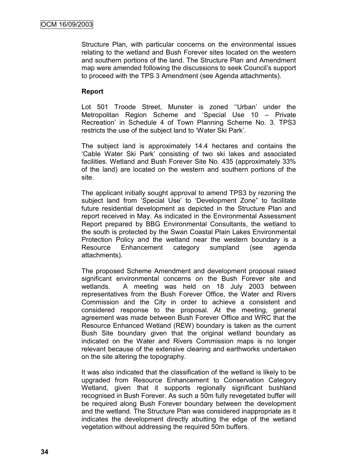Structure Plan, with particular concerns on the environmental issues relating to the wetland and Bush Forever sites located on the western and southern portions of the land. The Structure Plan and Amendment map were amended following the discussions to seek Council"s support to proceed with the TPS 3 Amendment (see Agenda attachments).

# **Report**

Lot 501 Troode Street, Munster is zoned "Urban' under the Metropolitan Region Scheme and "Special Use 10 – Private Recreation" in Schedule 4 of Town Planning Scheme No. 3. TPS3 restricts the use of the subject land to "Water Ski Park".

The subject land is approximately 14.4 hectares and contains the "Cable Water Ski Park" consisting of two ski lakes and associated facilities. Wetland and Bush Forever Site No. 435 (approximately 33% of the land) are located on the western and southern portions of the site.

The applicant initially sought approval to amend TPS3 by rezoning the subject land from 'Special Use' to 'Development Zone" to facilitate future residential development as depicted in the Structure Plan and report received in May. As indicated in the Environmental Assessment Report prepared by BBG Environmental Consultants, the wetland to the south is protected by the Swan Coastal Plain Lakes Environmental Protection Policy and the wetland near the western boundary is a Resource Enhancement category sumpland (see agenda attachments).

The proposed Scheme Amendment and development proposal raised significant environmental concerns on the Bush Forever site and wetlands. A meeting was held on 18 July 2003 between representatives from the Bush Forever Office, the Water and Rivers Commission and the City in order to achieve a consistent and considered response to the proposal. At the meeting, general agreement was made between Bush Forever Office and WRC that the Resource Enhanced Wetland (REW) boundary is taken as the current Bush Site boundary given that the original wetland boundary as indicated on the Water and Rivers Commission maps is no longer relevant because of the extensive clearing and earthworks undertaken on the site altering the topography.

It was also indicated that the classification of the wetland is likely to be upgraded from Resource Enhancement to Conservation Category Wetland, given that it supports regionally significant bushland recognised in Bush Forever. As such a 50m fully revegetated buffer will be required along Bush Forever boundary between the development and the wetland. The Structure Plan was considered inappropriate as it indicates the development directly abutting the edge of the wetland vegetation without addressing the required 50m buffers.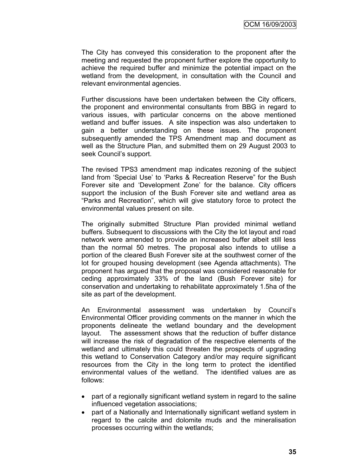The City has conveyed this consideration to the proponent after the meeting and requested the proponent further explore the opportunity to achieve the required buffer and minimize the potential impact on the wetland from the development, in consultation with the Council and relevant environmental agencies.

Further discussions have been undertaken between the City officers, the proponent and environmental consultants from BBG in regard to various issues, with particular concerns on the above mentioned wetland and buffer issues. A site inspection was also undertaken to gain a better understanding on these issues. The proponent subsequently amended the TPS Amendment map and document as well as the Structure Plan, and submitted them on 29 August 2003 to seek Council"s support.

The revised TPS3 amendment map indicates rezoning of the subject land from 'Special Use' to 'Parks & Recreation Reserve" for the Bush Forever site and "Development Zone" for the balance. City officers support the inclusion of the Bush Forever site and wetland area as "Parks and Recreation", which will give statutory force to protect the environmental values present on site.

The originally submitted Structure Plan provided minimal wetland buffers. Subsequent to discussions with the City the lot layout and road network were amended to provide an increased buffer albeit still less than the normal 50 metres. The proposal also intends to utilise a portion of the cleared Bush Forever site at the southwest corner of the lot for grouped housing development (see Agenda attachments). The proponent has argued that the proposal was considered reasonable for ceding approximately 33% of the land (Bush Forever site) for conservation and undertaking to rehabilitate approximately 1.5ha of the site as part of the development.

An Environmental assessment was undertaken by Council"s Environmental Officer providing comments on the manner in which the proponents delineate the wetland boundary and the development layout. The assessment shows that the reduction of buffer distance will increase the risk of degradation of the respective elements of the wetland and ultimately this could threaten the prospects of upgrading this wetland to Conservation Category and/or may require significant resources from the City in the long term to protect the identified environmental values of the wetland. The identified values are as follows:

- part of a regionally significant wetland system in regard to the saline influenced vegetation associations;
- part of a Nationally and Internationally significant wetland system in regard to the calcite and dolomite muds and the mineralisation processes occurring within the wetlands;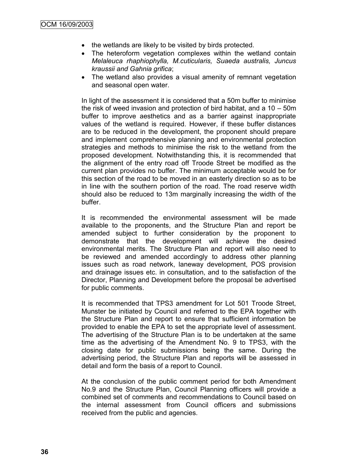- the wetlands are likely to be visited by birds protected.
- The heteroform vegetation complexes within the wetland contain *Melaleuca rhaphiophylla, M.cuticularis, Suaeda australis, Juncus kraussii and Gahnia grifica*;
- The wetland also provides a visual amenity of remnant vegetation and seasonal open water.

In light of the assessment it is considered that a 50m buffer to minimise the risk of weed invasion and protection of bird habitat, and a 10 – 50m buffer to improve aesthetics and as a barrier against inappropriate values of the wetland is required. However, if these buffer distances are to be reduced in the development, the proponent should prepare and implement comprehensive planning and environmental protection strategies and methods to minimise the risk to the wetland from the proposed development. Notwithstanding this, it is recommended that the alignment of the entry road off Troode Street be modified as the current plan provides no buffer. The minimum acceptable would be for this section of the road to be moved in an easterly direction so as to be in line with the southern portion of the road. The road reserve width should also be reduced to 13m marginally increasing the width of the buffer.

It is recommended the environmental assessment will be made available to the proponents, and the Structure Plan and report be amended subject to further consideration by the proponent to demonstrate that the development will achieve the desired environmental merits. The Structure Plan and report will also need to be reviewed and amended accordingly to address other planning issues such as road network, laneway development, POS provision and drainage issues etc. in consultation, and to the satisfaction of the Director, Planning and Development before the proposal be advertised for public comments.

It is recommended that TPS3 amendment for Lot 501 Troode Street, Munster be initiated by Council and referred to the EPA together with the Structure Plan and report to ensure that sufficient information be provided to enable the EPA to set the appropriate level of assessment. The advertising of the Structure Plan is to be undertaken at the same time as the advertising of the Amendment No. 9 to TPS3, with the closing date for public submissions being the same. During the advertising period, the Structure Plan and reports will be assessed in detail and form the basis of a report to Council.

At the conclusion of the public comment period for both Amendment No.9 and the Structure Plan, Council Planning officers will provide a combined set of comments and recommendations to Council based on the internal assessment from Council officers and submissions received from the public and agencies.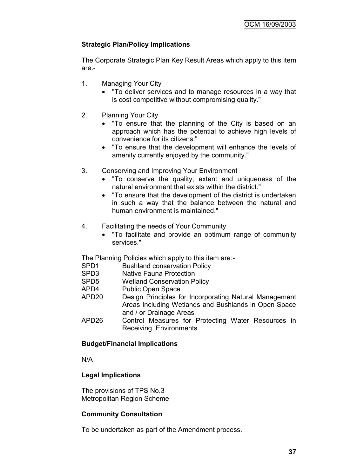# **Strategic Plan/Policy Implications**

The Corporate Strategic Plan Key Result Areas which apply to this item are:-

- 1. Managing Your City
	- "To deliver services and to manage resources in a way that is cost competitive without compromising quality."
- 2. Planning Your City
	- "To ensure that the planning of the City is based on an approach which has the potential to achieve high levels of convenience for its citizens."
	- "To ensure that the development will enhance the levels of amenity currently enjoyed by the community."
- 3. Conserving and Improving Your Environment
	- "To conserve the quality, extent and uniqueness of the natural environment that exists within the district."
	- "To ensure that the development of the district is undertaken in such a way that the balance between the natural and human environment is maintained."
- 4. Facilitating the needs of Your Community
	- "To facilitate and provide an optimum range of community services."

The Planning Policies which apply to this item are:-

- SPD1 Bushland conservation Policy
- SPD3 Native Fauna Protection
- SPD5 Wetland Conservation Policy
- APD4 Public Open Space
- APD20 Design Principles for Incorporating Natural Management Areas Including Wetlands and Bushlands in Open Space and / or Drainage Areas
- APD26 Control Measures for Protecting Water Resources in Receiving Environments

# **Budget/Financial Implications**

N/A

# **Legal Implications**

The provisions of TPS No.3 Metropolitan Region Scheme

# **Community Consultation**

To be undertaken as part of the Amendment process.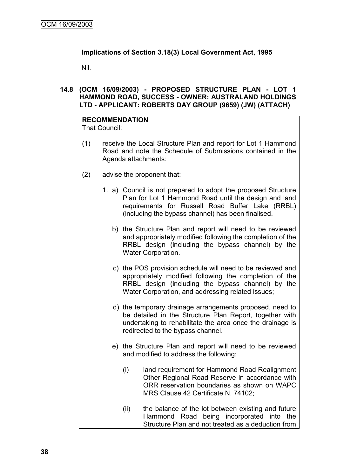# **Implications of Section 3.18(3) Local Government Act, 1995**

Nil.

# **14.8 (OCM 16/09/2003) - PROPOSED STRUCTURE PLAN - LOT 1 HAMMOND ROAD, SUCCESS - OWNER: AUSTRALAND HOLDINGS LTD - APPLICANT: ROBERTS DAY GROUP (9659) (JW) (ATTACH)**

#### **RECOMMENDATION** That Council:

- (1) receive the Local Structure Plan and report for Lot 1 Hammond Road and note the Schedule of Submissions contained in the Agenda attachments:
- (2) advise the proponent that:
	- 1. a) Council is not prepared to adopt the proposed Structure Plan for Lot 1 Hammond Road until the design and land requirements for Russell Road Buffer Lake (RRBL) (including the bypass channel) has been finalised.
		- b) the Structure Plan and report will need to be reviewed and appropriately modified following the completion of the RRBL design (including the bypass channel) by the Water Corporation.
		- c) the POS provision schedule will need to be reviewed and appropriately modified following the completion of the RRBL design (including the bypass channel) by the Water Corporation, and addressing related issues;
		- d) the temporary drainage arrangements proposed, need to be detailed in the Structure Plan Report, together with undertaking to rehabilitate the area once the drainage is redirected to the bypass channel.
		- e) the Structure Plan and report will need to be reviewed and modified to address the following:
			- (i) land requirement for Hammond Road Realignment Other Regional Road Reserve in accordance with ORR reservation boundaries as shown on WAPC MRS Clause 42 Certificate N. 74102;
			- (ii) the balance of the lot between existing and future Hammond Road being incorporated into the Structure Plan and not treated as a deduction from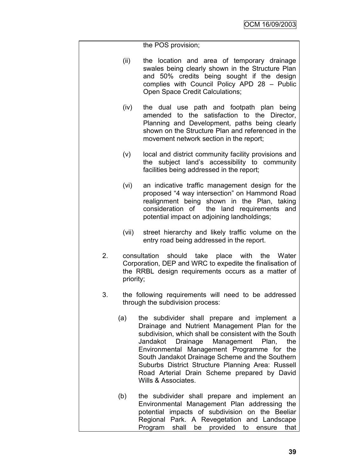- (ii) the location and area of temporary drainage swales being clearly shown in the Structure Plan and 50% credits being sought if the design complies with Council Policy APD 28 – Public Open Space Credit Calculations;
- (iv) the dual use path and footpath plan being amended to the satisfaction to the Director, Planning and Development, paths being clearly shown on the Structure Plan and referenced in the movement network section in the report;
- (v) local and district community facility provisions and the subject land"s accessibility to community facilities being addressed in the report;
- (vi) an indicative traffic management design for the proposed "4 way intersection" on Hammond Road realignment being shown in the Plan, taking consideration of the land requirements and potential impact on adjoining landholdings;
- (vii) street hierarchy and likely traffic volume on the entry road being addressed in the report.
- 2. consultation should take place with the Water Corporation, DEP and WRC to expedite the finalisation of the RRBL design requirements occurs as a matter of priority;
- 3. the following requirements will need to be addressed through the subdivision process:
	- (a) the subdivider shall prepare and implement a Drainage and Nutrient Management Plan for the subdivision, which shall be consistent with the South Jandakot Drainage Management Plan, the Environmental Management Programme for the South Jandakot Drainage Scheme and the Southern Suburbs District Structure Planning Area: Russell Road Arterial Drain Scheme prepared by David Wills & Associates.
	- (b) the subdivider shall prepare and implement an Environmental Management Plan addressing the potential impacts of subdivision on the Beeliar Regional Park. A Revegetation and Landscape Program shall be provided to ensure that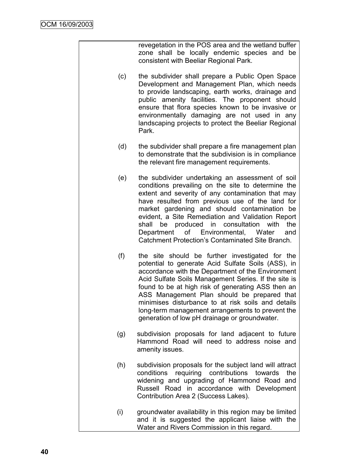revegetation in the POS area and the wetland buffer zone shall be locally endemic species and be consistent with Beeliar Regional Park.

- (c) the subdivider shall prepare a Public Open Space Development and Management Plan, which needs to provide landscaping, earth works, drainage and public amenity facilities. The proponent should ensure that flora species known to be invasive or environmentally damaging are not used in any landscaping projects to protect the Beeliar Regional Park.
- (d) the subdivider shall prepare a fire management plan to demonstrate that the subdivision is in compliance the relevant fire management requirements.
- (e) the subdivider undertaking an assessment of soil conditions prevailing on the site to determine the extent and severity of any contamination that may have resulted from previous use of the land for market gardening and should contamination be evident, a Site Remediation and Validation Report shall be produced in consultation with the Department of Environmental, Water and Catchment Protection"s Contaminated Site Branch.
- (f) the site should be further investigated for the potential to generate Acid Sulfate Soils (ASS), in accordance with the Department of the Environment Acid Sulfate Soils Management Series. If the site is found to be at high risk of generating ASS then an ASS Management Plan should be prepared that minimises disturbance to at risk soils and details long-term management arrangements to prevent the generation of low pH drainage or groundwater.
- (g) subdivision proposals for land adjacent to future Hammond Road will need to address noise and amenity issues.
- (h) subdivision proposals for the subject land will attract conditions requiring contributions towards the widening and upgrading of Hammond Road and Russell Road in accordance with Development Contribution Area 2 (Success Lakes).
- (i) groundwater availability in this region may be limited and it is suggested the applicant liaise with the Water and Rivers Commission in this regard.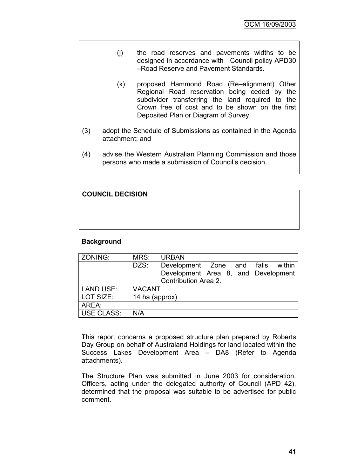- (j) the road reserves and pavements widths to be designed in accordance with Council policy APD30 –Road Reserve and Pavement Standards.
- (k) proposed Hammond Road (Re–alignment) Other Regional Road reservation being ceded by the subdivider transferring the land required to the Crown free of cost and to be shown on the first Deposited Plan or Diagram of Survey.
- (3) adopt the Schedule of Submissions as contained in the Agenda attachment; and
- (4) advise the Western Australian Planning Commission and those persons who made a submission of Council"s decision.

| <b>COUNCIL DECISION</b> |  |  |
|-------------------------|--|--|
|                         |  |  |
|                         |  |  |
|                         |  |  |

# **Background**

| ZONING:          | MRS:           | <b>URBAN</b>                        |  |  |
|------------------|----------------|-------------------------------------|--|--|
|                  | DZS:           | Development Zone and falls within   |  |  |
|                  |                | Development Area 8, and Development |  |  |
|                  |                | Contribution Area 2.                |  |  |
| <b>LAND USE:</b> | <b>VACANT</b>  |                                     |  |  |
| LOT SIZE:        | 14 ha (approx) |                                     |  |  |
| AREA:            |                |                                     |  |  |
| USE CLASS:       | N/A            |                                     |  |  |

This report concerns a proposed structure plan prepared by Roberts Day Group on behalf of Australand Holdings for land located within the Success Lakes Development Area – DA8 (Refer to Agenda attachments).

The Structure Plan was submitted in June 2003 for consideration. Officers, acting under the delegated authority of Council (APD 42), determined that the proposal was suitable to be advertised for public comment.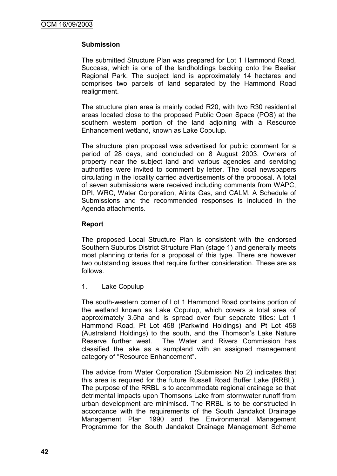# **Submission**

The submitted Structure Plan was prepared for Lot 1 Hammond Road, Success, which is one of the landholdings backing onto the Beeliar Regional Park. The subject land is approximately 14 hectares and comprises two parcels of land separated by the Hammond Road realignment.

The structure plan area is mainly coded R20, with two R30 residential areas located close to the proposed Public Open Space (POS) at the southern western portion of the land adjoining with a Resource Enhancement wetland, known as Lake Copulup.

The structure plan proposal was advertised for public comment for a period of 28 days, and concluded on 8 August 2003. Owners of property near the subject land and various agencies and servicing authorities were invited to comment by letter. The local newspapers circulating in the locality carried advertisements of the proposal. A total of seven submissions were received including comments from WAPC, DPI, WRC, Water Corporation, Alinta Gas, and CALM. A Schedule of Submissions and the recommended responses is included in the Agenda attachments.

# **Report**

The proposed Local Structure Plan is consistent with the endorsed Southern Suburbs District Structure Plan (stage 1) and generally meets most planning criteria for a proposal of this type. There are however two outstanding issues that require further consideration. These are as follows.

# 1. Lake Copulup

The south-western corner of Lot 1 Hammond Road contains portion of the wetland known as Lake Copulup, which covers a total area of approximately 3.5ha and is spread over four separate titles: Lot 1 Hammond Road, Pt Lot 458 (Parkwind Holdings) and Pt Lot 458 (Australand Holdings) to the south, and the Thomson"s Lake Nature Reserve further west. The Water and Rivers Commission has classified the lake as a sumpland with an assigned management category of "Resource Enhancement".

The advice from Water Corporation (Submission No 2) indicates that this area is required for the future Russell Road Buffer Lake (RRBL). The purpose of the RRBL is to accommodate regional drainage so that detrimental impacts upon Thomsons Lake from stormwater runoff from urban development are minimised. The RRBL is to be constructed in accordance with the requirements of the South Jandakot Drainage Management Plan 1990 and the Environmental Management Programme for the South Jandakot Drainage Management Scheme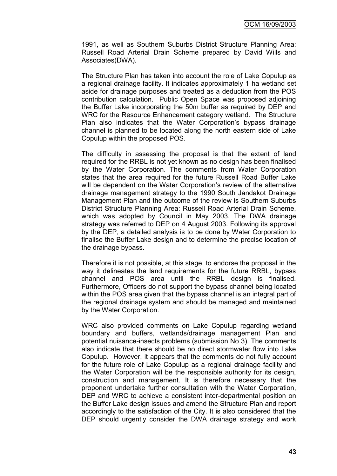1991, as well as Southern Suburbs District Structure Planning Area: Russell Road Arterial Drain Scheme prepared by David Wills and Associates(DWA).

The Structure Plan has taken into account the role of Lake Copulup as a regional drainage facility. It indicates approximately 1 ha wetland set aside for drainage purposes and treated as a deduction from the POS contribution calculation. Public Open Space was proposed adjoining the Buffer Lake incorporating the 50m buffer as required by DEP and WRC for the Resource Enhancement category wetland. The Structure Plan also indicates that the Water Corporation"s bypass drainage channel is planned to be located along the north eastern side of Lake Copulup within the proposed POS.

The difficulty in assessing the proposal is that the extent of land required for the RRBL is not yet known as no design has been finalised by the Water Corporation. The comments from Water Corporation states that the area required for the future Russell Road Buffer Lake will be dependent on the Water Corporation's review of the alternative drainage management strategy to the 1990 South Jandakot Drainage Management Plan and the outcome of the review is Southern Suburbs District Structure Planning Area: Russell Road Arterial Drain Scheme, which was adopted by Council in May 2003. The DWA drainage strategy was referred to DEP on 4 August 2003. Following its approval by the DEP, a detailed analysis is to be done by Water Corporation to finalise the Buffer Lake design and to determine the precise location of the drainage bypass.

Therefore it is not possible, at this stage, to endorse the proposal in the way it delineates the land requirements for the future RRBL, bypass channel and POS area until the RRBL design is finalised. Furthermore, Officers do not support the bypass channel being located within the POS area given that the bypass channel is an integral part of the regional drainage system and should be managed and maintained by the Water Corporation.

WRC also provided comments on Lake Copulup regarding wetland boundary and buffers, wetlands/drainage management Plan and potential nuisance-insects problems (submission No 3). The comments also indicate that there should be no direct stormwater flow into Lake Copulup. However, it appears that the comments do not fully account for the future role of Lake Copulup as a regional drainage facility and the Water Corporation will be the responsible authority for its design, construction and management. It is therefore necessary that the proponent undertake further consultation with the Water Corporation, DEP and WRC to achieve a consistent inter-departmental position on the Buffer Lake design issues and amend the Structure Plan and report accordingly to the satisfaction of the City. It is also considered that the DEP should urgently consider the DWA drainage strategy and work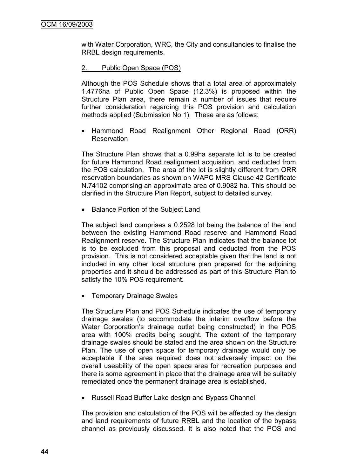with Water Corporation, WRC, the City and consultancies to finalise the RRBL design requirements.

#### 2. Public Open Space (POS)

Although the POS Schedule shows that a total area of approximately 1.4776ha of Public Open Space (12.3%) is proposed within the Structure Plan area, there remain a number of issues that require further consideration regarding this POS provision and calculation methods applied (Submission No 1). These are as follows:

 Hammond Road Realignment Other Regional Road (ORR) **Reservation** 

The Structure Plan shows that a 0.99ha separate lot is to be created for future Hammond Road realignment acquisition, and deducted from the POS calculation. The area of the lot is slightly different from ORR reservation boundaries as shown on WAPC MRS Clause 42 Certificate N.74102 comprising an approximate area of 0.9082 ha. This should be clarified in the Structure Plan Report, subject to detailed survey.

• Balance Portion of the Subject Land

The subject land comprises a 0.2528 lot being the balance of the land between the existing Hammond Road reserve and Hammond Road Realignment reserve. The Structure Plan indicates that the balance lot is to be excluded from this proposal and deducted from the POS provision. This is not considered acceptable given that the land is not included in any other local structure plan prepared for the adjoining properties and it should be addressed as part of this Structure Plan to satisfy the 10% POS requirement.

• Temporary Drainage Swales

The Structure Plan and POS Schedule indicates the use of temporary drainage swales (to accommodate the interim overflow before the Water Corporation"s drainage outlet being constructed) in the POS area with 100% credits being sought. The extent of the temporary drainage swales should be stated and the area shown on the Structure Plan. The use of open space for temporary drainage would only be acceptable if the area required does not adversely impact on the overall useability of the open space area for recreation purposes and there is some agreement in place that the drainage area will be suitably remediated once the permanent drainage area is established.

• Russell Road Buffer Lake design and Bypass Channel

The provision and calculation of the POS will be affected by the design and land requirements of future RRBL and the location of the bypass channel as previously discussed. It is also noted that the POS and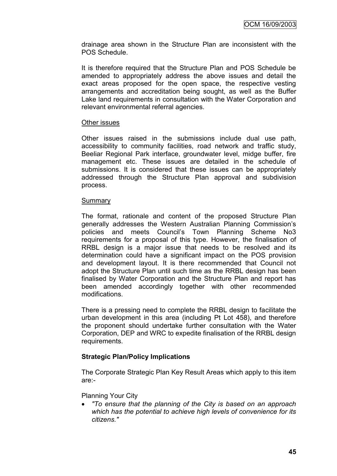drainage area shown in the Structure Plan are inconsistent with the POS Schedule.

It is therefore required that the Structure Plan and POS Schedule be amended to appropriately address the above issues and detail the exact areas proposed for the open space, the respective vesting arrangements and accreditation being sought, as well as the Buffer Lake land requirements in consultation with the Water Corporation and relevant environmental referral agencies.

#### Other issues

Other issues raised in the submissions include dual use path, accessibility to community facilities, road network and traffic study, Beeliar Regional Park interface, groundwater level, midge buffer, fire management etc. These issues are detailed in the schedule of submissions. It is considered that these issues can be appropriately addressed through the Structure Plan approval and subdivision process.

#### Summary

The format, rationale and content of the proposed Structure Plan generally addresses the Western Australian Planning Commission"s policies and meets Council"s Town Planning Scheme No3 requirements for a proposal of this type. However, the finalisation of RRBL design is a major issue that needs to be resolved and its determination could have a significant impact on the POS provision and development layout. It is there recommended that Council not adopt the Structure Plan until such time as the RRBL design has been finalised by Water Corporation and the Structure Plan and report has been amended accordingly together with other recommended modifications.

There is a pressing need to complete the RRBL design to facilitate the urban development in this area (including Pt Lot 458), and therefore the proponent should undertake further consultation with the Water Corporation, DEP and WRC to expedite finalisation of the RRBL design requirements.

# **Strategic Plan/Policy Implications**

The Corporate Strategic Plan Key Result Areas which apply to this item are:-

# Planning Your City

 *"To ensure that the planning of the City is based on an approach which has the potential to achieve high levels of convenience for its citizens."*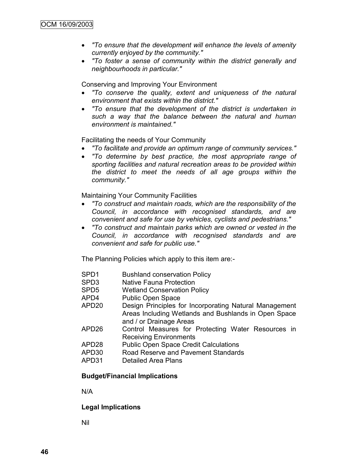- *"To ensure that the development will enhance the levels of amenity currently enjoyed by the community."*
- *"To foster a sense of community within the district generally and neighbourhoods in particular."*

Conserving and Improving Your Environment

- *"To conserve the quality, extent and uniqueness of the natural environment that exists within the district."*
- *"To ensure that the development of the district is undertaken in such a way that the balance between the natural and human environment is maintained."*

Facilitating the needs of Your Community

- *"To facilitate and provide an optimum range of community services."*
- *"To determine by best practice, the most appropriate range of sporting facilities and natural recreation areas to be provided within the district to meet the needs of all age groups within the community."*

Maintaining Your Community Facilities

- *"To construct and maintain roads, which are the responsibility of the Council, in accordance with recognised standards, and are convenient and safe for use by vehicles, cyclists and pedestrians."*
- *"To construct and maintain parks which are owned or vested in the Council, in accordance with recognised standards and are convenient and safe for public use."*

The Planning Policies which apply to this item are:-

- SPD1 Bushland conservation Policy
- SPD3 Native Fauna Protection
- SPD5 Wetland Conservation Policy
- APD4 Public Open Space
- APD20 Design Principles for Incorporating Natural Management Areas Including Wetlands and Bushlands in Open Space and / or Drainage Areas
- APD26 Control Measures for Protecting Water Resources in Receiving Environments
- APD28 Public Open Space Credit Calculations
- APD30 Road Reserve and Pavement Standards
- APD31 Detailed Area Plans

# **Budget/Financial Implications**

N/A

#### **Legal Implications**

Nil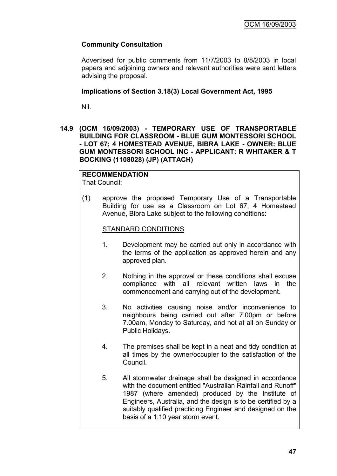# **Community Consultation**

Advertised for public comments from 11/7/2003 to 8/8/2003 in local papers and adjoining owners and relevant authorities were sent letters advising the proposal.

# **Implications of Section 3.18(3) Local Government Act, 1995**

Nil.

**14.9 (OCM 16/09/2003) - TEMPORARY USE OF TRANSPORTABLE BUILDING FOR CLASSROOM - BLUE GUM MONTESSORI SCHOOL - LOT 67; 4 HOMESTEAD AVENUE, BIBRA LAKE - OWNER: BLUE GUM MONTESSORI SCHOOL INC - APPLICANT: R WHITAKER & T BOCKING (1108028) (JP) (ATTACH)**

# **RECOMMENDATION**

That Council:

(1) approve the proposed Temporary Use of a Transportable Building for use as a Classroom on Lot 67; 4 Homestead Avenue, Bibra Lake subject to the following conditions:

# STANDARD CONDITIONS

- 1. Development may be carried out only in accordance with the terms of the application as approved herein and any approved plan.
- 2. Nothing in the approval or these conditions shall excuse compliance with all relevant written laws in the commencement and carrying out of the development.
- 3. No activities causing noise and/or inconvenience to neighbours being carried out after 7.00pm or before 7.00am, Monday to Saturday, and not at all on Sunday or Public Holidays.
- 4. The premises shall be kept in a neat and tidy condition at all times by the owner/occupier to the satisfaction of the Council.
- 5. All stormwater drainage shall be designed in accordance with the document entitled "Australian Rainfall and Runoff" 1987 (where amended) produced by the Institute of Engineers, Australia, and the design is to be certified by a suitably qualified practicing Engineer and designed on the basis of a 1:10 year storm event.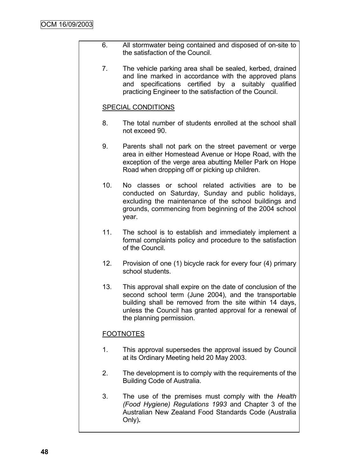- 6. All stormwater being contained and disposed of on-site to the satisfaction of the Council.
	- 7. The vehicle parking area shall be sealed, kerbed, drained and line marked in accordance with the approved plans and specifications certified by a suitably qualified practicing Engineer to the satisfaction of the Council.

# SPECIAL CONDITIONS

- 8. The total number of students enrolled at the school shall not exceed 90.
- 9. Parents shall not park on the street pavement or verge area in either Homestead Avenue or Hope Road, with the exception of the verge area abutting Meller Park on Hope Road when dropping off or picking up children.
- 10. No classes or school related activities are to be conducted on Saturday, Sunday and public holidays, excluding the maintenance of the school buildings and grounds, commencing from beginning of the 2004 school year.
- 11. The school is to establish and immediately implement a formal complaints policy and procedure to the satisfaction of the Council.
- 12. Provision of one (1) bicycle rack for every four (4) primary school students.
- 13. This approval shall expire on the date of conclusion of the second school term (June 2004), and the transportable building shall be removed from the site within 14 days, unless the Council has granted approval for a renewal of the planning permission.

# **FOOTNOTES**

- 1. This approval supersedes the approval issued by Council at its Ordinary Meeting held 20 May 2003.
- 2. The development is to comply with the requirements of the Building Code of Australia.
- 3. The use of the premises must comply with the *Health (Food Hygiene) Regulations 1993* and Chapter 3 of the Australian New Zealand Food Standards Code (Australia Only)**.**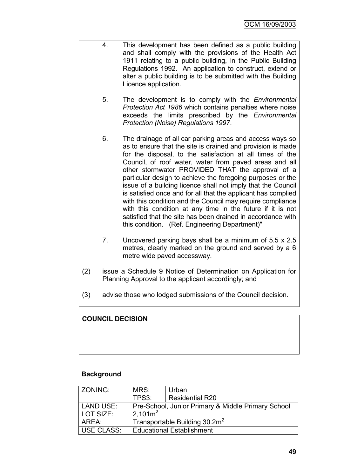- 4. This development has been defined as a public building and shall comply with the provisions of the Health Act 1911 relating to a public building, in the Public Building Regulations 1992. An application to construct, extend or alter a public building is to be submitted with the Building Licence application.
	- 5. The development is to comply with the *Environmental Protection Act 1986* which contains penalties where noise exceeds the limits prescribed by the *Environmental Protection (Noise) Regulations 1997*.
	- 6. The drainage of all car parking areas and access ways so as to ensure that the site is drained and provision is made for the disposal, to the satisfaction at all times of the Council, of roof water, water from paved areas and all other stormwater PROVIDED THAT the approval of a particular design to achieve the foregoing purposes or the issue of a building licence shall not imply that the Council is satisfied once and for all that the applicant has complied with this condition and the Council may require compliance with this condition at any time in the future if it is not satisfied that the site has been drained in accordance with this condition. (Ref. Engineering Department)"
	- 7. Uncovered parking bays shall be a minimum of 5.5 x 2.5 metres, clearly marked on the ground and served by a 6 metre wide paved accessway.
- (2) issue a Schedule 9 Notice of Determination on Application for Planning Approval to the applicant accordingly; and
- (3) advise those who lodged submissions of the Council decision.

# **COUNCIL DECISION**

# **Background**

| <b>ZONING:</b> | MRS:                                               | Urban                  |  |
|----------------|----------------------------------------------------|------------------------|--|
|                | TPS3:                                              | <b>Residential R20</b> |  |
| LAND USE:      | Pre-School, Junior Primary & Middle Primary School |                        |  |
| LOT SIZE:      | $2.101m^2$                                         |                        |  |
| AREA:          | Transportable Building 30.2m <sup>2</sup>          |                        |  |
| USE CLASS:     | <b>Educational Establishment</b>                   |                        |  |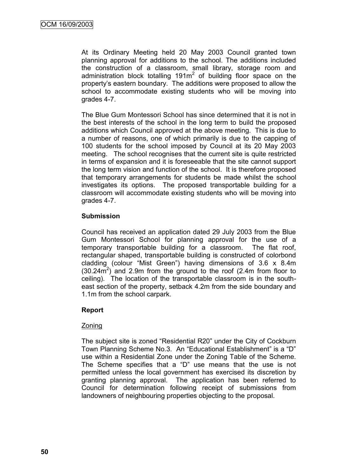At its Ordinary Meeting held 20 May 2003 Council granted town planning approval for additions to the school. The additions included the construction of a classroom, small library, storage room and administration block totalling  $191m^2$  of building floor space on the property"s eastern boundary. The additions were proposed to allow the school to accommodate existing students who will be moving into grades 4-7.

The Blue Gum Montessori School has since determined that it is not in the best interests of the school in the long term to build the proposed additions which Council approved at the above meeting. This is due to a number of reasons, one of which primarily is due to the capping of 100 students for the school imposed by Council at its 20 May 2003 meeting. The school recognises that the current site is quite restricted in terms of expansion and it is foreseeable that the site cannot support the long term vision and function of the school. It is therefore proposed that temporary arrangements for students be made whilst the school investigates its options. The proposed transportable building for a classroom will accommodate existing students who will be moving into grades 4-7.

# **Submission**

Council has received an application dated 29 July 2003 from the Blue Gum Montessori School for planning approval for the use of a temporary transportable building for a classroom. The flat roof, rectangular shaped, transportable building is constructed of colorbond cladding (colour "Mist Green") having dimensions of 3.6 x 8.4m  $(30.24\text{m}^2)$  and 2.9m from the ground to the roof (2.4m from floor to ceiling). The location of the transportable classroom is in the southeast section of the property, setback 4.2m from the side boundary and 1.1m from the school carpark.

# **Report**

# **Zoning**

The subject site is zoned "Residential R20" under the City of Cockburn Town Planning Scheme No.3. An "Educational Establishment" is a "D" use within a Residential Zone under the Zoning Table of the Scheme. The Scheme specifies that a "D" use means that the use is not permitted unless the local government has exercised its discretion by granting planning approval. The application has been referred to Council for determination following receipt of submissions from landowners of neighbouring properties objecting to the proposal.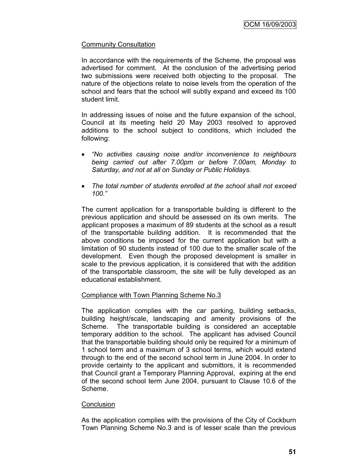# Community Consultation

In accordance with the requirements of the Scheme, the proposal was advertised for comment. At the conclusion of the advertising period two submissions were received both objecting to the proposal. The nature of the objections relate to noise levels from the operation of the school and fears that the school will subtly expand and exceed its 100 student limit.

In addressing issues of noise and the future expansion of the school, Council at its meeting held 20 May 2003 resolved to approved additions to the school subject to conditions, which included the following:

- *"No activities causing noise and/or inconvenience to neighbours being carried out after 7.00pm or before 7.00am, Monday to Saturday, and not at all on Sunday or Public Holidays.*
- *The total number of students enrolled at the school shall not exceed 100."*

The current application for a transportable building is different to the previous application and should be assessed on its own merits. The applicant proposes a maximum of 89 students at the school as a result of the transportable building addition. It is recommended that the above conditions be imposed for the current application but with a limitation of 90 students instead of 100 due to the smaller scale of the development. Even though the proposed development is smaller in scale to the previous application, it is considered that with the addition of the transportable classroom, the site will be fully developed as an educational establishment.

#### Compliance with Town Planning Scheme No.3

The application complies with the car parking, building setbacks, building height/scale, landscaping and amenity provisions of the Scheme. The transportable building is considered an acceptable temporary addition to the school. The applicant has advised Council that the transportable building should only be required for a minimum of 1 school term and a maximum of 3 school terms, which would extend through to the end of the second school term in June 2004. In order to provide certainty to the applicant and submittors, it is recommended that Council grant a Temporary Planning Approval, expiring at the end of the second school term June 2004, pursuant to Clause 10.6 of the Scheme.

#### **Conclusion**

As the application complies with the provisions of the City of Cockburn Town Planning Scheme No.3 and is of lesser scale than the previous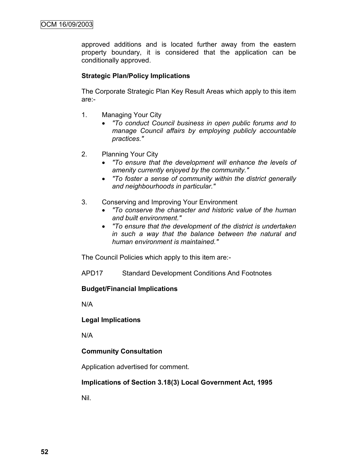approved additions and is located further away from the eastern property boundary, it is considered that the application can be conditionally approved.

# **Strategic Plan/Policy Implications**

The Corporate Strategic Plan Key Result Areas which apply to this item are:-

- 1. Managing Your City
	- *"To conduct Council business in open public forums and to manage Council affairs by employing publicly accountable practices."*
- 2. Planning Your City
	- *"To ensure that the development will enhance the levels of amenity currently enjoyed by the community."*
	- *"To foster a sense of community within the district generally and neighbourhoods in particular."*
- 3. Conserving and Improving Your Environment
	- *"To conserve the character and historic value of the human and built environment."*
	- *"To ensure that the development of the district is undertaken in such a way that the balance between the natural and human environment is maintained."*

The Council Policies which apply to this item are:-

APD17 Standard Development Conditions And Footnotes

# **Budget/Financial Implications**

N/A

#### **Legal Implications**

N/A

# **Community Consultation**

Application advertised for comment.

#### **Implications of Section 3.18(3) Local Government Act, 1995**

Nil.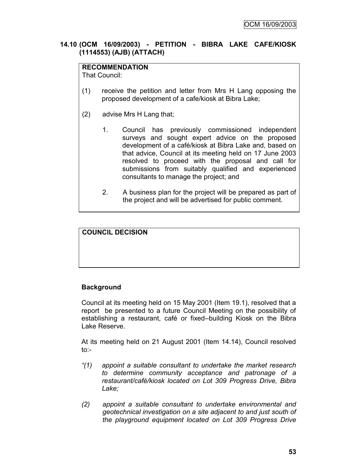# **14.10 (OCM 16/09/2003) - PETITION - BIBRA LAKE CAFE/KIOSK (1114553) (AJB) (ATTACH)**

# **RECOMMENDATION**

That Council:

- (1) receive the petition and letter from Mrs H Lang opposing the proposed development of a cafe/kiosk at Bibra Lake;
- (2) advise Mrs H Lang that;
	- 1. Council has previously commissioned independent surveys and sought expert advice on the proposed development of a café/kiosk at Bibra Lake and, based on that advice, Council at its meeting held on 17 June 2003 resolved to proceed with the proposal and call for submissions from suitably qualified and experienced consultants to manage the project; and
	- 2. A business plan for the project will be prepared as part of the project and will be advertised for public comment.

# **COUNCIL DECISION**

# **Background**

Council at its meeting held on 15 May 2001 (Item 19.1), resolved that a report be presented to a future Council Meeting on the possibility of establishing a restaurant, café or fixed–building Kiosk on the Bibra Lake Reserve.

At its meeting held on 21 August 2001 (Item 14.14), Council resolved to:-

- *"(1) appoint a suitable consultant to undertake the market research to determine community acceptance and patronage of a restaurant/café/kiosk located on Lot 309 Progress Drive, Bibra Lake;*
- *(2) appoint a suitable consultant to undertake environmental and geotechnical investigation on a site adjacent to and just south of the playground equipment located on Lot 309 Progress Drive*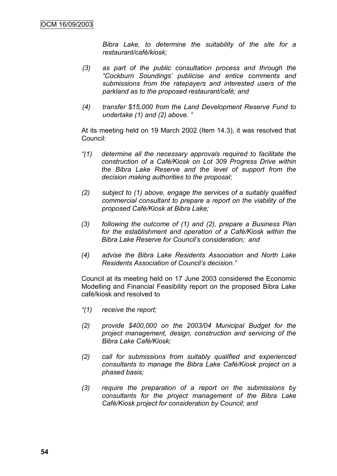*Bibra Lake, to determine the suitability of the site for a restaurant/café/kiosk;*

- *(3) as part of the public consultation process and through the "Cockburn Soundings" publicise and entice comments and submissions from the ratepayers and interested users of the parkland as to the proposed restaurant/café; and*
- *(4) transfer \$15,000 from the Land Development Reserve Fund to undertake (1) and (2) above. "*

At its meeting held on 19 March 2002 (Item 14.3), it was resolved that Council:

- *"(1) determine all the necessary approvals required to facilitate the construction of a Café/Kiosk on Lot 309 Progress Drive within the Bibra Lake Reserve and the level of support from the decision making authorities to the proposal;*
- *(2) subject to (1) above, engage the services of a suitably qualified commercial consultant to prepare a report on the viability of the proposed Café/Kiosk at Bibra Lake;*
- *(3) following the outcome of (1) and (2), prepare a Business Plan for the establishment and operation of a Café/Kiosk within the Bibra Lake Reserve for Council"s consideration; and*
- *(4) advise the Bibra Lake Residents Association and North Lake Residents Association of Council"s decision."*

Council at its meeting held on 17 June 2003 considered the Economic Modelling and Financial Feasibility report on the proposed Bibra Lake café/kiosk and resolved to

- *"(1) receive the report;*
- *(2) provide \$400,000 on the 2003/04 Municipal Budget for the project management, design, construction and servicing of the Bibra Lake Café/Kiosk;*
- *(2) call for submissions from suitably qualified and experienced consultants to manage the Bibra Lake Café/Kiosk project on a phased basis;*
- *(3) require the preparation of a report on the submissions by consultants for the project management of the Bibra Lake Café/Kiosk project for consideration by Council; and*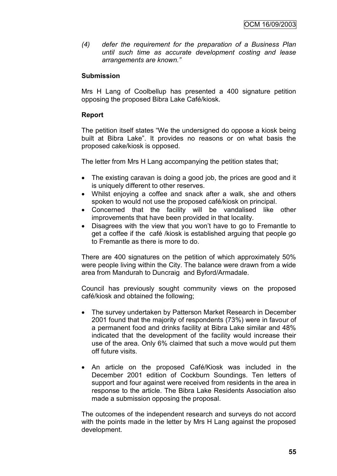*(4) defer the requirement for the preparation of a Business Plan until such time as accurate development costing and lease arrangements are known."*

# **Submission**

Mrs H Lang of Coolbellup has presented a 400 signature petition opposing the proposed Bibra Lake Café/kiosk.

# **Report**

The petition itself states "We the undersigned do oppose a kiosk being built at Bibra Lake". It provides no reasons or on what basis the proposed cake/kiosk is opposed.

The letter from Mrs H Lang accompanying the petition states that;

- The existing caravan is doing a good job, the prices are good and it is uniquely different to other reserves.
- Whilst enjoying a coffee and snack after a walk, she and others spoken to would not use the proposed café/kiosk on principal.
- Concerned that the facility will be vandalised like other improvements that have been provided in that locality.
- Disagrees with the view that you won't have to go to Fremantle to get a coffee if the café /kiosk is established arguing that people go to Fremantle as there is more to do.

There are 400 signatures on the petition of which approximately 50% were people living within the City. The balance were drawn from a wide area from Mandurah to Duncraig and Byford/Armadale.

Council has previously sought community views on the proposed café/kiosk and obtained the following;

- The survey undertaken by Patterson Market Research in December 2001 found that the majority of respondents (73%) were in favour of a permanent food and drinks facility at Bibra Lake similar and 48% indicated that the development of the facility would increase their use of the area. Only 6% claimed that such a move would put them off future visits.
- An article on the proposed Café/Kiosk was included in the December 2001 edition of Cockburn Soundings. Ten letters of support and four against were received from residents in the area in response to the article. The Bibra Lake Residents Association also made a submission opposing the proposal.

The outcomes of the independent research and surveys do not accord with the points made in the letter by Mrs H Lang against the proposed development.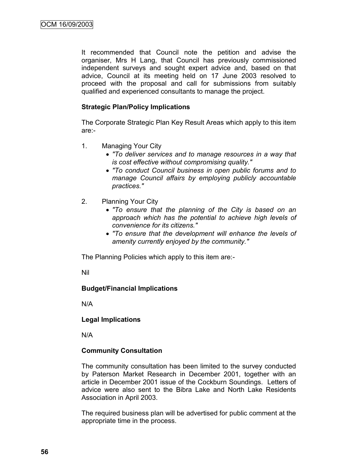It recommended that Council note the petition and advise the organiser, Mrs H Lang, that Council has previously commissioned independent surveys and sought expert advice and, based on that advice, Council at its meeting held on 17 June 2003 resolved to proceed with the proposal and call for submissions from suitably qualified and experienced consultants to manage the project.

# **Strategic Plan/Policy Implications**

The Corporate Strategic Plan Key Result Areas which apply to this item are:-

- 1. Managing Your City
	- *"To deliver services and to manage resources in a way that is cost effective without compromising quality."*
	- *"To conduct Council business in open public forums and to manage Council affairs by employing publicly accountable practices."*
- 2. Planning Your City
	- *"To ensure that the planning of the City is based on an approach which has the potential to achieve high levels of convenience for its citizens."*
	- *"To ensure that the development will enhance the levels of amenity currently enjoyed by the community."*

The Planning Policies which apply to this item are:-

Nil

# **Budget/Financial Implications**

N/A

# **Legal Implications**

N/A

# **Community Consultation**

The community consultation has been limited to the survey conducted by Paterson Market Research in December 2001, together with an article in December 2001 issue of the Cockburn Soundings. Letters of advice were also sent to the Bibra Lake and North Lake Residents Association in April 2003.

The required business plan will be advertised for public comment at the appropriate time in the process.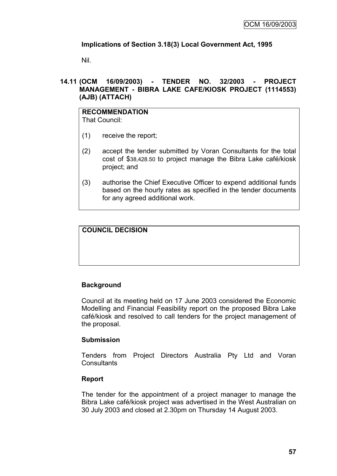# **Implications of Section 3.18(3) Local Government Act, 1995**

Nil.

# **14.11 (OCM 16/09/2003) - TENDER NO. 32/2003 - PROJECT MANAGEMENT - BIBRA LAKE CAFE/KIOSK PROJECT (1114553) (AJB) (ATTACH)**

# **RECOMMENDATION**

That Council:

- (1) receive the report;
- (2) accept the tender submitted by Voran Consultants for the total cost of \$38,428.50 to project manage the Bibra Lake café/kiosk project; and
- (3) authorise the Chief Executive Officer to expend additional funds based on the hourly rates as specified in the tender documents for any agreed additional work.

# **COUNCIL DECISION**

# **Background**

Council at its meeting held on 17 June 2003 considered the Economic Modelling and Financial Feasibility report on the proposed Bibra Lake café/kiosk and resolved to call tenders for the project management of the proposal.

# **Submission**

Tenders from Project Directors Australia Pty Ltd and Voran **Consultants** 

# **Report**

The tender for the appointment of a project manager to manage the Bibra Lake café/kiosk project was advertised in the West Australian on 30 July 2003 and closed at 2.30pm on Thursday 14 August 2003.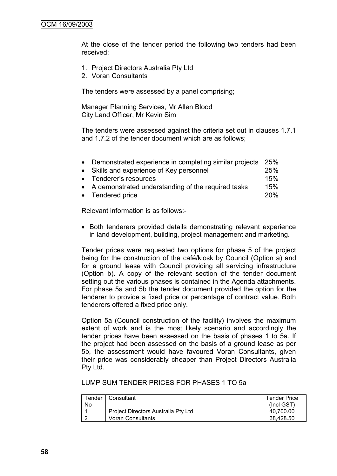At the close of the tender period the following two tenders had been received;

- 1. Project Directors Australia Pty Ltd
- 2. Voran Consultants

The tenders were assessed by a panel comprising;

Manager Planning Services, Mr Allen Blood City Land Officer, Mr Kevin Sim

The tenders were assessed against the criteria set out in clauses 1.7.1 and 1.7.2 of the tender document which are as follows;

| • Demonstrated experience in completing similar projects | 25% |
|----------------------------------------------------------|-----|
| • Skills and experience of Key personnel                 | 25% |
| • Tenderer's resources                                   | 15% |
| • A demonstrated understanding of the required tasks     | 15% |
| • Tendered price                                         | 20% |

Relevant information is as follows:-

• Both tenderers provided details demonstrating relevant experience in land development, building, project management and marketing.

Tender prices were requested two options for phase 5 of the project being for the construction of the café/kiosk by Council (Option a) and for a ground lease with Council providing all servicing infrastructure (Option b). A copy of the relevant section of the tender document setting out the various phases is contained in the Agenda attachments. For phase 5a and 5b the tender document provided the option for the tenderer to provide a fixed price or percentage of contract value. Both tenderers offered a fixed price only.

Option 5a (Council construction of the facility) involves the maximum extent of work and is the most likely scenario and accordingly the tender prices have been assessed on the basis of phases 1 to 5a. If the project had been assessed on the basis of a ground lease as per 5b, the assessment would have favoured Voran Consultants, given their price was considerably cheaper than Project Directors Australia Pty Ltd.

LUMP SUM TENDER PRICES FOR PHASES 1 TO 5a

| Tender | ∣ Consultant                        | <b>Tender Price</b> |
|--------|-------------------------------------|---------------------|
| No     |                                     | $($ Incl GST $)$    |
|        | Project Directors Australia Pty Ltd | 40.700.00           |
|        | <b>Voran Consultants</b>            | 38,428.50           |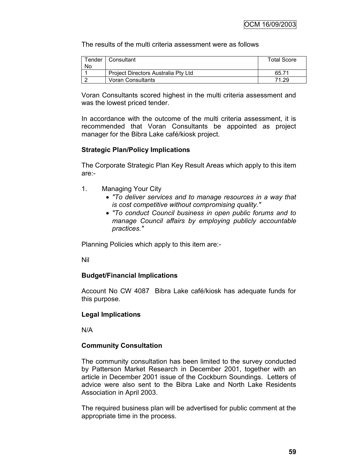The results of the multi criteria assessment were as follows

| Tender | Consultant                          | <b>Total Score</b> |
|--------|-------------------------------------|--------------------|
| No     |                                     |                    |
|        | Project Directors Australia Pty Ltd | 65.71              |
|        | Voran Consultants                   | 71.29              |

Voran Consultants scored highest in the multi criteria assessment and was the lowest priced tender.

In accordance with the outcome of the multi criteria assessment, it is recommended that Voran Consultants be appointed as project manager for the Bibra Lake café/kiosk project.

# **Strategic Plan/Policy Implications**

The Corporate Strategic Plan Key Result Areas which apply to this item are:-

- 1. Managing Your City
	- *"To deliver services and to manage resources in a way that is cost competitive without compromising quality."*
	- *"To conduct Council business in open public forums and to manage Council affairs by employing publicly accountable practices."*

Planning Policies which apply to this item are:-

Nil

# **Budget/Financial Implications**

Account No CW 4087 Bibra Lake café/kiosk has adequate funds for this purpose.

# **Legal Implications**

N/A

# **Community Consultation**

The community consultation has been limited to the survey conducted by Patterson Market Research in December 2001, together with an article in December 2001 issue of the Cockburn Soundings. Letters of advice were also sent to the Bibra Lake and North Lake Residents Association in April 2003.

The required business plan will be advertised for public comment at the appropriate time in the process.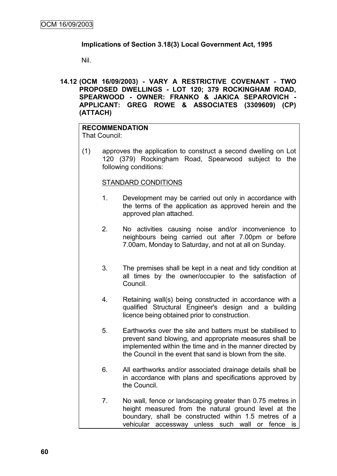# **Implications of Section 3.18(3) Local Government Act, 1995**

Nil.

**14.12 (OCM 16/09/2003) - VARY A RESTRICTIVE COVENANT - TWO PROPOSED DWELLINGS - LOT 120; 379 ROCKINGHAM ROAD, SPEARWOOD - OWNER: FRANKO & JAKICA SEPAROVICH - APPLICANT: GREG ROWE & ASSOCIATES (3309609) (CP) (ATTACH)**

# **RECOMMENDATION**

That Council:

(1) approves the application to construct a second dwelling on Lot 120 (379) Rockingham Road, Spearwood subject to the following conditions:

# STANDARD CONDITIONS

- 1. Development may be carried out only in accordance with the terms of the application as approved herein and the approved plan attached.
- 2. No activities causing noise and/or inconvenience to neighbours being carried out after 7.00pm or before 7.00am, Monday to Saturday, and not at all on Sunday.
- 3. The premises shall be kept in a neat and tidy condition at all times by the owner/occupier to the satisfaction of Council.
- 4. Retaining wall(s) being constructed in accordance with a qualified Structural Engineer's design and a building licence being obtained prior to construction.
- 5. Earthworks over the site and batters must be stabilised to prevent sand blowing, and appropriate measures shall be implemented within the time and in the manner directed by the Council in the event that sand is blown from the site.
- 6. All earthworks and/or associated drainage details shall be in accordance with plans and specifications approved by the Council.
- 7. No wall, fence or landscaping greater than 0.75 metres in height measured from the natural ground level at the boundary, shall be constructed within 1.5 metres of a vehicular accessway unless such wall or fence is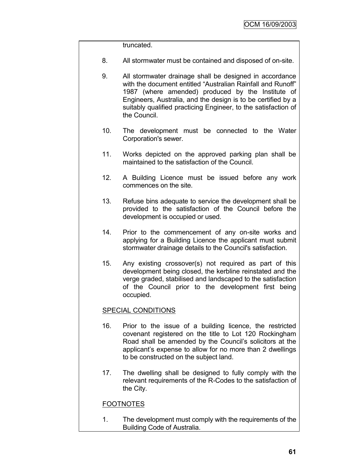truncated.

- 8. All stormwater must be contained and disposed of on-site.
- 9. All stormwater drainage shall be designed in accordance with the document entitled "Australian Rainfall and Runoff" 1987 (where amended) produced by the Institute of Engineers, Australia, and the design is to be certified by a suitably qualified practicing Engineer, to the satisfaction of the Council.
- 10. The development must be connected to the Water Corporation's sewer.
- 11. Works depicted on the approved parking plan shall be maintained to the satisfaction of the Council.
- 12. A Building Licence must be issued before any work commences on the site.
- 13. Refuse bins adequate to service the development shall be provided to the satisfaction of the Council before the development is occupied or used.
- 14. Prior to the commencement of any on-site works and applying for a Building Licence the applicant must submit stormwater drainage details to the Council's satisfaction.
- 15. Any existing crossover(s) not required as part of this development being closed, the kerbline reinstated and the verge graded, stabilised and landscaped to the satisfaction of the Council prior to the development first being occupied.

# SPECIAL CONDITIONS

- 16. Prior to the issue of a building licence, the restricted covenant registered on the title to Lot 120 Rockingham Road shall be amended by the Council"s solicitors at the applicant"s expense to allow for no more than 2 dwellings to be constructed on the subject land.
- 17. The dwelling shall be designed to fully comply with the relevant requirements of the R-Codes to the satisfaction of the City.

# FOOTNOTES

1. The development must comply with the requirements of the Building Code of Australia.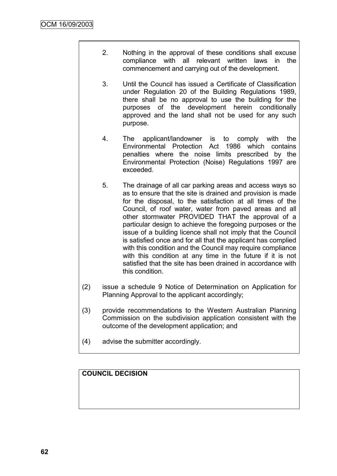- 2. Nothing in the approval of these conditions shall excuse compliance with all relevant written laws in the commencement and carrying out of the development.
- 3. Until the Council has issued a Certificate of Classification under Regulation 20 of the Building Regulations 1989, there shall be no approval to use the building for the purposes of the development herein conditionally approved and the land shall not be used for any such purpose.
- 4. The applicant/landowner is to comply with the Environmental Protection Act 1986 which contains penalties where the noise limits prescribed by the Environmental Protection (Noise) Regulations 1997 are exceeded.
- 5. The drainage of all car parking areas and access ways so as to ensure that the site is drained and provision is made for the disposal, to the satisfaction at all times of the Council, of roof water, water from paved areas and all other stormwater PROVIDED THAT the approval of a particular design to achieve the foregoing purposes or the issue of a building licence shall not imply that the Council is satisfied once and for all that the applicant has complied with this condition and the Council may require compliance with this condition at any time in the future if it is not satisfied that the site has been drained in accordance with this condition.
- (2) issue a schedule 9 Notice of Determination on Application for Planning Approval to the applicant accordingly;
- (3) provide recommendations to the Western Australian Planning Commission on the subdivision application consistent with the outcome of the development application; and
- (4) advise the submitter accordingly.

# **COUNCIL DECISION**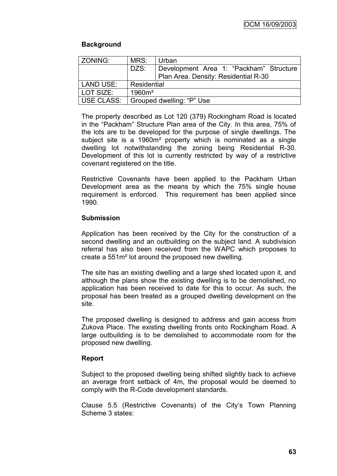# **Background**

| <b>ZONING:</b> | MRS:        | Urban                                   |
|----------------|-------------|-----------------------------------------|
|                | DZS:        | Development Area 1: "Packham" Structure |
|                |             | Plan Area. Density: Residential R-30    |
| l LAND USE:    | Residential |                                         |
| LOT SIZE:      | $1960m^2$   |                                         |
| USE CLASS:     |             | Grouped dwelling: "P" Use               |

The property described as Lot 120 (379) Rockingham Road is located in the "Packham" Structure Plan area of the City. In this area, 75% of the lots are to be developed for the purpose of single dwellings. The subject site is a 1960m² property which is nominated as a single dwelling lot notwithstanding the zoning being Residential R-30. Development of this lot is currently restricted by way of a restrictive covenant registered on the title.

Restrictive Covenants have been applied to the Packham Urban Development area as the means by which the 75% single house requirement is enforced. This requirement has been applied since 1990.

# **Submission**

Application has been received by the City for the construction of a second dwelling and an outbuilding on the subject land. A subdivision referral has also been received from the WAPC which proposes to create a 551m² lot around the proposed new dwelling.

The site has an existing dwelling and a large shed located upon it, and although the plans show the existing dwelling is to be demolished, no application has been received to date for this to occur. As such, the proposal has been treated as a grouped dwelling development on the site.

The proposed dwelling is designed to address and gain access from Zukova Place. The existing dwelling fronts onto Rockingham Road. A large outbuilding is to be demolished to accommodate room for the proposed new dwelling.

# **Report**

Subject to the proposed dwelling being shifted slightly back to achieve an average front setback of 4m, the proposal would be deemed to comply with the R-Code development standards.

Clause 5.5 (Restrictive Covenants) of the City"s Town Planning Scheme 3 states: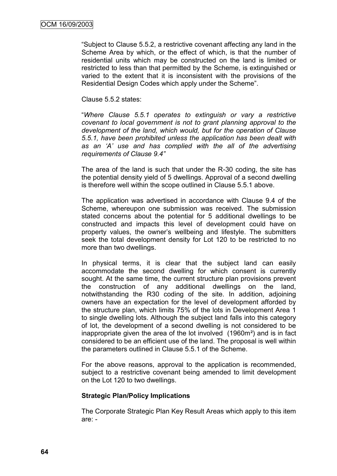"Subject to Clause 5.5.2, a restrictive covenant affecting any land in the Scheme Area by which, or the effect of which, is that the number of residential units which may be constructed on the land is limited or restricted to less than that permitted by the Scheme, is extinguished or varied to the extent that it is inconsistent with the provisions of the Residential Design Codes which apply under the Scheme".

Clause 5.5.2 states:

"*Where Clause 5.5.1 operates to extinguish or vary a restrictive covenant to local government is not to grant planning approval to the development of the land, which would, but for the operation of Clause 5.5.1, have been prohibited unless the application has been dealt with as an "A" use and has complied with the all of the advertising requirements of Clause 9.4"*

The area of the land is such that under the R-30 coding, the site has the potential density yield of 5 dwellings. Approval of a second dwelling is therefore well within the scope outlined in Clause 5.5.1 above.

The application was advertised in accordance with Clause 9.4 of the Scheme, whereupon one submission was received. The submission stated concerns about the potential for 5 additional dwellings to be constructed and impacts this level of development could have on property values, the owner"s wellbeing and lifestyle. The submitters seek the total development density for Lot 120 to be restricted to no more than two dwellings.

In physical terms, it is clear that the subject land can easily accommodate the second dwelling for which consent is currently sought. At the same time, the current structure plan provisions prevent the construction of any additional dwellings on the land, notwithstanding the R30 coding of the site. In addition, adjoining owners have an expectation for the level of development afforded by the structure plan, which limits 75% of the lots in Development Area 1 to single dwelling lots. Although the subject land falls into this category of lot, the development of a second dwelling is not considered to be inappropriate given the area of the lot involved (1960m²) and is in fact considered to be an efficient use of the land. The proposal is well within the parameters outlined in Clause 5.5.1 of the Scheme.

For the above reasons, approval to the application is recommended, subject to a restrictive covenant being amended to limit development on the Lot 120 to two dwellings.

# **Strategic Plan/Policy Implications**

The Corporate Strategic Plan Key Result Areas which apply to this item are: -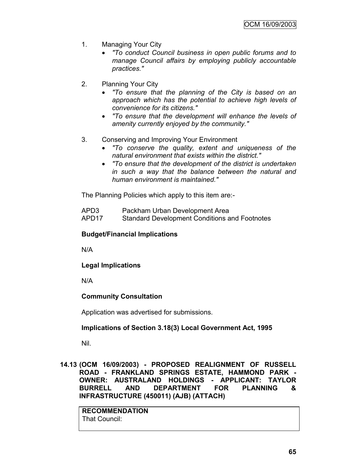- 1. Managing Your City
	- *"To conduct Council business in open public forums and to manage Council affairs by employing publicly accountable practices."*
- 2. Planning Your City
	- *"To ensure that the planning of the City is based on an approach which has the potential to achieve high levels of convenience for its citizens."*
	- *"To ensure that the development will enhance the levels of amenity currently enjoyed by the community."*
- 3. Conserving and Improving Your Environment
	- *"To conserve the quality, extent and uniqueness of the natural environment that exists within the district."*
	- *"To ensure that the development of the district is undertaken in such a way that the balance between the natural and human environment is maintained."*

The Planning Policies which apply to this item are:-

| APD3              | Packham Urban Development Area                       |
|-------------------|------------------------------------------------------|
| APD <sub>17</sub> | <b>Standard Development Conditions and Footnotes</b> |

#### **Budget/Financial Implications**

N/A

**Legal Implications**

N/A

# **Community Consultation**

Application was advertised for submissions.

#### **Implications of Section 3.18(3) Local Government Act, 1995**

Nil.

**14.13 (OCM 16/09/2003) - PROPOSED REALIGNMENT OF RUSSELL ROAD - FRANKLAND SPRINGS ESTATE, HAMMOND PARK - OWNER: AUSTRALAND HOLDINGS - APPLICANT: TAYLOR BURRELL AND DEPARTMENT FOR PLANNING & INFRASTRUCTURE (450011) (AJB) (ATTACH)**

**RECOMMENDATION** That Council: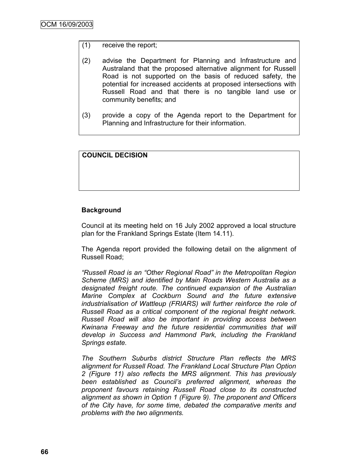# (1) receive the report;

- (2) advise the Department for Planning and Infrastructure and Australand that the proposed alternative alignment for Russell Road is not supported on the basis of reduced safety, the potential for increased accidents at proposed intersections with Russell Road and that there is no tangible land use or community benefits; and
- (3) provide a copy of the Agenda report to the Department for Planning and Infrastructure for their information.

# **COUNCIL DECISION**

# **Background**

Council at its meeting held on 16 July 2002 approved a local structure plan for the Frankland Springs Estate (Item 14.11).

The Agenda report provided the following detail on the alignment of Russell Road;

*"Russell Road is an "Other Regional Road" in the Metropolitan Region Scheme (MRS) and identified by Main Roads Western Australia as a designated freight route. The continued expansion of the Australian Marine Complex at Cockburn Sound and the future extensive industrialisation of Wattleup (FRIARS) will further reinforce the role of Russell Road as a critical component of the regional freight network. Russell Road will also be important in providing access between Kwinana Freeway and the future residential communities that will develop in Success and Hammond Park, including the Frankland Springs estate.* 

*The Southern Suburbs district Structure Plan reflects the MRS alignment for Russell Road. The Frankland Local Structure Plan Option 2 (Figure 11) also reflects the MRS alignment. This has previously been established as Council"s preferred alignment, whereas the proponent favours retaining Russell Road close to its constructed alignment as shown in Option 1 (Figure 9). The proponent and Officers of the City have, for some time, debated the comparative merits and problems with the two alignments.*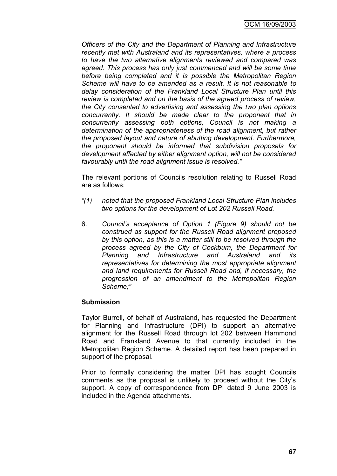*Officers of the City and the Department of Planning and Infrastructure recently met with Australand and its representatives, where a process to have the two alternative alignments reviewed and compared was agreed. This process has only just commenced and will be some time before being completed and it is possible the Metropolitan Region Scheme will have to be amended as a result. It is not reasonable to delay consideration of the Frankland Local Structure Plan until this review is completed and on the basis of the agreed process of review, the City consented to advertising and assessing the two plan options concurrently. It should be made clear to the proponent that in concurrently assessing both options, Council is not making a determination of the appropriateness of the road alignment, but rather the proposed layout and nature of abutting development. Furthermore, the proponent should be informed that subdivision proposals for development affected by either alignment option, will not be considered favourably until the road alignment issue is resolved."*

The relevant portions of Councils resolution relating to Russell Road are as follows;

- *"(1) noted that the proposed Frankland Local Structure Plan includes two options for the development of Lot 202 Russell Road.*
- 6. *Council"s acceptance of Option 1 (Figure 9) should not be construed as support for the Russell Road alignment proposed by this option, as this is a matter still to be resolved through the process agreed by the City of Cockburn, the Department for Planning and Infrastructure and Australand and its representatives for determining the most appropriate alignment and land requirements for Russell Road and, if necessary, the progression of an amendment to the Metropolitan Region Scheme;"*

# **Submission**

Taylor Burrell, of behalf of Australand, has requested the Department for Planning and Infrastructure (DPI) to support an alternative alignment for the Russell Road through lot 202 between Hammond Road and Frankland Avenue to that currently included in the Metropolitan Region Scheme. A detailed report has been prepared in support of the proposal.

Prior to formally considering the matter DPI has sought Councils comments as the proposal is unlikely to proceed without the City"s support. A copy of correspondence from DPI dated 9 June 2003 is included in the Agenda attachments.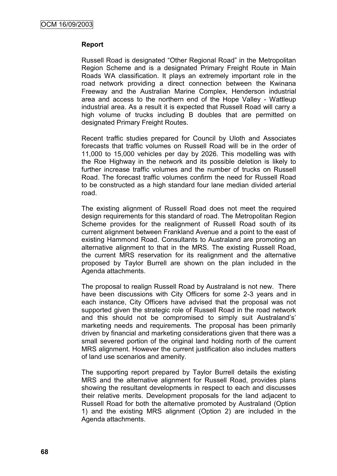## **Report**

Russell Road is designated "Other Regional Road" in the Metropolitan Region Scheme and is a designated Primary Freight Route in Main Roads WA classification. It plays an extremely important role in the road network providing a direct connection between the Kwinana Freeway and the Australian Marine Complex, Henderson industrial area and access to the northern end of the Hope Valley - Wattleup industrial area. As a result it is expected that Russell Road will carry a high volume of trucks including B doubles that are permitted on designated Primary Freight Routes.

Recent traffic studies prepared for Council by Uloth and Associates forecasts that traffic volumes on Russell Road will be in the order of 11,000 to 15,000 vehicles per day by 2026. This modelling was with the Roe Highway in the network and its possible deletion is likely to further increase traffic volumes and the number of trucks on Russell Road. The forecast traffic volumes confirm the need for Russell Road to be constructed as a high standard four lane median divided arterial road.

The existing alignment of Russell Road does not meet the required design requirements for this standard of road. The Metropolitan Region Scheme provides for the realignment of Russell Road south of its current alignment between Frankland Avenue and a point to the east of existing Hammond Road. Consultants to Australand are promoting an alternative alignment to that in the MRS. The existing Russell Road, the current MRS reservation for its realignment and the alternative proposed by Taylor Burrell are shown on the plan included in the Agenda attachments.

The proposal to realign Russell Road by Australand is not new. There have been discussions with City Officers for some 2-3 years and in each instance, City Officers have advised that the proposal was not supported given the strategic role of Russell Road in the road network and this should not be compromised to simply suit Australand's' marketing needs and requirements. The proposal has been primarily driven by financial and marketing considerations given that there was a small severed portion of the original land holding north of the current MRS alignment. However the current justification also includes matters of land use scenarios and amenity.

The supporting report prepared by Taylor Burrell details the existing MRS and the alternative alignment for Russell Road, provides plans showing the resultant developments in respect to each and discusses their relative merits. Development proposals for the land adjacent to Russell Road for both the alternative promoted by Australand (Option 1) and the existing MRS alignment (Option 2) are included in the Agenda attachments.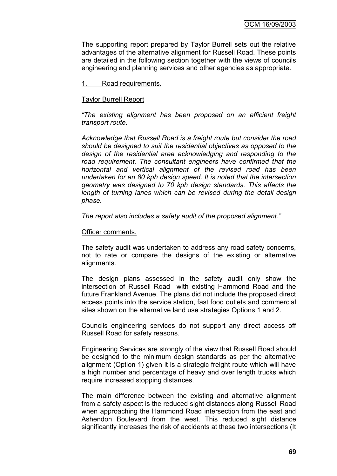The supporting report prepared by Taylor Burrell sets out the relative advantages of the alternative alignment for Russell Road. These points are detailed in the following section together with the views of councils engineering and planning services and other agencies as appropriate.

1. Road requirements.

#### Taylor Burrell Report

*"The existing alignment has been proposed on an efficient freight transport route.*

*Acknowledge that Russell Road is a freight route but consider the road should be designed to suit the residential objectives as opposed to the design of the residential area acknowledging and responding to the road requirement. The consultant engineers have confirmed that the horizontal and vertical alignment of the revised road has been undertaken for an 80 kph design speed. It is noted that the intersection geometry was designed to 70 kph design standards. This affects the length of turning lanes which can be revised during the detail design phase.* 

*The report also includes a safety audit of the proposed alignment."*

#### Officer comments.

The safety audit was undertaken to address any road safety concerns, not to rate or compare the designs of the existing or alternative alignments.

The design plans assessed in the safety audit only show the intersection of Russell Road with existing Hammond Road and the future Frankland Avenue. The plans did not include the proposed direct access points into the service station, fast food outlets and commercial sites shown on the alternative land use strategies Options 1 and 2.

Councils engineering services do not support any direct access off Russell Road for safety reasons.

Engineering Services are strongly of the view that Russell Road should be designed to the minimum design standards as per the alternative alignment (Option 1) given it is a strategic freight route which will have a high number and percentage of heavy and over length trucks which require increased stopping distances.

The main difference between the existing and alternative alignment from a safety aspect is the reduced sight distances along Russell Road when approaching the Hammond Road intersection from the east and Ashendon Boulevard from the west. This reduced sight distance significantly increases the risk of accidents at these two intersections (It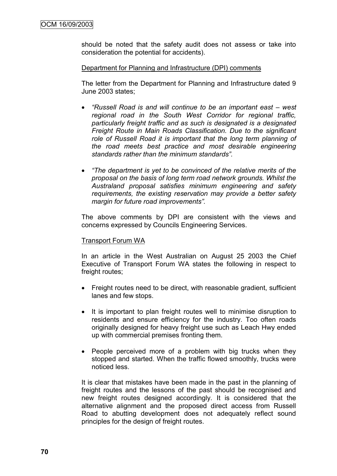should be noted that the safety audit does not assess or take into consideration the potential for accidents).

#### Department for Planning and Infrastructure (DPI) comments

The letter from the Department for Planning and Infrastructure dated 9 June 2003 states;

- *"Russell Road is and will continue to be an important east – west regional road in the South West Corridor for regional traffic, particularly freight traffic and as such is designated is a designated Freight Route in Main Roads Classification. Due to the significant role of Russell Road it is important that the long term planning of the road meets best practice and most desirable engineering standards rather than the minimum standards".*
- *"The department is yet to be convinced of the relative merits of the proposal on the basis of long term road network grounds. Whilst the Australand proposal satisfies minimum engineering and safety requirements, the existing reservation may provide a better safety margin for future road improvements".*

The above comments by DPI are consistent with the views and concerns expressed by Councils Engineering Services.

#### Transport Forum WA

In an article in the West Australian on August 25 2003 the Chief Executive of Transport Forum WA states the following in respect to freight routes;

- Freight routes need to be direct, with reasonable gradient, sufficient lanes and few stops.
- It is important to plan freight routes well to minimise disruption to residents and ensure efficiency for the industry. Too often roads originally designed for heavy freight use such as Leach Hwy ended up with commercial premises fronting them.
- People perceived more of a problem with big trucks when they stopped and started. When the traffic flowed smoothly, trucks were noticed less.

It is clear that mistakes have been made in the past in the planning of freight routes and the lessons of the past should be recognised and new freight routes designed accordingly. It is considered that the alternative alignment and the proposed direct access from Russell Road to abutting development does not adequately reflect sound principles for the design of freight routes.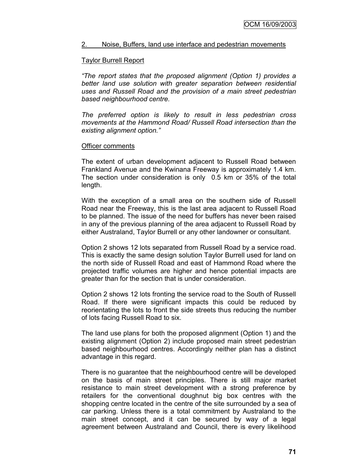#### 2. Noise, Buffers, land use interface and pedestrian movements

#### Taylor Burrell Report

*"The report states that the proposed alignment (Option 1) provides a better land use solution with greater separation between residential uses and Russell Road and the provision of a main street pedestrian based neighbourhood centre.*

*The preferred option is likely to result in less pedestrian cross movements at the Hammond Road/ Russell Road intersection than the existing alignment option."*

#### Officer comments

The extent of urban development adjacent to Russell Road between Frankland Avenue and the Kwinana Freeway is approximately 1.4 km. The section under consideration is only 0.5 km or 35% of the total length.

With the exception of a small area on the southern side of Russell Road near the Freeway, this is the last area adjacent to Russell Road to be planned. The issue of the need for buffers has never been raised in any of the previous planning of the area adjacent to Russell Road by either Australand, Taylor Burrell or any other landowner or consultant.

Option 2 shows 12 lots separated from Russell Road by a service road. This is exactly the same design solution Taylor Burrell used for land on the north side of Russell Road and east of Hammond Road where the projected traffic volumes are higher and hence potential impacts are greater than for the section that is under consideration.

Option 2 shows 12 lots fronting the service road to the South of Russell Road. If there were significant impacts this could be reduced by reorientating the lots to front the side streets thus reducing the number of lots facing Russell Road to six.

The land use plans for both the proposed alignment (Option 1) and the existing alignment (Option 2) include proposed main street pedestrian based neighbourhood centres. Accordingly neither plan has a distinct advantage in this regard.

There is no guarantee that the neighbourhood centre will be developed on the basis of main street principles. There is still major market resistance to main street development with a strong preference by retailers for the conventional doughnut big box centres with the shopping centre located in the centre of the site surrounded by a sea of car parking. Unless there is a total commitment by Australand to the main street concept, and it can be secured by way of a legal agreement between Australand and Council, there is every likelihood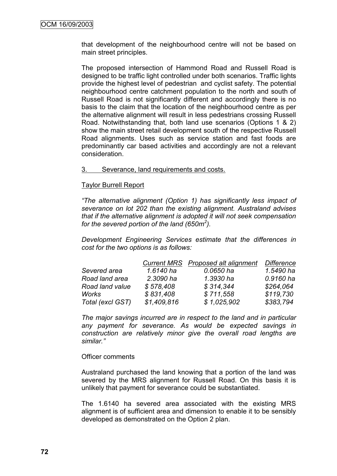that development of the neighbourhood centre will not be based on main street principles.

The proposed intersection of Hammond Road and Russell Road is designed to be traffic light controlled under both scenarios. Traffic lights provide the highest level of pedestrian and cyclist safety. The potential neighbourhood centre catchment population to the north and south of Russell Road is not significantly different and accordingly there is no basis to the claim that the location of the neighbourhood centre as per the alternative alignment will result in less pedestrians crossing Russell Road. Notwithstanding that, both land use scenarios (Options 1 & 2) show the main street retail development south of the respective Russell Road alignments. Uses such as service station and fast foods are predominantly car based activities and accordingly are not a relevant consideration.

#### 3. Severance, land requirements and costs.

#### Taylor Burrell Report

*"The alternative alignment (Option 1) has significantly less impact of severance on lot 202 than the existing alignment. Australand advises that if the alternative alignment is adopted it will not seek compensation for the severed portion of the land (650m<sup>2</sup> ).*

*Development Engineering Services estimate that the differences in cost for the two options is as follows:*

|                  |             | Current MRS Proposed alt alignment | <b>Difference</b> |
|------------------|-------------|------------------------------------|-------------------|
| Severed area     | 1.6140 ha   | 0.0650 ha                          | 1.5490 ha         |
| Road land area   | 2.3090 ha   | 1.3930 ha                          | 0.9160 ha         |
| Road land value  | \$578,408   | \$314,344                          | \$264,064         |
| Works            | \$831,408   | \$711,558                          | \$119,730         |
| Total (excl GST) | \$1,409,816 | \$1,025,902                        | \$383,794         |

*The major savings incurred are in respect to the land and in particular any payment for severance. As would be expected savings in construction are relatively minor give the overall road lengths are similar."*

#### Officer comments

Australand purchased the land knowing that a portion of the land was severed by the MRS alignment for Russell Road. On this basis it is unlikely that payment for severance could be substantiated.

The 1.6140 ha severed area associated with the existing MRS alignment is of sufficient area and dimension to enable it to be sensibly developed as demonstrated on the Option 2 plan.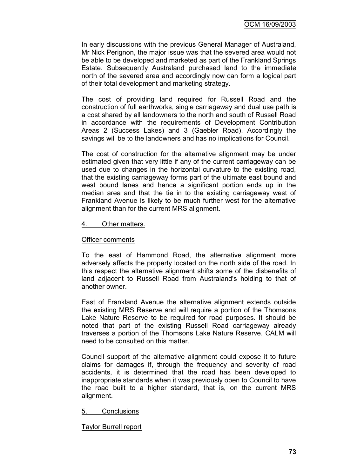In early discussions with the previous General Manager of Australand, Mr Nick Perignon, the major issue was that the severed area would not be able to be developed and marketed as part of the Frankland Springs Estate. Subsequently Australand purchased land to the immediate north of the severed area and accordingly now can form a logical part of their total development and marketing strategy.

The cost of providing land required for Russell Road and the construction of full earthworks, single carriageway and dual use path is a cost shared by all landowners to the north and south of Russell Road in accordance with the requirements of Development Contribution Areas 2 (Success Lakes) and 3 (Gaebler Road). Accordingly the savings will be to the landowners and has no implications for Council.

The cost of construction for the alternative alignment may be under estimated given that very little if any of the current carriageway can be used due to changes in the horizontal curvature to the existing road, that the existing carriageway forms part of the ultimate east bound and west bound lanes and hence a significant portion ends up in the median area and that the tie in to the existing carriageway west of Frankland Avenue is likely to be much further west for the alternative alignment than for the current MRS alignment.

#### 4. Other matters.

#### Officer comments

To the east of Hammond Road, the alternative alignment more adversely affects the property located on the north side of the road. In this respect the alternative alignment shifts some of the disbenefits of land adjacent to Russell Road from Australand's holding to that of another owner.

East of Frankland Avenue the alternative alignment extends outside the existing MRS Reserve and will require a portion of the Thomsons Lake Nature Reserve to be required for road purposes. It should be noted that part of the existing Russell Road carriageway already traverses a portion of the Thomsons Lake Nature Reserve. CALM will need to be consulted on this matter.

Council support of the alternative alignment could expose it to future claims for damages if, through the frequency and severity of road accidents, it is determined that the road has been developed to inappropriate standards when it was previously open to Council to have the road built to a higher standard, that is, on the current MRS alignment.

#### 5. Conclusions

Taylor Burrell report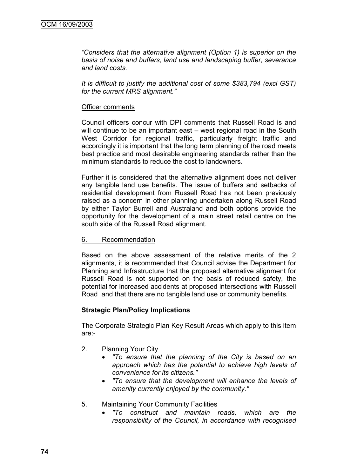*"Considers that the alternative alignment (Option 1) is superior on the basis of noise and buffers, land use and landscaping buffer, severance and land costs.*

*It is difficult to justify the additional cost of some \$383,794 (excl GST) for the current MRS alignment."*

#### Officer comments

Council officers concur with DPI comments that Russell Road is and will continue to be an important east – west regional road in the South West Corridor for regional traffic, particularly freight traffic and accordingly it is important that the long term planning of the road meets best practice and most desirable engineering standards rather than the minimum standards to reduce the cost to landowners.

Further it is considered that the alternative alignment does not deliver any tangible land use benefits. The issue of buffers and setbacks of residential development from Russell Road has not been previously raised as a concern in other planning undertaken along Russell Road by either Taylor Burrell and Australand and both options provide the opportunity for the development of a main street retail centre on the south side of the Russell Road alignment.

#### 6. Recommendation

Based on the above assessment of the relative merits of the 2 alignments, it is recommended that Council advise the Department for Planning and Infrastructure that the proposed alternative alignment for Russell Road is not supported on the basis of reduced safety, the potential for increased accidents at proposed intersections with Russell Road and that there are no tangible land use or community benefits.

#### **Strategic Plan/Policy Implications**

The Corporate Strategic Plan Key Result Areas which apply to this item are:-

- 2. Planning Your City
	- *"To ensure that the planning of the City is based on an approach which has the potential to achieve high levels of convenience for its citizens."*
	- *"To ensure that the development will enhance the levels of amenity currently enjoyed by the community."*
- 5. Maintaining Your Community Facilities
	- *"To construct and maintain roads, which are the responsibility of the Council, in accordance with recognised*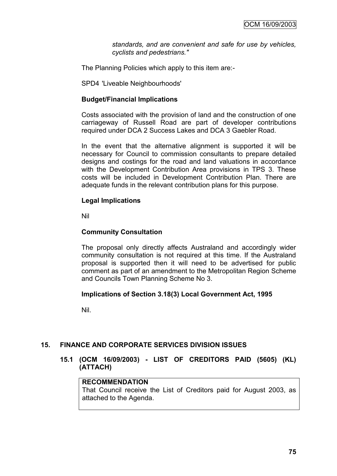*standards, and are convenient and safe for use by vehicles, cyclists and pedestrians."*

The Planning Policies which apply to this item are:-

SPD4 'Liveable Neighbourhoods'

#### **Budget/Financial Implications**

Costs associated with the provision of land and the construction of one carriageway of Russell Road are part of developer contributions required under DCA 2 Success Lakes and DCA 3 Gaebler Road.

In the event that the alternative alignment is supported it will be necessary for Council to commission consultants to prepare detailed designs and costings for the road and land valuations in accordance with the Development Contribution Area provisions in TPS 3. These costs will be included in Development Contribution Plan. There are adequate funds in the relevant contribution plans for this purpose.

#### **Legal Implications**

Nil

#### **Community Consultation**

The proposal only directly affects Australand and accordingly wider community consultation is not required at this time. If the Australand proposal is supported then it will need to be advertised for public comment as part of an amendment to the Metropolitan Region Scheme and Councils Town Planning Scheme No 3.

#### **Implications of Section 3.18(3) Local Government Act, 1995**

Nil.

#### **15. FINANCE AND CORPORATE SERVICES DIVISION ISSUES**

**15.1 (OCM 16/09/2003) - LIST OF CREDITORS PAID (5605) (KL) (ATTACH)**

#### **RECOMMENDATION**

That Council receive the List of Creditors paid for August 2003, as attached to the Agenda.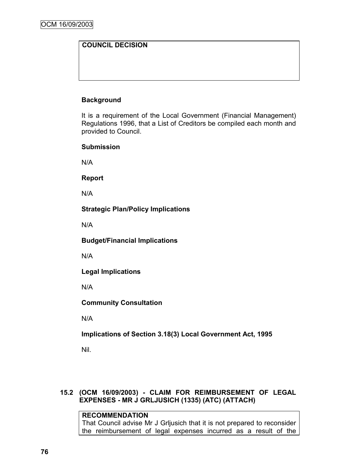# **COUNCIL DECISION**

# **Background**

It is a requirement of the Local Government (Financial Management) Regulations 1996, that a List of Creditors be compiled each month and provided to Council.

#### **Submission**

N/A

**Report**

N/A

**Strategic Plan/Policy Implications**

N/A

**Budget/Financial Implications**

N/A

**Legal Implications**

N/A

**Community Consultation**

N/A

**Implications of Section 3.18(3) Local Government Act, 1995**

Nil.

# **15.2 (OCM 16/09/2003) - CLAIM FOR REIMBURSEMENT OF LEGAL EXPENSES - MR J GRLJUSICH (1335) (ATC) (ATTACH)**

**RECOMMENDATION** That Council advise Mr J Grljusich that it is not prepared to reconsider the reimbursement of legal expenses incurred as a result of the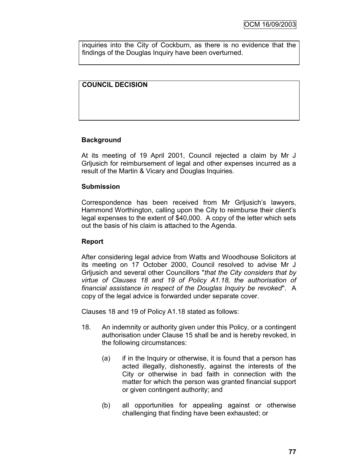inquiries into the City of Cockburn, as there is no evidence that the findings of the Douglas Inquiry have been overturned.

# **COUNCIL DECISION**

#### **Background**

At its meeting of 19 April 2001, Council rejected a claim by Mr J Grljusich for reimbursement of legal and other expenses incurred as a result of the Martin & Vicary and Douglas Inquiries.

#### **Submission**

Correspondence has been received from Mr Grijusich's lawyers, Hammond Worthington, calling upon the City to reimburse their client"s legal expenses to the extent of \$40,000. A copy of the letter which sets out the basis of his claim is attached to the Agenda.

#### **Report**

After considering legal advice from Watts and Woodhouse Solicitors at its meeting on 17 October 2000, Council resolved to advise Mr J Grljusich and several other Councillors "*that the City considers that by virtue of Clauses 18 and 19 of Policy A1.18, the authorisation of financial assistance in respect of the Douglas Inquiry be revoked*". A copy of the legal advice is forwarded under separate cover.

Clauses 18 and 19 of Policy A1.18 stated as follows:

- 18. An indemnity or authority given under this Policy, or a contingent authorisation under Clause 15 shall be and is hereby revoked, in the following circumstances:
	- (a) if in the Inquiry or otherwise, it is found that a person has acted illegally, dishonestly, against the interests of the City or otherwise in bad faith in connection with the matter for which the person was granted financial support or given contingent authority; and
	- (b) all opportunities for appealing against or otherwise challenging that finding have been exhausted; or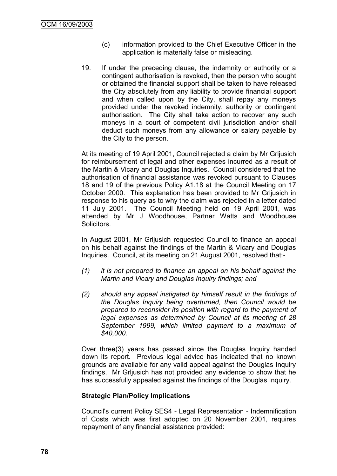- (c) information provided to the Chief Executive Officer in the application is materially false or misleading.
- 19. If under the preceding clause, the indemnity or authority or a contingent authorisation is revoked, then the person who sought or obtained the financial support shall be taken to have released the City absolutely from any liability to provide financial support and when called upon by the City, shall repay any moneys provided under the revoked indemnity, authority or contingent authorisation. The City shall take action to recover any such moneys in a court of competent civil jurisdiction and/or shall deduct such moneys from any allowance or salary payable by the City to the person.

At its meeting of 19 April 2001, Council rejected a claim by Mr Grljusich for reimbursement of legal and other expenses incurred as a result of the Martin & Vicary and Douglas Inquiries. Council considered that the authorisation of financial assistance was revoked pursuant to Clauses 18 and 19 of the previous Policy A1.18 at the Council Meeting on 17 October 2000. This explanation has been provided to Mr Grljusich in response to his query as to why the claim was rejected in a letter dated 11 July 2001. The Council Meeting held on 19 April 2001, was attended by Mr J Woodhouse, Partner Watts and Woodhouse Solicitors.

In August 2001, Mr Grljusich requested Council to finance an appeal on his behalf against the findings of the Martin & Vicary and Douglas Inquiries. Council, at its meeting on 21 August 2001, resolved that:-

- *(1) it is not prepared to finance an appeal on his behalf against the Martin and Vicary and Douglas Inquiry findings; and*
- *(2) should any appeal instigated by himself result in the findings of the Douglas Inquiry being overturned, then Council would be prepared to reconsider its position with regard to the payment of legal expenses as determined by Council at its meeting of 28 September 1999, which limited payment to a maximum of \$40,000.*

Over three(3) years has passed since the Douglas Inquiry handed down its report. Previous legal advice has indicated that no known grounds are available for any valid appeal against the Douglas Inquiry findings. Mr Grljusich has not provided any evidence to show that he has successfully appealed against the findings of the Douglas Inquiry.

#### **Strategic Plan/Policy Implications**

Council's current Policy SES4 - Legal Representation - Indemnification of Costs which was first adopted on 20 November 2001, requires repayment of any financial assistance provided: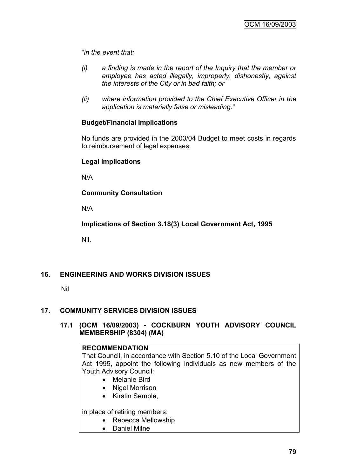"*in the event that:*

- *(i) a finding is made in the report of the Inquiry that the member or employee has acted illegally, improperly, dishonestly, against the interests of the City or in bad faith; or*
- *(ii) where information provided to the Chief Executive Officer in the application is materially false or misleading*."

# **Budget/Financial Implications**

No funds are provided in the 2003/04 Budget to meet costs in regards to reimbursement of legal expenses.

# **Legal Implications**

N/A

**Community Consultation**

N/A

**Implications of Section 3.18(3) Local Government Act, 1995**

Nil.

# **16. ENGINEERING AND WORKS DIVISION ISSUES**

Nil

#### **17. COMMUNITY SERVICES DIVISION ISSUES**

#### **17.1 (OCM 16/09/2003) - COCKBURN YOUTH ADVISORY COUNCIL MEMBERSHIP (8304) (MA)**

# **RECOMMENDATION**

That Council, in accordance with Section 5.10 of the Local Government Act 1995, appoint the following individuals as new members of the Youth Advisory Council:

- Melanie Bird
- Nigel Morrison
- Kirstin Semple,

in place of retiring members:

- Rebecca Mellowship
- Daniel Milne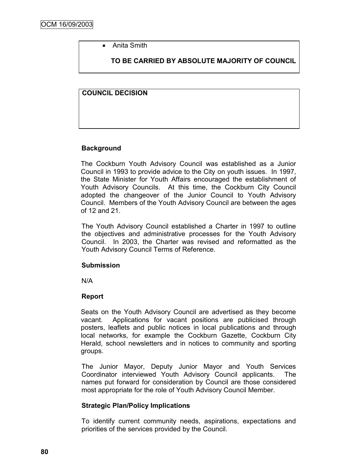• Anita Smith

**TO BE CARRIED BY ABSOLUTE MAJORITY OF COUNCIL**

#### **COUNCIL DECISION**

# **Background**

The Cockburn Youth Advisory Council was established as a Junior Council in 1993 to provide advice to the City on youth issues. In 1997, the State Minister for Youth Affairs encouraged the establishment of Youth Advisory Councils. At this time, the Cockburn City Council adopted the changeover of the Junior Council to Youth Advisory Council. Members of the Youth Advisory Council are between the ages of 12 and 21.

The Youth Advisory Council established a Charter in 1997 to outline the objectives and administrative processes for the Youth Advisory Council. In 2003, the Charter was revised and reformatted as the Youth Advisory Council Terms of Reference.

#### **Submission**

N/A

#### **Report**

Seats on the Youth Advisory Council are advertised as they become vacant. Applications for vacant positions are publicised through posters, leaflets and public notices in local publications and through local networks, for example the Cockburn Gazette, Cockburn City Herald, school newsletters and in notices to community and sporting groups.

The Junior Mayor, Deputy Junior Mayor and Youth Services Coordinator interviewed Youth Advisory Council applicants. The names put forward for consideration by Council are those considered most appropriate for the role of Youth Advisory Council Member.

#### **Strategic Plan/Policy Implications**

To identify current community needs, aspirations, expectations and priorities of the services provided by the Council.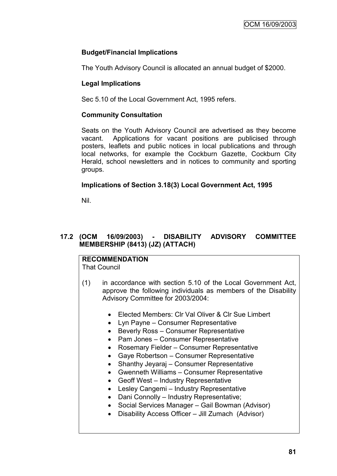# **Budget/Financial Implications**

The Youth Advisory Council is allocated an annual budget of \$2000.

# **Legal Implications**

Sec 5.10 of the Local Government Act, 1995 refers.

## **Community Consultation**

Seats on the Youth Advisory Council are advertised as they become vacant. Applications for vacant positions are publicised through posters, leaflets and public notices in local publications and through local networks, for example the Cockburn Gazette, Cockburn City Herald, school newsletters and in notices to community and sporting groups.

# **Implications of Section 3.18(3) Local Government Act, 1995**

Nil.

# **17.2 (OCM 16/09/2003) - DISABILITY ADVISORY COMMITTEE MEMBERSHIP (8413) (JZ) (ATTACH)**

**RECOMMENDATION** That Council

- (1) in accordance with section 5.10 of the Local Government Act, approve the following individuals as members of the Disability Advisory Committee for 2003/2004:
	- Elected Members: Clr Val Oliver & Clr Sue Limbert
	- Lyn Payne Consumer Representative
	- Beverly Ross Consumer Representative
	- Pam Jones Consumer Representative
	- Rosemary Fielder Consumer Representative
	- Gaye Robertson Consumer Representative
	- Shanthy Jeyaraj Consumer Representative
	- Gwenneth Williams Consumer Representative
	- Geoff West Industry Representative
	- Lesley Cangemi Industry Representative
	- Dani Connolly Industry Representative;
	- Social Services Manager Gail Bowman (Advisor)
	- Disability Access Officer Jill Zumach (Advisor)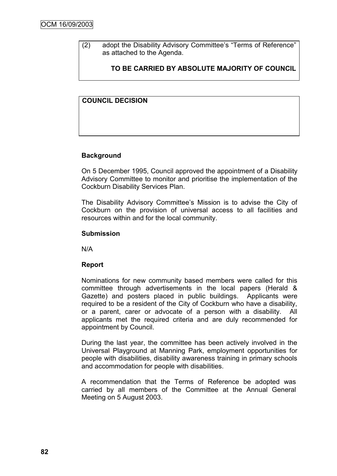(2) adopt the Disability Advisory Committee's "Terms of Reference" as attached to the Agenda.

# **TO BE CARRIED BY ABSOLUTE MAJORITY OF COUNCIL**

#### **COUNCIL DECISION**

#### **Background**

On 5 December 1995, Council approved the appointment of a Disability Advisory Committee to monitor and prioritise the implementation of the Cockburn Disability Services Plan.

The Disability Advisory Committee's Mission is to advise the City of Cockburn on the provision of universal access to all facilities and resources within and for the local community.

#### **Submission**

N/A

#### **Report**

Nominations for new community based members were called for this committee through advertisements in the local papers (Herald & Gazette) and posters placed in public buildings. Applicants were required to be a resident of the City of Cockburn who have a disability, or a parent, carer or advocate of a person with a disability. All applicants met the required criteria and are duly recommended for appointment by Council.

During the last year, the committee has been actively involved in the Universal Playground at Manning Park, employment opportunities for people with disabilities, disability awareness training in primary schools and accommodation for people with disabilities.

A recommendation that the Terms of Reference be adopted was carried by all members of the Committee at the Annual General Meeting on 5 August 2003.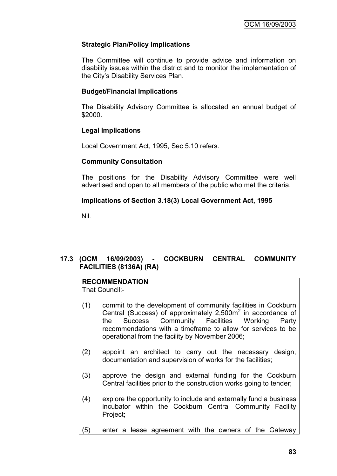# **Strategic Plan/Policy Implications**

The Committee will continue to provide advice and information on disability issues within the district and to monitor the implementation of the City"s Disability Services Plan.

#### **Budget/Financial Implications**

The Disability Advisory Committee is allocated an annual budget of \$2000.

#### **Legal Implications**

Local Government Act, 1995, Sec 5.10 refers.

#### **Community Consultation**

The positions for the Disability Advisory Committee were well advertised and open to all members of the public who met the criteria.

# **Implications of Section 3.18(3) Local Government Act, 1995**

Nil.

# **17.3 (OCM 16/09/2003) - COCKBURN CENTRAL COMMUNITY FACILITIES (8136A) (RA)**

# **RECOMMENDATION**

That Council:-

- (1) commit to the development of community facilities in Cockburn Central (Success) of approximately  $2,500m^2$  in accordance of the Success Community Facilities Working Party recommendations with a timeframe to allow for services to be operational from the facility by November 2006;
- (2) appoint an architect to carry out the necessary design, documentation and supervision of works for the facilities;
- (3) approve the design and external funding for the Cockburn Central facilities prior to the construction works going to tender;
- (4) explore the opportunity to include and externally fund a business incubator within the Cockburn Central Community Facility Project;
- (5) enter a lease agreement with the owners of the Gateway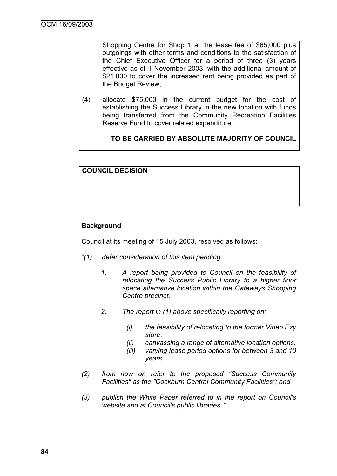Shopping Centre for Shop 1 at the lease fee of \$65,000 plus outgoings with other terms and conditions to the satisfaction of the Chief Executive Officer for a period of three (3) years effective as of 1 November 2003, with the additional amount of \$21,000 to cover the increased rent being provided as part of the Budget Review;

(4) allocate \$75,000 in the current budget for the cost of establishing the Success Library in the new location with funds being transferred from the Community Recreation Facilities Reserve Fund to cover related expenditure.

**TO BE CARRIED BY ABSOLUTE MAJORITY OF COUNCIL**

# **COUNCIL DECISION**

# **Background**

Council at its meeting of 15 July 2003, resolved as follows:

- "*(1) defer consideration of this item pending:*
	- *1. A report being provided to Council on the feasibility of relocating the Success Public Library to a higher floor space alternative location within the Gateways Shopping Centre precinct.*
	- *2. The report in (1) above specifically reporting on:*
		- *(i) the feasibility of relocating to the former Video Ezy store.*
		- *(ii) canvassing a range of alternative location options.*
		- *(iii) varying lease period options for between 3 and 10 years.*
- *(2) from now on refer to the proposed "Success Community Facilities" as the "Cockburn Central Community Facilities"; and*
- *(3) publish the White Paper referred to in the report on Council's website and at Council's public libraries.* "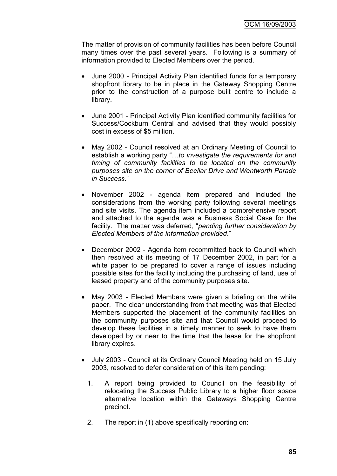The matter of provision of community facilities has been before Council many times over the past several years. Following is a summary of information provided to Elected Members over the period.

- June 2000 Principal Activity Plan identified funds for a temporary shopfront library to be in place in the Gateway Shopping Centre prior to the construction of a purpose built centre to include a library.
- June 2001 Principal Activity Plan identified community facilities for Success/Cockburn Central and advised that they would possibly cost in excess of \$5 million.
- May 2002 Council resolved at an Ordinary Meeting of Council to establish a working party "…*to investigate the requirements for and timing of community facilities to be located on the community purposes site on the corner of Beeliar Drive and Wentworth Parade in Success*."
- November 2002 agenda item prepared and included the considerations from the working party following several meetings and site visits. The agenda item included a comprehensive report and attached to the agenda was a Business Social Case for the facility. The matter was deferred, "*pending further consideration by Elected Members of the information provided*."
- December 2002 Agenda item recommitted back to Council which then resolved at its meeting of 17 December 2002, in part for a white paper to be prepared to cover a range of issues including possible sites for the facility including the purchasing of land, use of leased property and of the community purposes site.
- May 2003 Elected Members were given a briefing on the white paper. The clear understanding from that meeting was that Elected Members supported the placement of the community facilities on the community purposes site and that Council would proceed to develop these facilities in a timely manner to seek to have them developed by or near to the time that the lease for the shopfront library expires.
- July 2003 Council at its Ordinary Council Meeting held on 15 July 2003, resolved to defer consideration of this item pending:
	- 1. A report being provided to Council on the feasibility of relocating the Success Public Library to a higher floor space alternative location within the Gateways Shopping Centre precinct.
	- 2. The report in (1) above specifically reporting on: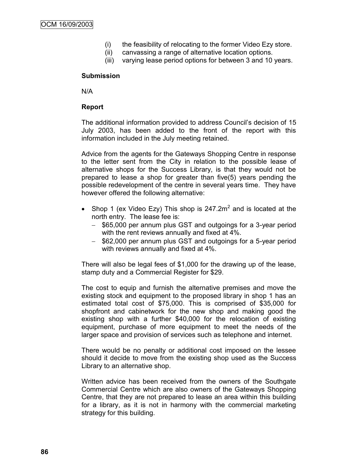- (i) the feasibility of relocating to the former Video Ezy store.
- (ii) canvassing a range of alternative location options.
- (iii) varying lease period options for between 3 and 10 years.

#### **Submission**

N/A

#### **Report**

The additional information provided to address Council"s decision of 15 July 2003, has been added to the front of the report with this information included in the July meeting retained.

Advice from the agents for the Gateways Shopping Centre in response to the letter sent from the City in relation to the possible lease of alternative shops for the Success Library, is that they would not be prepared to lease a shop for greater than five(5) years pending the possible redevelopment of the centre in several years time. They have however offered the following alternative:

- Shop 1 (ex Video Ezy) This shop is  $247.2 \text{m}^2$  and is located at the north entry. The lease fee is:
	- \$65,000 per annum plus GST and outgoings for a 3-year period with the rent reviews annually and fixed at 4%.
	- \$62,000 per annum plus GST and outgoings for a 5-year period with reviews annually and fixed at 4%.

There will also be legal fees of \$1,000 for the drawing up of the lease, stamp duty and a Commercial Register for \$29.

The cost to equip and furnish the alternative premises and move the existing stock and equipment to the proposed library in shop 1 has an estimated total cost of \$75,000. This is comprised of \$35,000 for shopfront and cabinetwork for the new shop and making good the existing shop with a further \$40,000 for the relocation of existing equipment, purchase of more equipment to meet the needs of the larger space and provision of services such as telephone and internet.

There would be no penalty or additional cost imposed on the lessee should it decide to move from the existing shop used as the Success Library to an alternative shop.

Written advice has been received from the owners of the Southgate Commercial Centre which are also owners of the Gateways Shopping Centre, that they are not prepared to lease an area within this building for a library, as it is not in harmony with the commercial marketing strategy for this building.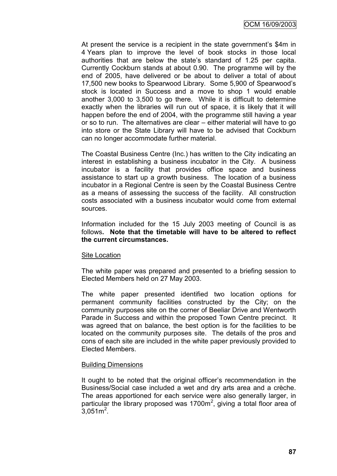At present the service is a recipient in the state government's \$4m in 4 Years plan to improve the level of book stocks in those local authorities that are below the state"s standard of 1.25 per capita. Currently Cockburn stands at about 0.90. The programme will by the end of 2005, have delivered or be about to deliver a total of about 17,500 new books to Spearwood Library. Some 5,900 of Spearwood"s stock is located in Success and a move to shop 1 would enable another 3,000 to 3,500 to go there. While it is difficult to determine exactly when the libraries will run out of space, it is likely that it will happen before the end of 2004, with the programme still having a year or so to run. The alternatives are clear – either material will have to go into store or the State Library will have to be advised that Cockburn can no longer accommodate further material.

The Coastal Business Centre (Inc.) has written to the City indicating an interest in establishing a business incubator in the City. A business incubator is a facility that provides office space and business assistance to start up a growth business. The location of a business incubator in a Regional Centre is seen by the Coastal Business Centre as a means of assessing the success of the facility. All construction costs associated with a business incubator would come from external sources.

Information included for the 15 July 2003 meeting of Council is as follows**. Note that the timetable will have to be altered to reflect the current circumstances.**

#### Site Location

The white paper was prepared and presented to a briefing session to Elected Members held on 27 May 2003.

The white paper presented identified two location options for permanent community facilities constructed by the City; on the community purposes site on the corner of Beeliar Drive and Wentworth Parade in Success and within the proposed Town Centre precinct. It was agreed that on balance, the best option is for the facilities to be located on the community purposes site. The details of the pros and cons of each site are included in the white paper previously provided to Elected Members.

#### Building Dimensions

It ought to be noted that the original officer's recommendation in the Business/Social case included a wet and dry arts area and a crèche. The areas apportioned for each service were also generally larger, in particular the library proposed was 1700 $m<sup>2</sup>$ , giving a total floor area of  $3,051m^2$ .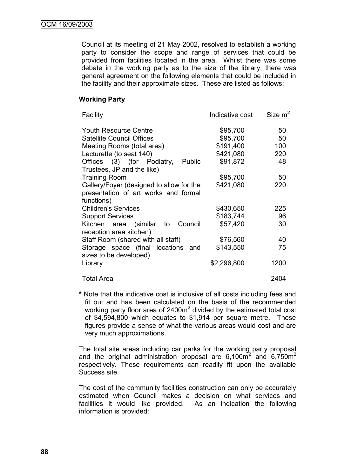Council at its meeting of 21 May 2002, resolved to establish a working party to consider the scope and range of services that could be provided from facilities located in the area. Whilst there was some debate in the working party as to the size of the library, there was general agreement on the following elements that could be included in the facility and their approximate sizes. These are listed as follows:

## **Working Party**

| <b>Facility</b>                                              | Indicative cost | Size m <sup>2</sup> |
|--------------------------------------------------------------|-----------------|---------------------|
| <b>Youth Resource Centre</b>                                 | \$95,700        | 50                  |
| <b>Satellite Council Offices</b>                             | \$95,700        | 50                  |
| Meeting Rooms (total area)                                   | \$191,400       | 100                 |
| Lecturette (to seat 140)                                     | \$421,080       | 220                 |
| Offices (3) (for Podiatry,<br>Public                         | \$91,872        | 48                  |
| Trustees, JP and the like)                                   |                 |                     |
| <b>Training Room</b>                                         | \$95,700        | 50                  |
| Gallery/Foyer (designed to allow for the                     | \$421,080       | 220                 |
| presentation of art works and formal                         |                 |                     |
| functions)                                                   |                 |                     |
| <b>Children's Services</b>                                   | \$430,650       | 225                 |
| <b>Support Services</b>                                      | \$183,744       | 96                  |
| Council<br>Kitchen area (similar<br>to                       | \$57,420        | 30                  |
| reception area kitchen)                                      |                 |                     |
| Staff Room (shared with all staff)                           | \$76,560        | 40                  |
| Storage space (final locations and<br>sizes to be developed) | \$143,550       | 75                  |
| Library                                                      | \$2,296,800     | 1200                |
| <b>Total Area</b>                                            |                 | 2404                |

**\*** Note that the indicative cost is inclusive of all costs including fees and fit out and has been calculated on the basis of the recommended working party floor area of 2400 $m<sup>2</sup>$  divided by the estimated total cost of \$4,594,800 which equates to \$1,914 per square metre. These figures provide a sense of what the various areas would cost and are very much approximations.

The total site areas including car parks for the working party proposal and the original administration proposal are  $6,100\text{m}^2$  and  $6,750\text{m}^2$ respectively. These requirements can readily fit upon the available Success site.

The cost of the community facilities construction can only be accurately estimated when Council makes a decision on what services and facilities it would like provided. As an indication the following information is provided: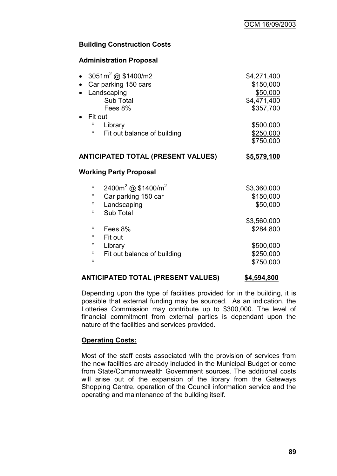# **Building Construction Costs**

# **Administration Proposal**

| 3051 $m^2$ @ \$1400/m2<br>$\bullet$<br>Car parking 150 cars<br>$\bullet$<br>Landscaping<br>$\bullet$<br>Sub Total<br>Fees 8%<br>Fit out<br>$\bullet$<br>$\circ$<br>Library | \$4,271,400<br>\$150,000<br>\$50,000<br>\$4,471,400<br>\$357,700<br>\$500,000 |
|----------------------------------------------------------------------------------------------------------------------------------------------------------------------------|-------------------------------------------------------------------------------|
| $\circ$<br>Fit out balance of building                                                                                                                                     | \$250,000<br>\$750,000                                                        |
| <b>ANTICIPATED TOTAL (PRESENT VALUES)</b>                                                                                                                                  | \$5,579,100                                                                   |
| Working Party Proposal                                                                                                                                                     |                                                                               |
| 2400m <sup>2</sup> @ \$1400/m <sup>2</sup><br>$\circ$<br>Car parking 150 car<br>$\circ$<br>$\circ$<br>Landscaping<br>Sub Total<br>$\circ$                                  | \$3,360,000<br>\$150,000<br>\$50,000                                          |
| $\circ$<br>Fees 8%<br>$\circ$<br>Fit out<br>$\circ$<br>Library<br>$\circ$<br>Fit out balance of building<br>$\circ$                                                        | \$3,560,000<br>\$284,800<br>\$500,000<br>\$250,000<br>\$750,000               |
|                                                                                                                                                                            |                                                                               |

#### **ANTICIPATED TOTAL (PRESENT VALUES) \$4,594,800**

Depending upon the type of facilities provided for in the building, it is possible that external funding may be sourced. As an indication, the Lotteries Commission may contribute up to \$300,000. The level of financial commitment from external parties is dependant upon the nature of the facilities and services provided.

# **Operating Costs:**

Most of the staff costs associated with the provision of services from the new facilities are already included in the Municipal Budget or come from State/Commonwealth Government sources. The additional costs will arise out of the expansion of the library from the Gateways Shopping Centre, operation of the Council information service and the operating and maintenance of the building itself.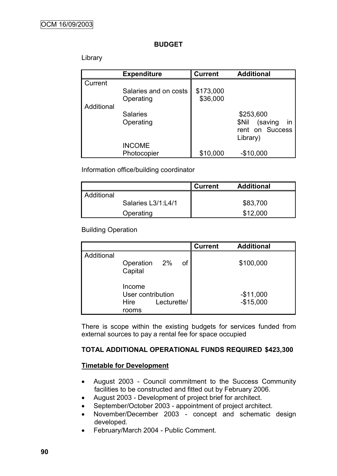#### **BUDGET**

## Library

|            | <b>Expenditure</b>    | <b>Current</b> | <b>Additional</b>      |
|------------|-----------------------|----------------|------------------------|
| Current    |                       |                |                        |
|            | Salaries and on costs | \$173,000      |                        |
|            | Operating             | \$36,000       |                        |
| Additional |                       |                |                        |
|            | <b>Salaries</b>       |                | \$253,600              |
|            | Operating             |                | in<br>\$Nil<br>(saving |
|            |                       |                | rent on Success        |
|            |                       |                | Library)               |
|            | <b>INCOME</b>         |                |                        |
|            | Photocopier           | \$10,000       | $-$10,000$             |

Information office/building coordinator

|            |                    | <b>Current</b> | <b>Additional</b> |
|------------|--------------------|----------------|-------------------|
| Additional |                    |                |                   |
|            | Salaries L3/1:L4/1 |                | \$83,700          |
|            | Operating          |                | \$12,000          |

# Building Operation

|            |                                                     |             |    | <b>Current</b> | <b>Additional</b>        |
|------------|-----------------------------------------------------|-------------|----|----------------|--------------------------|
| Additional | Operation 2%<br>Capital                             |             | οf |                | \$100,000                |
|            | Income<br>User contribution<br><b>Hire</b><br>rooms | Lecturette/ |    |                | $-$11,000$<br>$-$15,000$ |

There is scope within the existing budgets for services funded from external sources to pay a rental fee for space occupied

# **TOTAL ADDITIONAL OPERATIONAL FUNDS REQUIRED \$423,300**

# **Timetable for Development**

- August 2003 Council commitment to the Success Community facilities to be constructed and fitted out by February 2006.
- August 2003 Development of project brief for architect.
- September/October 2003 appointment of project architect.
- November/December 2003 concept and schematic design developed.
- February/March 2004 Public Comment.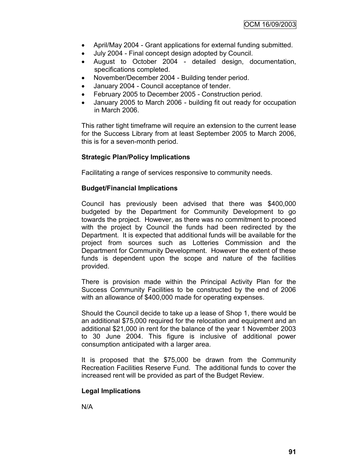- April/May 2004 Grant applications for external funding submitted.
- July 2004 Final concept design adopted by Council.
- August to October 2004 detailed design, documentation, specifications completed.
- November/December 2004 Building tender period.
- January 2004 Council acceptance of tender.
- February 2005 to December 2005 Construction period.
- January 2005 to March 2006 building fit out ready for occupation in March 2006.

This rather tight timeframe will require an extension to the current lease for the Success Library from at least September 2005 to March 2006, this is for a seven-month period.

# **Strategic Plan/Policy Implications**

Facilitating a range of services responsive to community needs.

#### **Budget/Financial Implications**

Council has previously been advised that there was \$400,000 budgeted by the Department for Community Development to go towards the project. However, as there was no commitment to proceed with the project by Council the funds had been redirected by the Department. It is expected that additional funds will be available for the project from sources such as Lotteries Commission and the Department for Community Development. However the extent of these funds is dependent upon the scope and nature of the facilities provided.

There is provision made within the Principal Activity Plan for the Success Community Facilities to be constructed by the end of 2006 with an allowance of \$400,000 made for operating expenses.

Should the Council decide to take up a lease of Shop 1, there would be an additional \$75,000 required for the relocation and equipment and an additional \$21,000 in rent for the balance of the year 1 November 2003 to 30 June 2004. This figure is inclusive of additional power consumption anticipated with a larger area.

It is proposed that the \$75,000 be drawn from the Community Recreation Facilities Reserve Fund. The additional funds to cover the increased rent will be provided as part of the Budget Review.

# **Legal Implications**

N/A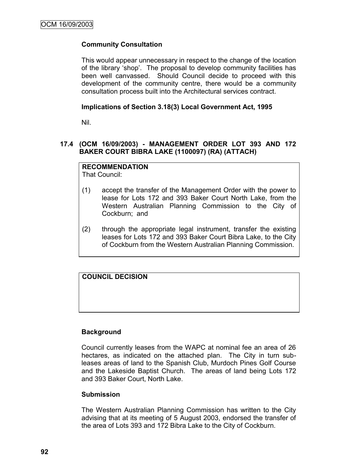# **Community Consultation**

This would appear unnecessary in respect to the change of the location of the library "shop". The proposal to develop community facilities has been well canvassed. Should Council decide to proceed with this development of the community centre, there would be a community consultation process built into the Architectural services contract.

#### **Implications of Section 3.18(3) Local Government Act, 1995**

Nil.

# **17.4 (OCM 16/09/2003) - MANAGEMENT ORDER LOT 393 AND 172 BAKER COURT BIBRA LAKE (1100097) (RA) (ATTACH)**

# **RECOMMENDATION**

That Council:

- (1) accept the transfer of the Management Order with the power to lease for Lots 172 and 393 Baker Court North Lake, from the Western Australian Planning Commission to the City of Cockburn; and
- (2) through the appropriate legal instrument, transfer the existing leases for Lots 172 and 393 Baker Court Bibra Lake, to the City of Cockburn from the Western Australian Planning Commission.

**COUNCIL DECISION**

#### **Background**

Council currently leases from the WAPC at nominal fee an area of 26 hectares, as indicated on the attached plan. The City in turn subleases areas of land to the Spanish Club, Murdoch Pines Golf Course and the Lakeside Baptist Church. The areas of land being Lots 172 and 393 Baker Court, North Lake.

#### **Submission**

The Western Australian Planning Commission has written to the City advising that at its meeting of 5 August 2003, endorsed the transfer of the area of Lots 393 and 172 Bibra Lake to the City of Cockburn.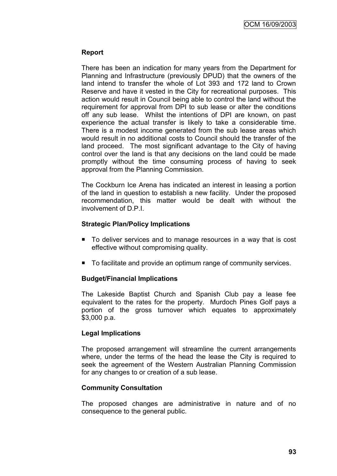# **Report**

There has been an indication for many years from the Department for Planning and Infrastructure (previously DPUD) that the owners of the land intend to transfer the whole of Lot 393 and 172 land to Crown Reserve and have it vested in the City for recreational purposes. This action would result in Council being able to control the land without the requirement for approval from DPI to sub lease or alter the conditions off any sub lease. Whilst the intentions of DPI are known, on past experience the actual transfer is likely to take a considerable time. There is a modest income generated from the sub lease areas which would result in no additional costs to Council should the transfer of the land proceed. The most significant advantage to the City of having control over the land is that any decisions on the land could be made promptly without the time consuming process of having to seek approval from the Planning Commission.

The Cockburn Ice Arena has indicated an interest in leasing a portion of the land in question to establish a new facility. Under the proposed recommendation, this matter would be dealt with without the involvement of D.P.I.

# **Strategic Plan/Policy Implications**

- To deliver services and to manage resources in a way that is cost effective without compromising quality.
- To facilitate and provide an optimum range of community services.

#### **Budget/Financial Implications**

The Lakeside Baptist Church and Spanish Club pay a lease fee equivalent to the rates for the property. Murdoch Pines Golf pays a portion of the gross turnover which equates to approximately \$3,000 p.a.

#### **Legal Implications**

The proposed arrangement will streamline the current arrangements where, under the terms of the head the lease the City is required to seek the agreement of the Western Australian Planning Commission for any changes to or creation of a sub lease.

#### **Community Consultation**

The proposed changes are administrative in nature and of no consequence to the general public.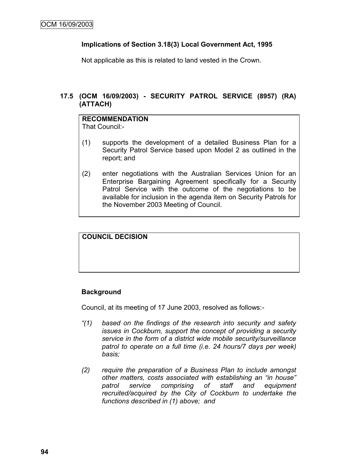# **Implications of Section 3.18(3) Local Government Act, 1995**

Not applicable as this is related to land vested in the Crown.

# **17.5 (OCM 16/09/2003) - SECURITY PATROL SERVICE (8957) (RA) (ATTACH)**

# **RECOMMENDATION**

That Council:-

- (1) supports the development of a detailed Business Plan for a Security Patrol Service based upon Model 2 as outlined in the report; and
- (2) enter negotiations with the Australian Services Union for an Enterprise Bargaining Agreement specifically for a Security Patrol Service with the outcome of the negotiations to be available for inclusion in the agenda item on Security Patrols for the November 2003 Meeting of Council.

# **COUNCIL DECISION**

# **Background**

Council, at its meeting of 17 June 2003, resolved as follows:-

- *"(1) based on the findings of the research into security and safety issues in Cockburn, support the concept of providing a security service in the form of a district wide mobile security/surveillance patrol to operate on a full time (i.e. 24 hours/7 days per week) basis;*
- *(2) require the preparation of a Business Plan to include amongst other matters, costs associated with establishing an "in house" patrol service comprising of staff and equipment recruited/acquired by the City of Cockburn to undertake the functions described in (1) above; and*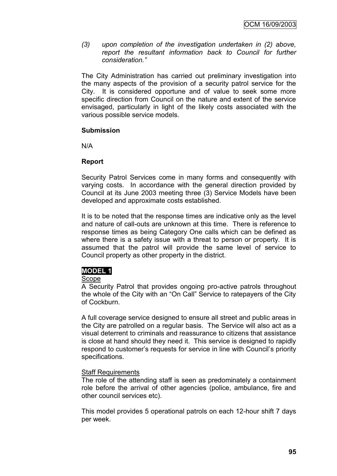*(3) upon completion of the investigation undertaken in (2) above, report the resultant information back to Council for further consideration."*

The City Administration has carried out preliminary investigation into the many aspects of the provision of a security patrol service for the City. It is considered opportune and of value to seek some more specific direction from Council on the nature and extent of the service envisaged, particularly in light of the likely costs associated with the various possible service models.

#### **Submission**

N/A

#### **Report**

Security Patrol Services come in many forms and consequently with varying costs. In accordance with the general direction provided by Council at its June 2003 meeting three (3) Service Models have been developed and approximate costs established.

It is to be noted that the response times are indicative only as the level and nature of call-outs are unknown at this time. There is reference to response times as being Category One calls which can be defined as where there is a safety issue with a threat to person or property. It is assumed that the patrol will provide the same level of service to Council property as other property in the district.

# **MODEL 1**

#### Scope

A Security Patrol that provides ongoing pro-active patrols throughout the whole of the City with an "On Call" Service to ratepayers of the City of Cockburn.

A full coverage service designed to ensure all street and public areas in the City are patrolled on a regular basis. The Service will also act as a visual deterrent to criminals and reassurance to citizens that assistance is close at hand should they need it. This service is designed to rapidly respond to customer"s requests for service in line with Council"s priority specifications.

#### Staff Requirements

The role of the attending staff is seen as predominately a containment role before the arrival of other agencies (police, ambulance, fire and other council services etc).

This model provides 5 operational patrols on each 12-hour shift 7 days per week.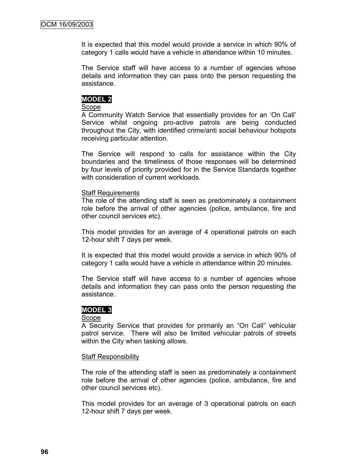It is expected that this model would provide a service in which 90% of category 1 calls would have a vehicle in attendance within 10 minutes.

The Service staff will have access to a number of agencies whose details and information they can pass onto the person requesting the assistance.

#### **MODEL 2**

#### **Scope**

A Community Watch Service that essentially provides for an "On Call" Service whilst ongoing pro-active patrols are being conducted throughout the City, with identified crime/anti social behaviour hotspots receiving particular attention.

The Service will respond to calls for assistance within the City boundaries and the timeliness of those responses will be determined by four levels of priority provided for in the Service Standards together with consideration of current workloads.

#### Staff Requirements

The role of the attending staff is seen as predominately a containment role before the arrival of other agencies (police, ambulance, fire and other council services etc).

This model provides for an average of 4 operational patrols on each 12-hour shift 7 days per week.

It is expected that this model would provide a service in which 90% of category 1 calls would have a vehicle in attendance within 20 minutes.

The Service staff will have access to a number of agencies whose details and information they can pass onto the person requesting the assistance.

#### **MODEL 3**

#### Scope

A Security Service that provides for primarily an "On Call" vehicular patrol service. There will also be limited vehicular patrols of streets within the City when tasking allows.

#### Staff Responsibility

The role of the attending staff is seen as predominately a containment role before the arrival of other agencies (police, ambulance, fire and other council services etc).

This model provides for an average of 3 operational patrols on each 12-hour shift 7 days per week.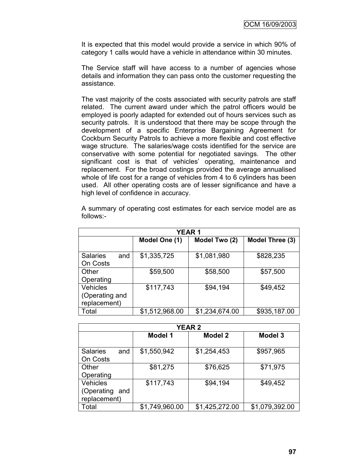It is expected that this model would provide a service in which 90% of category 1 calls would have a vehicle in attendance within 30 minutes.

The Service staff will have access to a number of agencies whose details and information they can pass onto the customer requesting the assistance.

The vast majority of the costs associated with security patrols are staff related. The current award under which the patrol officers would be employed is poorly adapted for extended out of hours services such as security patrols. It is understood that there may be scope through the development of a specific Enterprise Bargaining Agreement for Cockburn Security Patrols to achieve a more flexible and cost effective wage structure. The salaries/wage costs identified for the service are conservative with some potential for negotiated savings. The other significant cost is that of vehicles' operating, maintenance and replacement. For the broad costings provided the average annualised whole of life cost for a range of vehicles from 4 to 6 cylinders has been used. All other operating costs are of lesser significance and have a high level of confidence in accuracy.

A summary of operating cost estimates for each service model are as follows:-

| <b>YEAR1</b>           |                |                |                 |
|------------------------|----------------|----------------|-----------------|
|                        | Model One (1)  | Model Two (2)  | Model Three (3) |
|                        |                |                |                 |
| <b>Salaries</b><br>and | \$1,335,725    | \$1,081,980    | \$828,235       |
| On Costs               |                |                |                 |
| Other                  | \$59,500       | \$58,500       | \$57,500        |
| Operating              |                |                |                 |
| <b>Vehicles</b>        | \$117,743      | \$94,194       | \$49,452        |
| (Operating and         |                |                |                 |
| replacement)           |                |                |                 |
| Total                  | \$1,512,968.00 | \$1,234,674.00 | \$935,187.00    |

| <b>YEAR 2</b>                                        |                |                |                |
|------------------------------------------------------|----------------|----------------|----------------|
|                                                      | <b>Model 1</b> | <b>Model 2</b> | <b>Model 3</b> |
| <b>Salaries</b><br>and<br>On Costs                   | \$1,550,942    | \$1,254,453    | \$957,965      |
| Other<br>Operating                                   | \$81,275       | \$76,625       | \$71,975       |
| <b>Vehicles</b><br>(Operating<br>and<br>replacement) | \$117,743      | \$94,194       | \$49,452       |
| Total                                                | \$1,749,960.00 | \$1,425,272.00 | \$1,079,392.00 |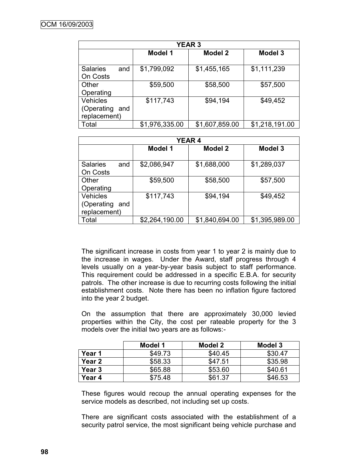| <b>YEAR 3</b>          |                |                |                |
|------------------------|----------------|----------------|----------------|
|                        | <b>Model 1</b> | Model 2        | <b>Model 3</b> |
| <b>Salaries</b><br>and | \$1,799,092    | \$1,455,165    | \$1,111,239    |
| On Costs               |                |                |                |
| Other                  | \$59,500       | \$58,500       | \$57,500       |
| Operating              |                |                |                |
| <b>Vehicles</b>        | \$117,743      | \$94,194       | \$49,452       |
| (Operating<br>and      |                |                |                |
| replacement)           |                |                |                |
| Total                  | \$1,976,335.00 | \$1,607,859.00 | \$1,218,191.00 |

| <b>YEAR 4</b>                                     |                |                |                    |
|---------------------------------------------------|----------------|----------------|--------------------|
|                                                   | <b>Model 1</b> | <b>Model 2</b> | Model <sub>3</sub> |
| <b>Salaries</b><br>and<br>On Costs                | \$2,086,947    | \$1,688,000    | \$1,289,037        |
| Other<br>Operating                                | \$59,500       | \$58,500       | \$57,500           |
| <b>Vehicles</b><br>(Operating and<br>replacement) | \$117,743      | \$94,194       | \$49,452           |
| Total                                             | \$2,264,190.00 | \$1,840,694.00 | \$1,395,989.00     |

The significant increase in costs from year 1 to year 2 is mainly due to the increase in wages. Under the Award, staff progress through 4 levels usually on a year-by-year basis subject to staff performance. This requirement could be addressed in a specific E.B.A. for security patrols. The other increase is due to recurring costs following the initial establishment costs. Note there has been no inflation figure factored into the year 2 budget.

On the assumption that there are approximately 30,000 levied properties within the City, the cost per rateable property for the 3 models over the initial two years are as follows:-

|                   | Model 1 | Model 2 | Model 3 |
|-------------------|---------|---------|---------|
| Year 1            | \$49.73 | \$40.45 | \$30.47 |
| Year 2            | \$58.33 | \$47.51 | \$35.98 |
| Year <sub>3</sub> | \$65.88 | \$53.60 | \$40.61 |
| Year 4            | \$75.48 | \$61.37 | \$46.53 |

These figures would recoup the annual operating expenses for the service models as described, not including set up costs.

There are significant costs associated with the establishment of a security patrol service, the most significant being vehicle purchase and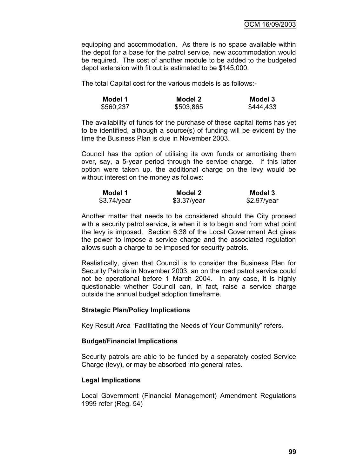equipping and accommodation. As there is no space available within the depot for a base for the patrol service, new accommodation would be required. The cost of another module to be added to the budgeted depot extension with fit out is estimated to be \$145,000.

The total Capital cost for the various models is as follows:-

| Model 1   | Model 2   | Model 3   |
|-----------|-----------|-----------|
| \$560,237 | \$503,865 | \$444,433 |

The availability of funds for the purchase of these capital items has yet to be identified, although a source(s) of funding will be evident by the time the Business Plan is due in November 2003.

Council has the option of utilising its own funds or amortising them over, say, a 5-year period through the service charge. If this latter option were taken up, the additional charge on the levy would be without interest on the money as follows:

| Model 1     | Model 2       | Model 3       |
|-------------|---------------|---------------|
| \$3.74/year | $$3.37$ /year | $$2.97$ /year |

Another matter that needs to be considered should the City proceed with a security patrol service, is when it is to begin and from what point the levy is imposed. Section 6.38 of the Local Government Act gives the power to impose a service charge and the associated regulation allows such a charge to be imposed for security patrols.

Realistically, given that Council is to consider the Business Plan for Security Patrols in November 2003, an on the road patrol service could not be operational before 1 March 2004. In any case, it is highly questionable whether Council can, in fact, raise a service charge outside the annual budget adoption timeframe.

#### **Strategic Plan/Policy Implications**

Key Result Area "Facilitating the Needs of Your Community" refers.

#### **Budget/Financial Implications**

Security patrols are able to be funded by a separately costed Service Charge (levy), or may be absorbed into general rates.

#### **Legal Implications**

Local Government (Financial Management) Amendment Regulations 1999 refer (Reg. 54)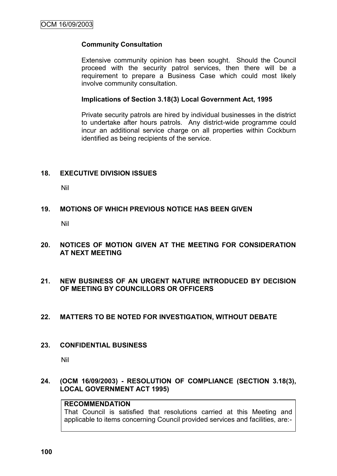#### **Community Consultation**

Extensive community opinion has been sought. Should the Council proceed with the security patrol services, then there will be a requirement to prepare a Business Case which could most likely involve community consultation.

#### **Implications of Section 3.18(3) Local Government Act, 1995**

Private security patrols are hired by individual businesses in the district to undertake after hours patrols. Any district-wide programme could incur an additional service charge on all properties within Cockburn identified as being recipients of the service.

#### **18. EXECUTIVE DIVISION ISSUES**

Nil

#### **19. MOTIONS OF WHICH PREVIOUS NOTICE HAS BEEN GIVEN**

Nil

- **20. NOTICES OF MOTION GIVEN AT THE MEETING FOR CONSIDERATION AT NEXT MEETING**
- **21. NEW BUSINESS OF AN URGENT NATURE INTRODUCED BY DECISION OF MEETING BY COUNCILLORS OR OFFICERS**
- **22. MATTERS TO BE NOTED FOR INVESTIGATION, WITHOUT DEBATE**
- **23. CONFIDENTIAL BUSINESS**

Nil

#### **24. (OCM 16/09/2003) - RESOLUTION OF COMPLIANCE (SECTION 3.18(3), LOCAL GOVERNMENT ACT 1995)**

## **RECOMMENDATION**

That Council is satisfied that resolutions carried at this Meeting and applicable to items concerning Council provided services and facilities, are:-